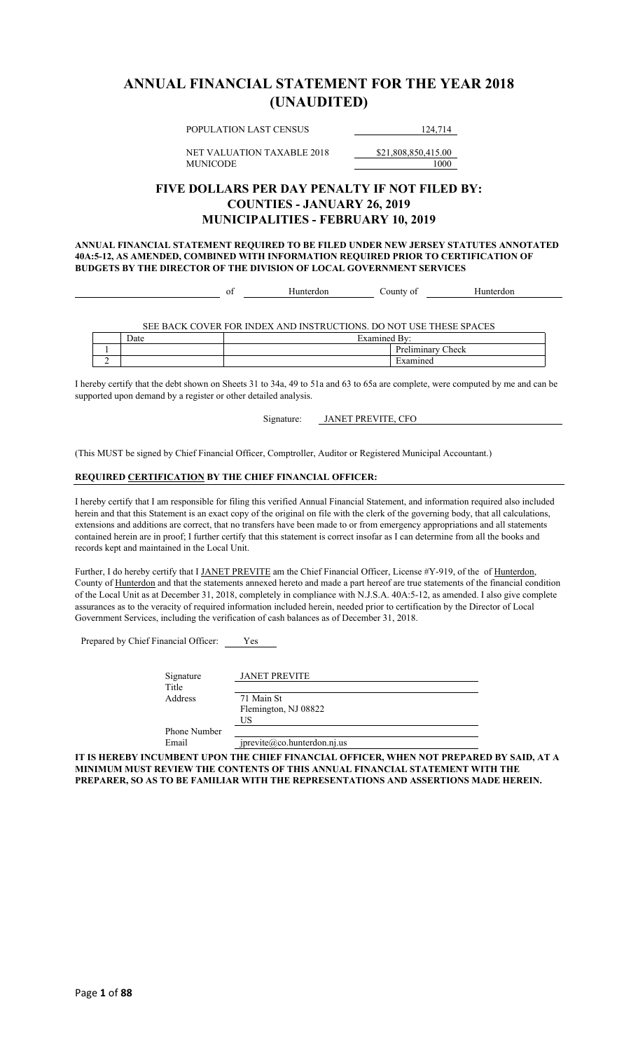### **ANNUAL FINANCIAL STATEMENT FOR THE YEAR 2018 (UNAUDITED)**

POPULATION LAST CENSUS 124,714

NET VALUATION TAXABLE 2018 \$21,808,850,415.00 MUNICODE 1000

### **FIVE DOLLARS PER DAY PENALTY IF NOT FILED BY: COUNTIES - JANUARY 26, 2019 MUNICIPALITIES - FEBRUARY 10, 2019**

**ANNUAL FINANCIAL STATEMENT REQUIRED TO BE FILED UNDER NEW JERSEY STATUTES ANNOTATED 40A:5-12, AS AMENDED, COMBINED WITH INFORMATION REQUIRED PRIOR TO CERTIFICATION OF BUDGETS BY THE DIRECTOR OF THE DIVISION OF LOCAL GOVERNMENT SERVICES**

|  |      | ОI | Hunterdon                                                          | County of         | Hunterdon |  |
|--|------|----|--------------------------------------------------------------------|-------------------|-----------|--|
|  |      |    |                                                                    |                   |           |  |
|  |      |    |                                                                    |                   |           |  |
|  |      |    | SEE BACK COVER FOR INDEX AND INSTRUCTIONS. DO NOT USE THESE SPACES |                   |           |  |
|  | Date |    |                                                                    | Examined By:      |           |  |
|  |      |    |                                                                    | Preliminary Check |           |  |
|  |      |    |                                                                    | Examined          |           |  |

I hereby certify that the debt shown on Sheets 31 to 34a, 49 to 51a and 63 to 65a are complete, were computed by me and can be supported upon demand by a register or other detailed analysis.

Signature: JANET PREVITE, CFO

(This MUST be signed by Chief Financial Officer, Comptroller, Auditor or Registered Municipal Accountant.)

#### **REQUIRED CERTIFICATION BY THE CHIEF FINANCIAL OFFICER:**

I hereby certify that I am responsible for filing this verified Annual Financial Statement, and information required also included herein and that this Statement is an exact copy of the original on file with the clerk of the governing body, that all calculations, extensions and additions are correct, that no transfers have been made to or from emergency appropriations and all statements contained herein are in proof; I further certify that this statement is correct insofar as I can determine from all the books and records kept and maintained in the Local Unit.

Further, I do hereby certify that I JANET PREVITE am the Chief Financial Officer, License #Y-919, of the of Hunterdon, County of Hunterdon and that the statements annexed hereto and made a part hereof are true statements of the financial condition of the Local Unit as at December 31, 2018, completely in compliance with N.J.S.A. 40A:5-12, as amended. I also give complete assurances as to the veracity of required information included herein, needed prior to certification by the Director of Local Government Services, including the verification of cash balances as of December 31, 2018.

Prepared by Chief Financial Officer: Yes

|              | <b>JANET PREVITE</b>           |
|--------------|--------------------------------|
| Signature    |                                |
| Title        |                                |
| Address      | 71 Main St                     |
|              | Flemington, NJ 08822           |
|              | US                             |
| Phone Number |                                |
| Email        | $j$ previte@co.hunterdon.nj.us |

**IT IS HEREBY INCUMBENT UPON THE CHIEF FINANCIAL OFFICER, WHEN NOT PREPARED BY SAID, AT A MINIMUM MUST REVIEW THE CONTENTS OF THIS ANNUAL FINANCIAL STATEMENT WITH THE PREPARER, SO AS TO BE FAMILIAR WITH THE REPRESENTATIONS AND ASSERTIONS MADE HEREIN.**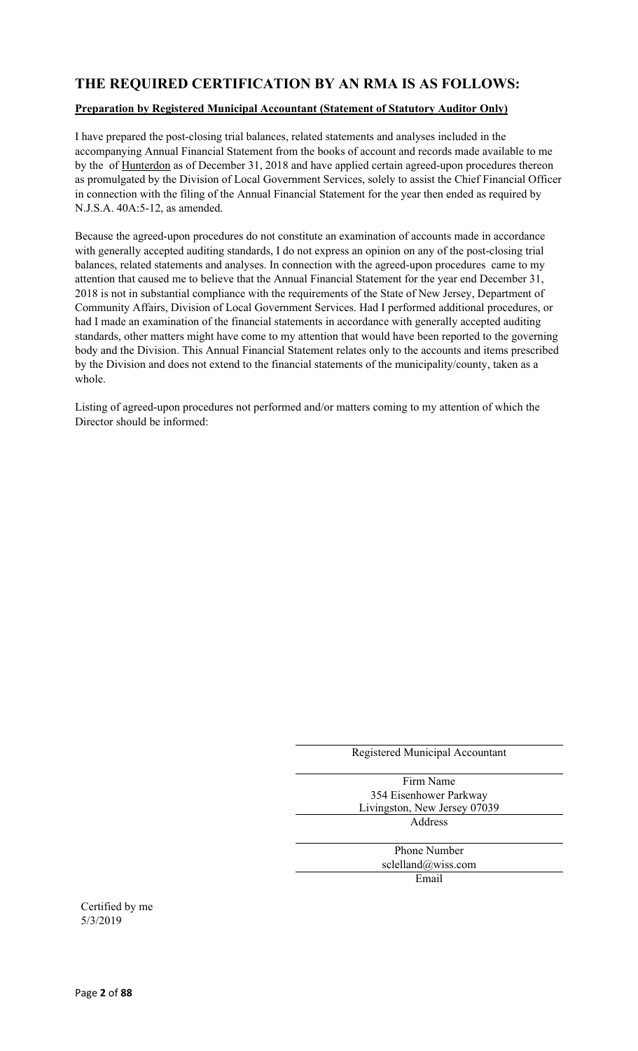### **THE REQUIRED CERTIFICATION BY AN RMA IS AS FOLLOWS:**

#### **Preparation by Registered Municipal Accountant (Statement of Statutory Auditor Only)**

I have prepared the post-closing trial balances, related statements and analyses included in the accompanying Annual Financial Statement from the books of account and records made available to me by the of Hunterdon as of December 31, 2018 and have applied certain agreed-upon procedures thereon as promulgated by the Division of Local Government Services, solely to assist the Chief Financial Officer in connection with the filing of the Annual Financial Statement for the year then ended as required by N.J.S.A. 40A:5-12, as amended.

Because the agreed-upon procedures do not constitute an examination of accounts made in accordance with generally accepted auditing standards, I do not express an opinion on any of the post-closing trial balances, related statements and analyses. In connection with the agreed-upon procedures came to my attention that caused me to believe that the Annual Financial Statement for the year end December 31, 2018 is not in substantial compliance with the requirements of the State of New Jersey, Department of Community Affairs, Division of Local Government Services. Had I performed additional procedures, or had I made an examination of the financial statements in accordance with generally accepted auditing standards, other matters might have come to my attention that would have been reported to the governing body and the Division. This Annual Financial Statement relates only to the accounts and items prescribed by the Division and does not extend to the financial statements of the municipality/county, taken as a whole.

Listing of agreed-upon procedures not performed and/or matters coming to my attention of which the Director should be informed:

| Registered Municipal Accountant |
|---------------------------------|
|                                 |
| Firm Name                       |
| 354 Eisenhower Parkway          |
| Livingston, New Jersey 07039    |
| Address                         |
|                                 |
| <b>Phone Number</b>             |
| sclelland@wiss.com              |
| Email                           |
|                                 |
|                                 |

Certified by me 5/3/2019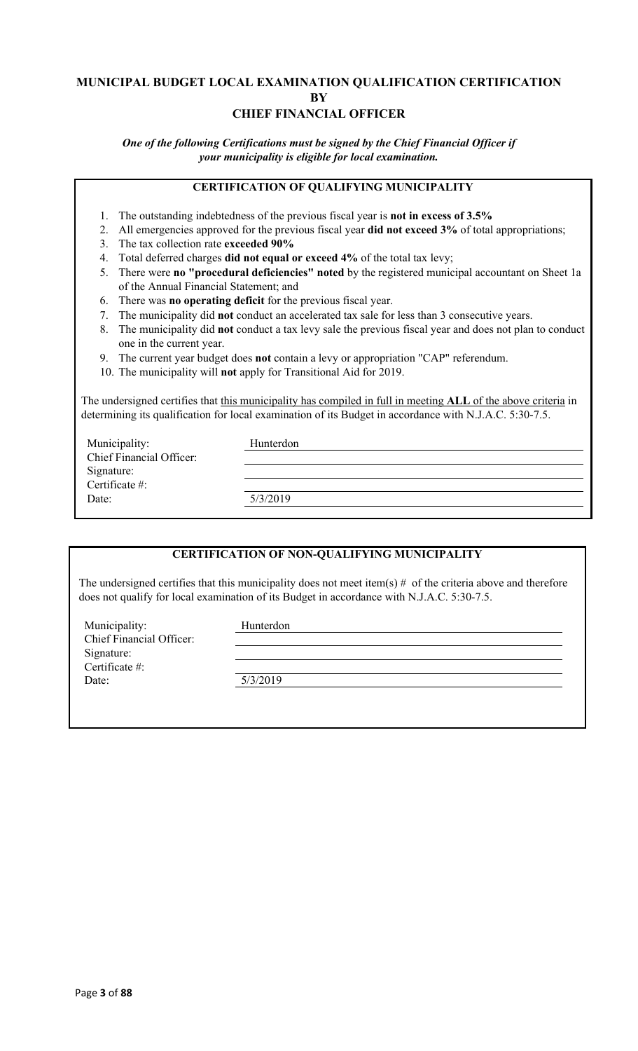### **MUNICIPAL BUDGET LOCAL EXAMINATION QUALIFICATION CERTIFICATION BY CHIEF FINANCIAL OFFICER**

*One of the following Certifications must be signed by the Chief Financial Officer if your municipality is eligible for local examination.*

### **CERTIFICATION OF QUALIFYING MUNICIPALITY**

- 1. The outstanding indebtedness of the previous fiscal year is **not in excess of 3.5%**
- 2. All emergencies approved for the previous fiscal year **did not exceed 3%** of total appropriations;
- 3. The tax collection rate **exceeded 90%**
- 4. Total deferred charges **did not equal or exceed 4%** of the total tax levy;
- 5. There were **no "procedural deficiencies" noted** by the registered municipal accountant on Sheet 1a of the Annual Financial Statement; and
- 6. There was **no operating deficit** for the previous fiscal year.
- 7. The municipality did **not** conduct an accelerated tax sale for less than 3 consecutive years.
- 8. The municipality did **not** conduct a tax levy sale the previous fiscal year and does not plan to conduct one in the current year.
- 9. The current year budget does **not** contain a levy or appropriation "CAP" referendum.
- 10. The municipality will **not** apply for Transitional Aid for 2019.

The undersigned certifies that this municipality has compiled in full in meeting **ALL** of the above criteria in determining its qualification for local examination of its Budget in accordance with N.J.A.C. 5:30-7.5.

| Municipality:                   | Hunterdon |
|---------------------------------|-----------|
| <b>Chief Financial Officer:</b> |           |
| Signature:                      |           |
| Certificate #:                  |           |
| Date:                           | 5/3/2019  |
|                                 |           |

### **CERTIFICATION OF NON-QUALIFYING MUNICIPALITY**

The undersigned certifies that this municipality does not meet item(s)  $#$  of the criteria above and therefore does not qualify for local examination of its Budget in accordance with N.J.A.C. 5:30-7.5.

Municipality: Hunterdon Chief Financial Officer: Signature: Certificate #: Date: 5/3/2019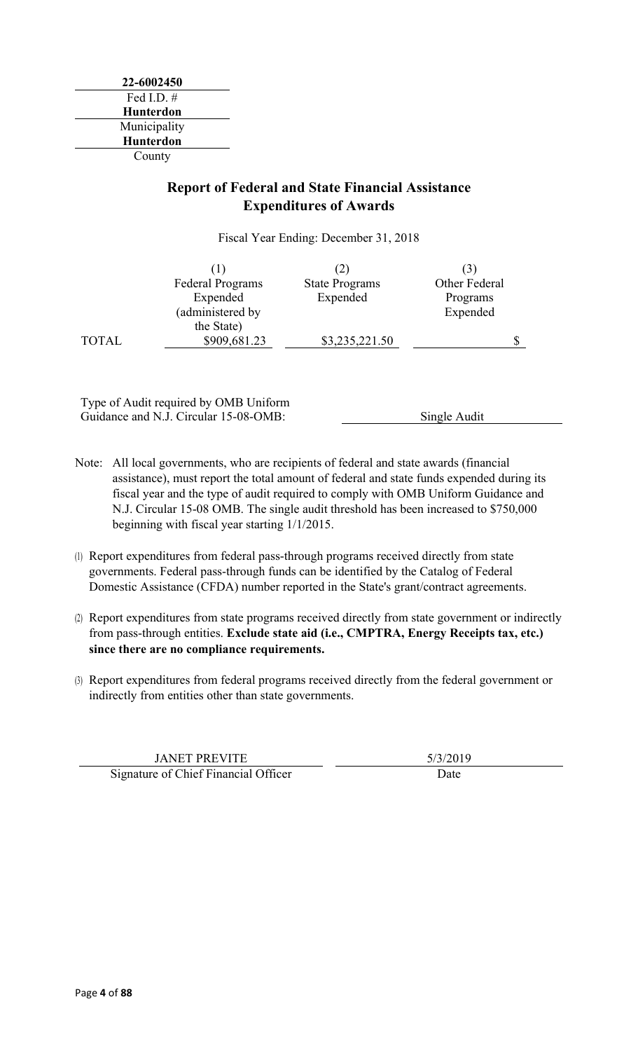### **Report of Federal and State Financial Assistance Expenditures of Awards**

Fiscal Year Ending: December 31, 2018

|              |                         | (2)                   |               |
|--------------|-------------------------|-----------------------|---------------|
|              | <b>Federal Programs</b> | <b>State Programs</b> | Other Federal |
|              | Expended                | Expended              | Programs      |
|              | (administered by        |                       | Expended      |
|              | the State)              |                       |               |
| <b>TOTAL</b> | \$909,681.23            | \$3,235,221.50        |               |

Type of Audit required by OMB Uniform Guidance and N.J. Circular 15-08-OMB: Single Audit

- Note: All local governments, who are recipients of federal and state awards (financial assistance), must report the total amount of federal and state funds expended during its fiscal year and the type of audit required to comply with OMB Uniform Guidance and N.J. Circular 15-08 OMB. The single audit threshold has been increased to \$750,000 beginning with fiscal year starting 1/1/2015.
- (1) Report expenditures from federal pass-through programs received directly from state governments. Federal pass-through funds can be identified by the Catalog of Federal Domestic Assistance (CFDA) number reported in the State's grant/contract agreements.
- (2) Report expenditures from state programs received directly from state government or indirectly from pass-through entities. **Exclude state aid (i.e., CMPTRA, Energy Receipts tax, etc.) since there are no compliance requirements.**
- (3) Report expenditures from federal programs received directly from the federal government or indirectly from entities other than state governments.

JANET PREVITE 5/3/2019 Signature of Chief Financial Officer Date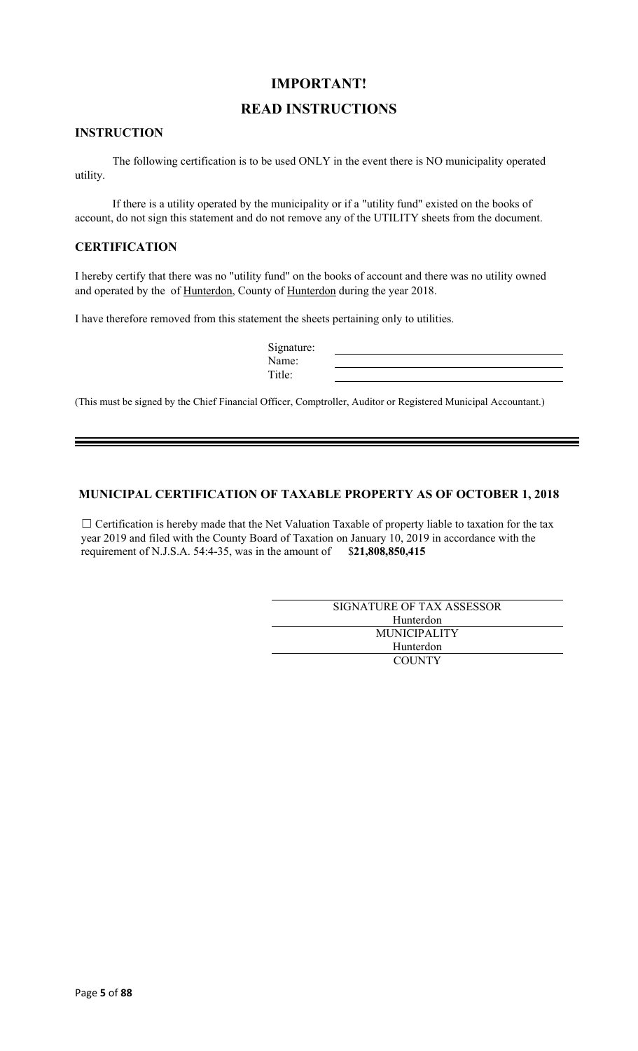### **IMPORTANT!**

### **READ INSTRUCTIONS**

### **INSTRUCTION**

The following certification is to be used ONLY in the event there is NO municipality operated utility.

If there is a utility operated by the municipality or if a "utility fund" existed on the books of account, do not sign this statement and do not remove any of the UTILITY sheets from the document.

#### **CERTIFICATION**

I hereby certify that there was no "utility fund" on the books of account and there was no utility owned and operated by the of Hunterdon, County of Hunterdon during the year 2018.

I have therefore removed from this statement the sheets pertaining only to utilities.

| Signature: |  |
|------------|--|
| Name:      |  |
| Title:     |  |

(This must be signed by the Chief Financial Officer, Comptroller, Auditor or Registered Municipal Accountant.)

### **MUNICIPAL CERTIFICATION OF TAXABLE PROPERTY AS OF OCTOBER 1, 2018**

□ Certification is hereby made that the Net Valuation Taxable of property liable to taxation for the tax year 2019 and filed with the County Board of Taxation on January 10, 2019 in accordance with the requirement of N.J.S.A. 54:4-35, was in the amount of \$**21,808,850,415**

| SIGNATURE OF TAX ASSESSOR |
|---------------------------|
| Hunterdon                 |
| <b>MUNICIPALITY</b>       |
| Hunterdon                 |
| <b>COUNTY</b>             |
|                           |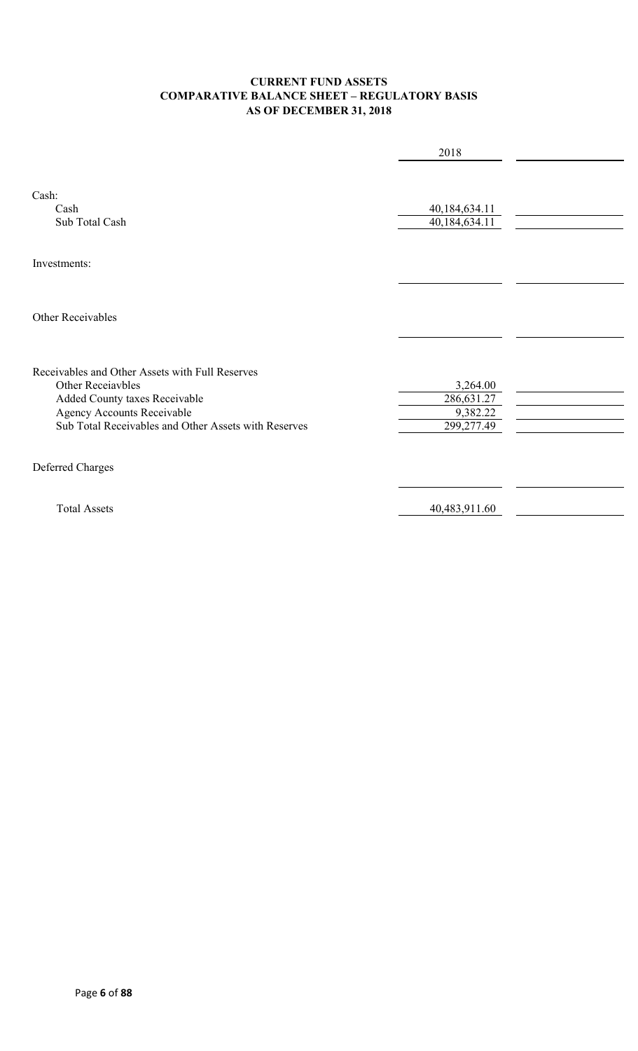### **CURRENT FUND ASSETS COMPARATIVE BALANCE SHEET – REGULATORY BASIS AS OF DECEMBER 31, 2018**

|                                                      | 2018                           |  |
|------------------------------------------------------|--------------------------------|--|
| Cash:<br>Cash<br>Sub Total Cash                      | 40,184,634.11<br>40,184,634.11 |  |
| Investments:                                         |                                |  |
| Other Receivables                                    |                                |  |
| Receivables and Other Assets with Full Reserves      |                                |  |
| <b>Other Receiavbles</b>                             | 3,264.00                       |  |
| Added County taxes Receivable                        | 286,631.27                     |  |
| Agency Accounts Receivable                           | 9,382.22                       |  |
| Sub Total Receivables and Other Assets with Reserves | 299,277.49                     |  |
| Deferred Charges                                     |                                |  |
| <b>Total Assets</b>                                  | 40,483,911.60                  |  |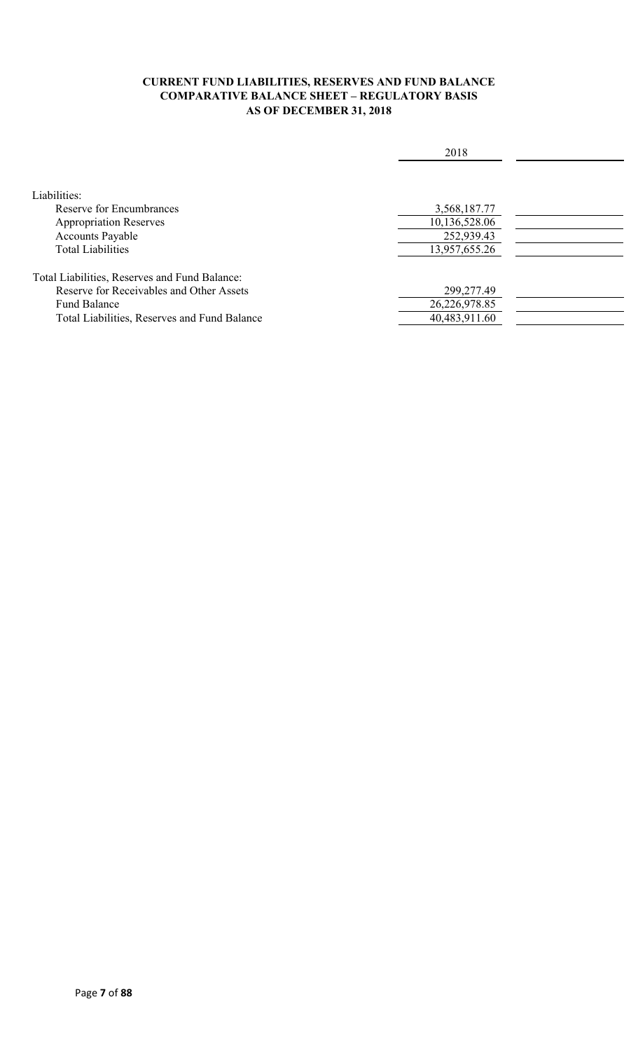### **CURRENT FUND LIABILITIES, RESERVES AND FUND BALANCE COMPARATIVE BALANCE SHEET – REGULATORY BASIS AS OF DECEMBER 31, 2018**

|                                               | 2018          |  |
|-----------------------------------------------|---------------|--|
|                                               |               |  |
| Liabilities:                                  |               |  |
| Reserve for Encumbrances                      | 3,568,187.77  |  |
| <b>Appropriation Reserves</b>                 | 10,136,528.06 |  |
| <b>Accounts Payable</b>                       | 252,939.43    |  |
| <b>Total Liabilities</b>                      | 13,957,655.26 |  |
|                                               |               |  |
| Total Liabilities, Reserves and Fund Balance: |               |  |
| Reserve for Receivables and Other Assets      | 299,277.49    |  |
| <b>Fund Balance</b>                           | 26,226,978.85 |  |
| Total Liabilities, Reserves and Fund Balance  | 40,483,911.60 |  |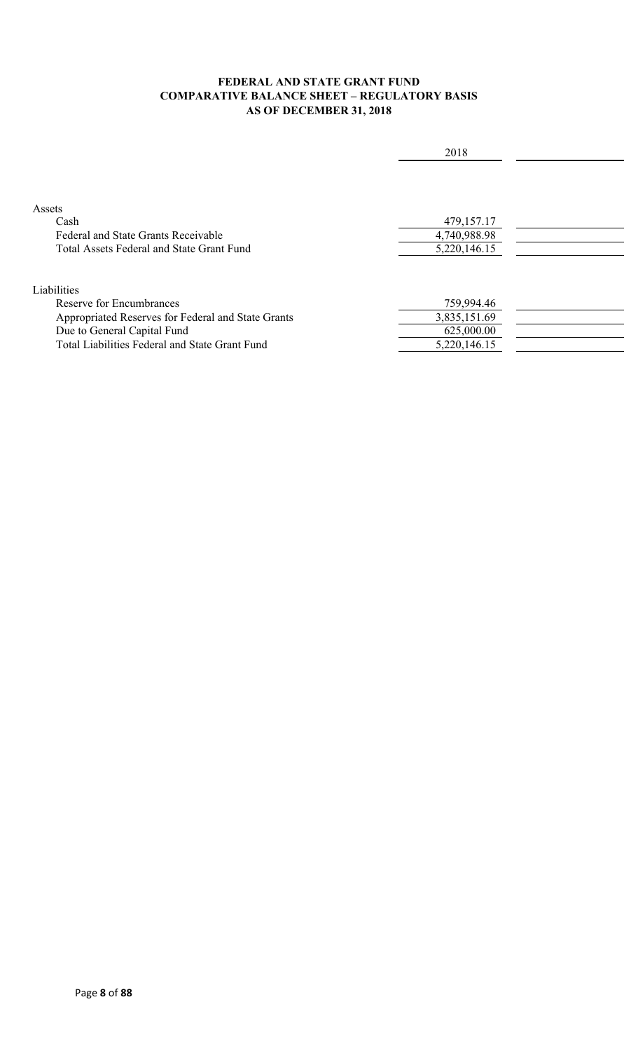### **FEDERAL AND STATE GRANT FUND COMPARATIVE BALANCE SHEET – REGULATORY BASIS AS OF DECEMBER 31, 2018**

| 2018         |  |
|--------------|--|
|              |  |
|              |  |
|              |  |
| 479,157.17   |  |
| 4,740,988.98 |  |
| 5,220,146.15 |  |
|              |  |
|              |  |
| 759,994.46   |  |
| 3,835,151.69 |  |
| 625,000.00   |  |
| 5,220,146.15 |  |
|              |  |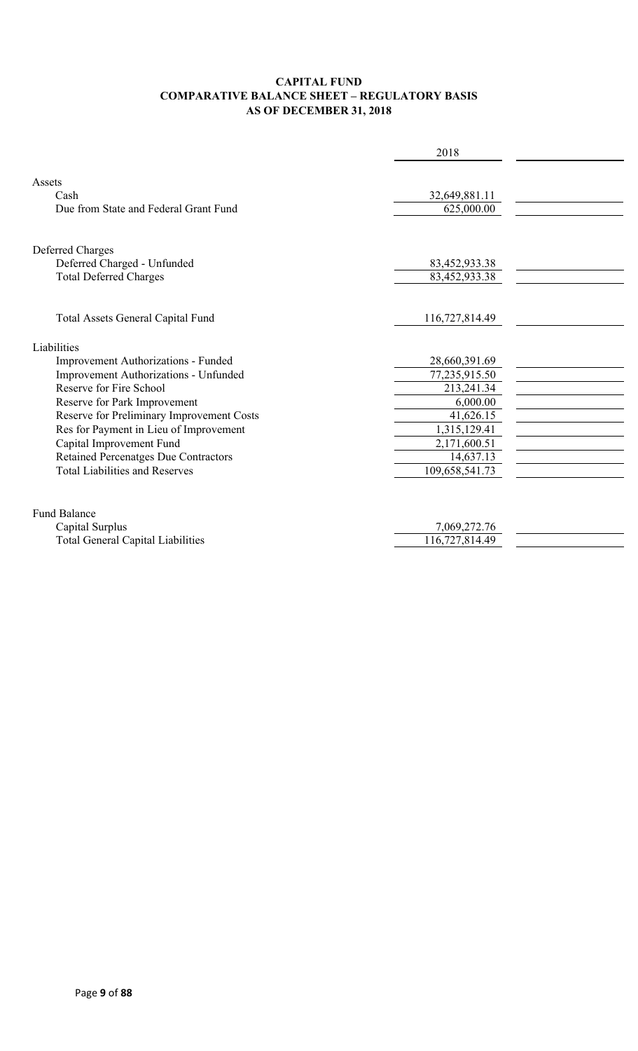### **CAPITAL FUND COMPARATIVE BALANCE SHEET – REGULATORY BASIS AS OF DECEMBER 31, 2018**

|                                             | 2018           |  |
|---------------------------------------------|----------------|--|
|                                             |                |  |
| Assets                                      |                |  |
| Cash                                        | 32,649,881.11  |  |
| Due from State and Federal Grant Fund       | 625,000.00     |  |
|                                             |                |  |
| Deferred Charges                            |                |  |
| Deferred Charged - Unfunded                 | 83,452,933.38  |  |
| <b>Total Deferred Charges</b>               | 83,452,933.38  |  |
|                                             |                |  |
| Total Assets General Capital Fund           | 116,727,814.49 |  |
|                                             |                |  |
| Liabilities                                 |                |  |
| Improvement Authorizations - Funded         | 28,660,391.69  |  |
| Improvement Authorizations - Unfunded       | 77,235,915.50  |  |
| Reserve for Fire School                     | 213,241.34     |  |
| Reserve for Park Improvement                | 6,000.00       |  |
| Reserve for Preliminary Improvement Costs   | 41,626.15      |  |
| Res for Payment in Lieu of Improvement      | 1,315,129.41   |  |
| Capital Improvement Fund                    | 2,171,600.51   |  |
| <b>Retained Percenatges Due Contractors</b> | 14,637.13      |  |
| <b>Total Liabilities and Reserves</b>       | 109,658,541.73 |  |
|                                             |                |  |
| <b>Fund Balance</b>                         |                |  |
| Capital Surplus                             | 7,069,272.76   |  |
| <b>Total General Capital Liabilities</b>    | 116,727,814.49 |  |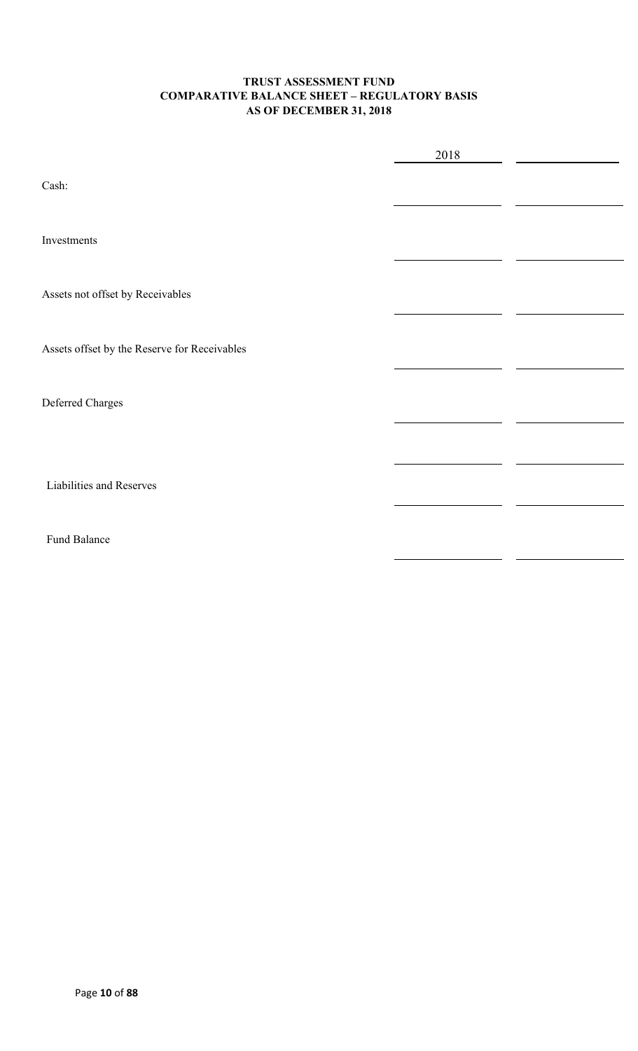### **TRUST ASSESSMENT FUND COMPARATIVE BALANCE SHEET – REGULATORY BASIS AS OF DECEMBER 31, 2018**

|                                              | 2018 |  |
|----------------------------------------------|------|--|
| Cash:                                        |      |  |
| Investments                                  |      |  |
| Assets not offset by Receivables             |      |  |
| Assets offset by the Reserve for Receivables |      |  |
| Deferred Charges                             |      |  |
|                                              |      |  |
| Liabilities and Reserves                     |      |  |
| Fund Balance                                 |      |  |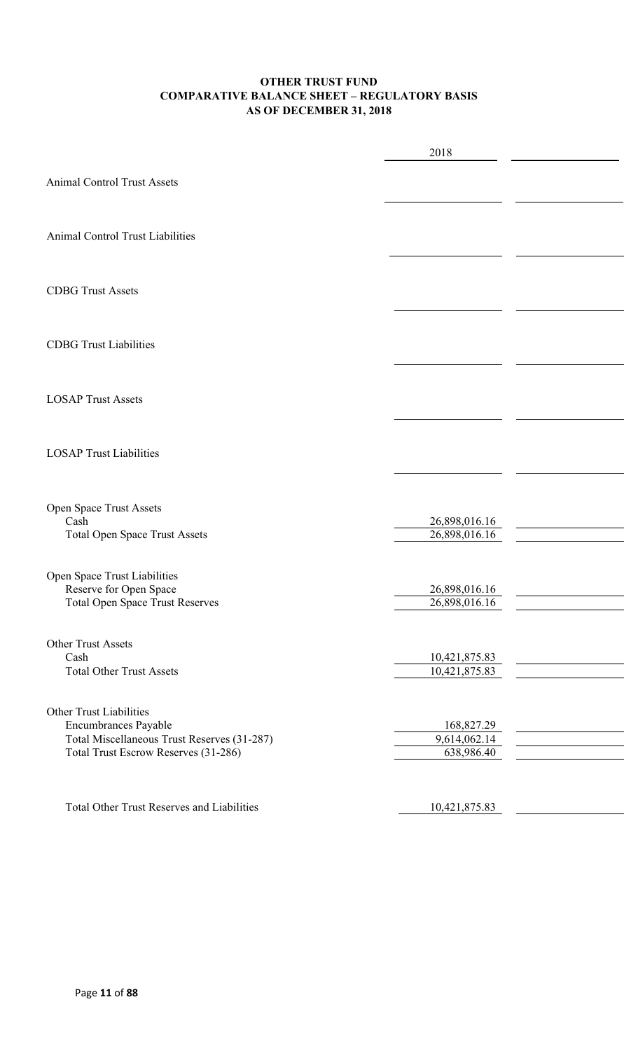### **OTHER TRUST FUND COMPARATIVE BALANCE SHEET – REGULATORY BASIS AS OF DECEMBER 31, 2018**

|                                                                                                                                               | 2018                                     |  |
|-----------------------------------------------------------------------------------------------------------------------------------------------|------------------------------------------|--|
| <b>Animal Control Trust Assets</b>                                                                                                            |                                          |  |
| Animal Control Trust Liabilities                                                                                                              |                                          |  |
| <b>CDBG Trust Assets</b>                                                                                                                      |                                          |  |
| <b>CDBG</b> Trust Liabilities                                                                                                                 |                                          |  |
| <b>LOSAP Trust Assets</b>                                                                                                                     |                                          |  |
| <b>LOSAP Trust Liabilities</b>                                                                                                                |                                          |  |
| Open Space Trust Assets<br>Cash                                                                                                               | 26,898,016.16                            |  |
| Total Open Space Trust Assets                                                                                                                 | 26,898,016.16                            |  |
| Open Space Trust Liabilities<br>Reserve for Open Space<br><b>Total Open Space Trust Reserves</b>                                              | 26,898,016.16<br>26,898,016.16           |  |
| Other Trust Assets<br>Cash                                                                                                                    | 10,421,875.83                            |  |
| <b>Total Other Trust Assets</b>                                                                                                               | 10,421,875.83                            |  |
| <b>Other Trust Liabilities</b><br>Encumbrances Payable<br>Total Miscellaneous Trust Reserves (31-287)<br>Total Trust Escrow Reserves (31-286) | 168,827.29<br>9,614,062.14<br>638,986.40 |  |
| <b>Total Other Trust Reserves and Liabilities</b>                                                                                             | 10,421,875.83                            |  |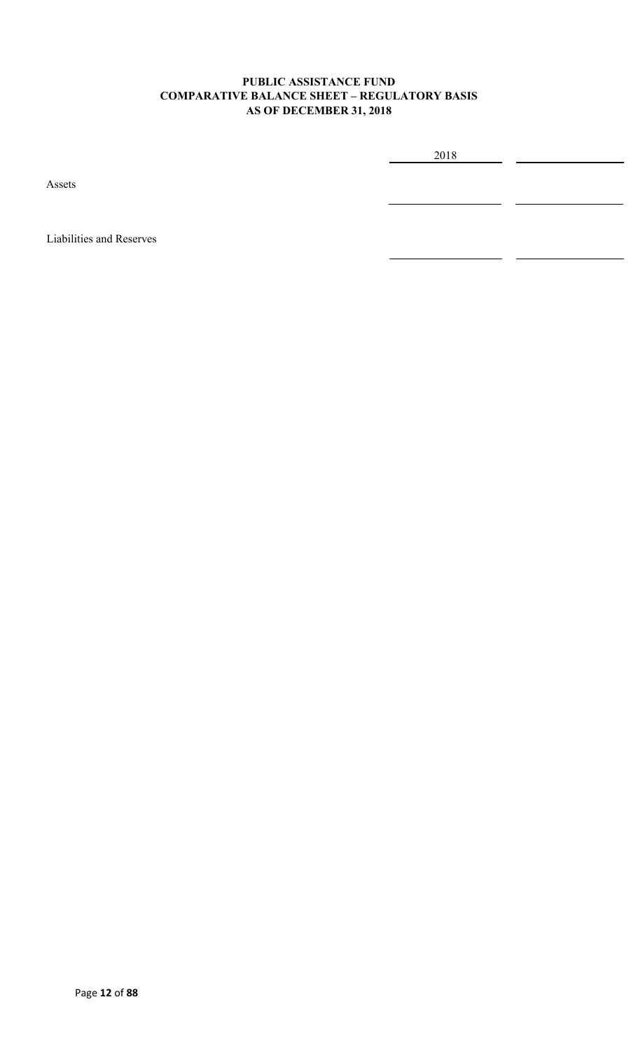### **PUBLIC ASSISTANCE FUND COMPARATIVE BALANCE SHEET – REGULATORY BASIS AS OF DECEMBER 31, 2018**

2018

Assets

Liabilities and Reserves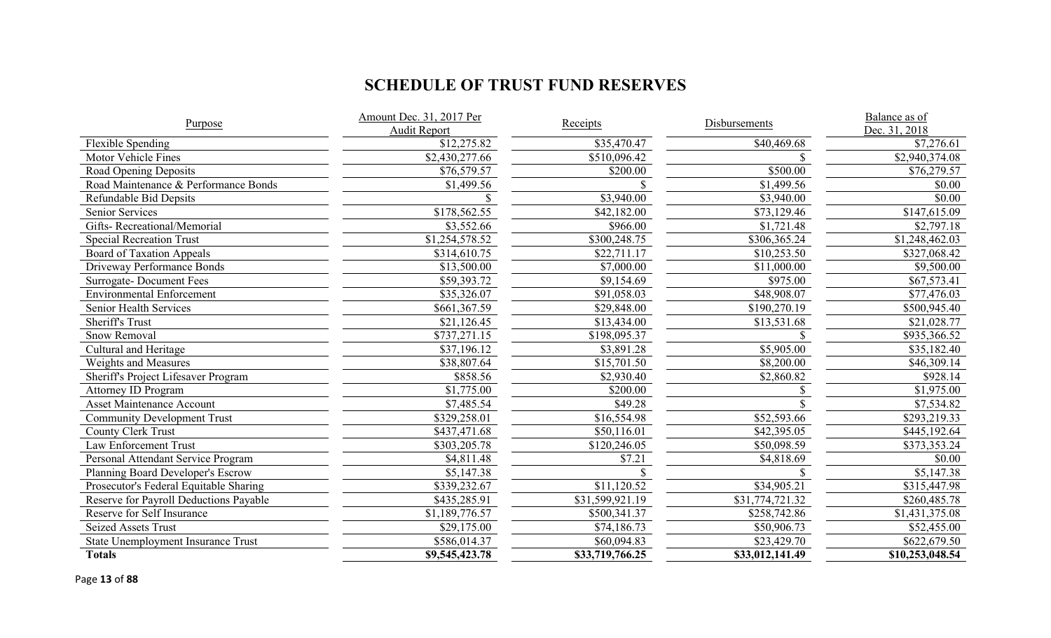# **SCHEDULE OF TRUST FUND RESERVES**

| Purpose                                   | Amount Dec. 31, 2017 Per<br><b>Audit Report</b> | <b>Receipts</b> | Disbursements   | Balance as of<br>Dec. 31, 2018 |  |
|-------------------------------------------|-------------------------------------------------|-----------------|-----------------|--------------------------------|--|
| Flexible Spending                         | \$12,275.82                                     | \$35,470.47     | \$40,469.68     | \$7,276.61                     |  |
| Motor Vehicle Fines                       | \$2,430,277.66                                  | \$510,096.42    |                 | \$2,940,374.08                 |  |
| Road Opening Deposits                     | \$76,579.57                                     | \$200.00        | \$500.00        | \$76,279.57                    |  |
| Road Maintenance & Performance Bonds      | \$1,499.56                                      |                 | \$1,499.56      | \$0.00                         |  |
| Refundable Bid Depsits                    |                                                 | \$3,940.00      | \$3,940.00      | \$0.00                         |  |
| Senior Services                           | \$178,562.55                                    | \$42,182.00     | \$73,129.46     | \$147,615.09                   |  |
| Gifts-Recreational/Memorial               | \$3,552.66                                      | \$966.00        | \$1,721.48      | \$2,797.18                     |  |
| <b>Special Recreation Trust</b>           | \$1,254,578.52                                  | \$300,248.75    | \$306,365.24    | \$1,248,462.03                 |  |
| <b>Board of Taxation Appeals</b>          | \$314,610.75                                    | \$22,711.17     | \$10,253.50     | \$327,068.42                   |  |
| Driveway Performance Bonds                | \$13,500.00                                     | \$7,000.00      | \$11,000.00     | \$9,500.00                     |  |
| <b>Surrogate-Document Fees</b>            | \$59,393.72                                     | \$9,154.69      | \$975.00        | \$67,573.41                    |  |
| <b>Environmental Enforcement</b>          | \$35,326.07                                     | \$91,058.03     | \$48,908.07     | \$77,476.03                    |  |
| Senior Health Services                    | \$661,367.59                                    | \$29,848.00     | \$190,270.19    | \$500,945.40                   |  |
| Sheriff's Trust                           | \$21,126.45                                     | \$13,434.00     | \$13,531.68     | \$21,028.77                    |  |
| Snow Removal                              | \$737,271.15                                    | \$198,095.37    |                 | \$935,366.52                   |  |
| Cultural and Heritage                     | \$37,196.12                                     | \$3,891.28      | \$5,905.00      | \$35,182.40                    |  |
| Weights and Measures                      | \$38,807.64                                     | \$15,701.50     | \$8,200.00      | \$46,309.14                    |  |
| Sheriff's Project Lifesaver Program       | \$858.56                                        | \$2,930.40      | \$2,860.82      | \$928.14                       |  |
| <b>Attorney ID Program</b>                | \$1,775.00                                      | \$200.00        |                 | \$1,975.00                     |  |
| <b>Asset Maintenance Account</b>          | \$7,485.54                                      | \$49.28         |                 | \$7,534.82                     |  |
| <b>Community Development Trust</b>        | \$329,258.01                                    | \$16,554.98     | \$52,593.66     | \$293,219.33                   |  |
| <b>County Clerk Trust</b>                 | \$437,471.68                                    | \$50,116.01     | \$42,395.05     | \$445,192.64                   |  |
| Law Enforcement Trust                     | \$303,205.78                                    | \$120,246.05    | \$50,098.59     | \$373,353.24                   |  |
| Personal Attendant Service Program        | \$4,811.48                                      | \$7.21          | \$4,818.69      | \$0.00                         |  |
| Planning Board Developer's Escrow         | \$5,147.38                                      |                 |                 | $\overline{\$5,147.38}$        |  |
| Prosecutor's Federal Equitable Sharing    | \$339,232.67                                    | \$11,120.52     | \$34,905.21     | \$315,447.98                   |  |
| Reserve for Payroll Deductions Payable    | \$435,285.91                                    | \$31,599,921.19 | \$31,774,721.32 | \$260,485.78                   |  |
| Reserve for Self Insurance                | \$1,189,776.57                                  | \$500,341.37    | \$258,742.86    | \$1,431,375.08                 |  |
| <b>Seized Assets Trust</b>                | \$29,175.00                                     | \$74,186.73     | \$50,906.73     | \$52,455.00                    |  |
| <b>State Unemployment Insurance Trust</b> | \$586,014.37                                    | \$60,094.83     | \$23,429.70     | \$622,679.50                   |  |
| <b>Totals</b>                             | \$9,545,423.78                                  | \$33,719,766.25 | \$33,012,141.49 | \$10,253,048.54                |  |

Page **13** of **88**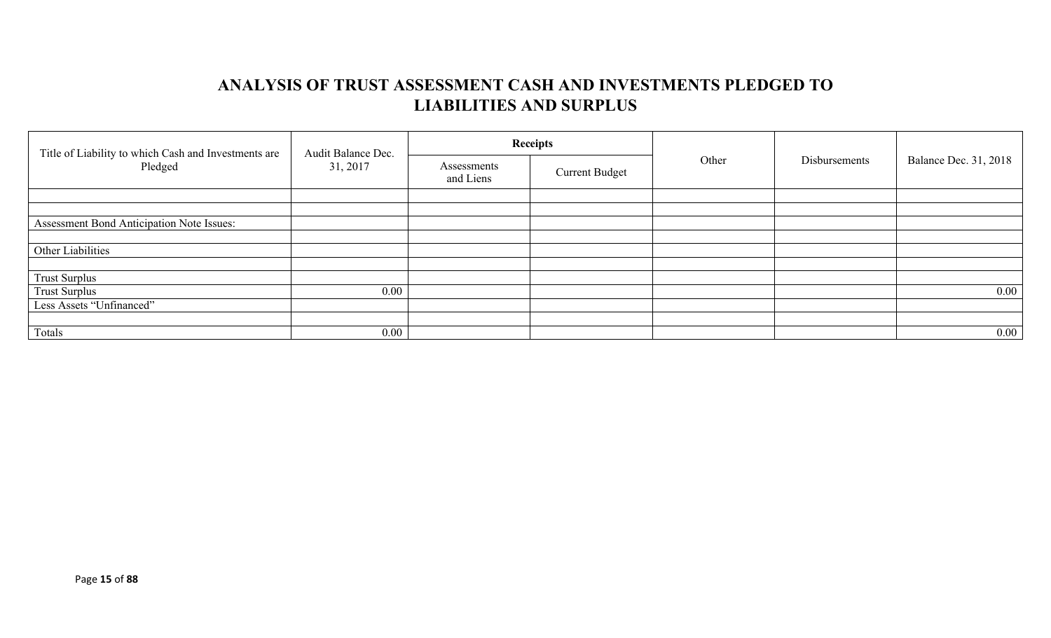## **ANALYSIS OF TRUST ASSESSMENT CASH AND INVESTMENTS PLEDGED TO LIABILITIES AND SURPLUS**

| Title of Liability to which Cash and Investments are<br>Pledged | Audit Balance Dec. |                          | <b>Receipts</b>       | Other | Disbursements | <b>Balance Dec. 31, 2018</b> |
|-----------------------------------------------------------------|--------------------|--------------------------|-----------------------|-------|---------------|------------------------------|
|                                                                 | 31, 2017           | Assessments<br>and Liens | <b>Current Budget</b> |       |               |                              |
|                                                                 |                    |                          |                       |       |               |                              |
|                                                                 |                    |                          |                       |       |               |                              |
| Assessment Bond Anticipation Note Issues:                       |                    |                          |                       |       |               |                              |
|                                                                 |                    |                          |                       |       |               |                              |
| Other Liabilities                                               |                    |                          |                       |       |               |                              |
|                                                                 |                    |                          |                       |       |               |                              |
| <b>Trust Surplus</b>                                            |                    |                          |                       |       |               |                              |
| <b>Trust Surplus</b>                                            | $0.00\,$           |                          |                       |       |               | $0.00\,$                     |
| Less Assets "Unfinanced"                                        |                    |                          |                       |       |               |                              |
|                                                                 |                    |                          |                       |       |               |                              |
| Totals                                                          | $0.00\,$           |                          |                       |       |               | $0.00\,$                     |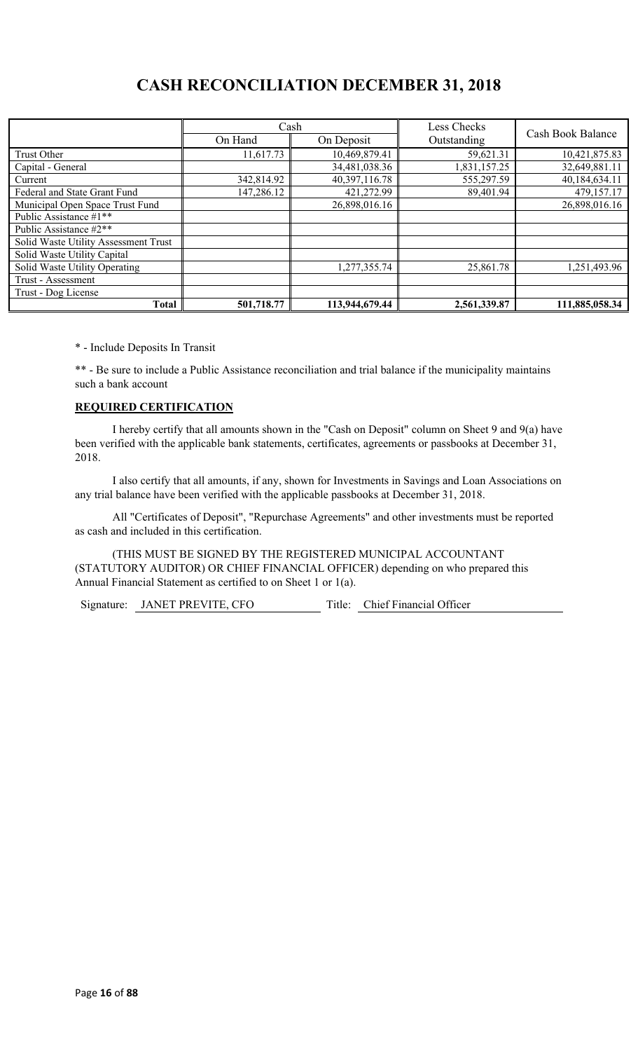## **CASH RECONCILIATION DECEMBER 31, 2018**

|                                      | Cash                  |                | Less Checks  |                   |  |
|--------------------------------------|-----------------------|----------------|--------------|-------------------|--|
|                                      | On Hand<br>On Deposit |                | Outstanding  | Cash Book Balance |  |
| Trust Other                          | 11,617.73             | 10,469,879.41  | 59,621.31    | 10,421,875.83     |  |
| Capital - General                    |                       | 34,481,038.36  | 1,831,157.25 | 32,649,881.11     |  |
| Current                              | 342,814.92            | 40,397,116.78  | 555,297.59   | 40,184,634.11     |  |
| Federal and State Grant Fund         | 147,286.12            | 421,272.99     | 89,401.94    | 479,157.17        |  |
| Municipal Open Space Trust Fund      |                       | 26,898,016.16  |              | 26,898,016.16     |  |
| Public Assistance #1**               |                       |                |              |                   |  |
| Public Assistance #2**               |                       |                |              |                   |  |
| Solid Waste Utility Assessment Trust |                       |                |              |                   |  |
| Solid Waste Utility Capital          |                       |                |              |                   |  |
| Solid Waste Utility Operating        |                       | 1,277,355.74   | 25,861.78    | 1,251,493.96      |  |
| Trust - Assessment                   |                       |                |              |                   |  |
| Trust - Dog License                  |                       |                |              |                   |  |
| Total                                | 501,718.77            | 113,944,679.44 | 2,561,339.87 | 111,885,058.34    |  |

\* - Include Deposits In Transit

\*\* - Be sure to include a Public Assistance reconciliation and trial balance if the municipality maintains such a bank account

### **REQUIRED CERTIFICATION**

I hereby certify that all amounts shown in the "Cash on Deposit" column on Sheet 9 and 9(a) have been verified with the applicable bank statements, certificates, agreements or passbooks at December 31, 2018.

I also certify that all amounts, if any, shown for Investments in Savings and Loan Associations on any trial balance have been verified with the applicable passbooks at December 31, 2018.

All "Certificates of Deposit", "Repurchase Agreements" and other investments must be reported as cash and included in this certification.

(THIS MUST BE SIGNED BY THE REGISTERED MUNICIPAL ACCOUNTANT (STATUTORY AUDITOR) OR CHIEF FINANCIAL OFFICER) depending on who prepared this Annual Financial Statement as certified to on Sheet 1 or 1(a).

Signature: JANET PREVITE, CFO Title: Chief Financial Officer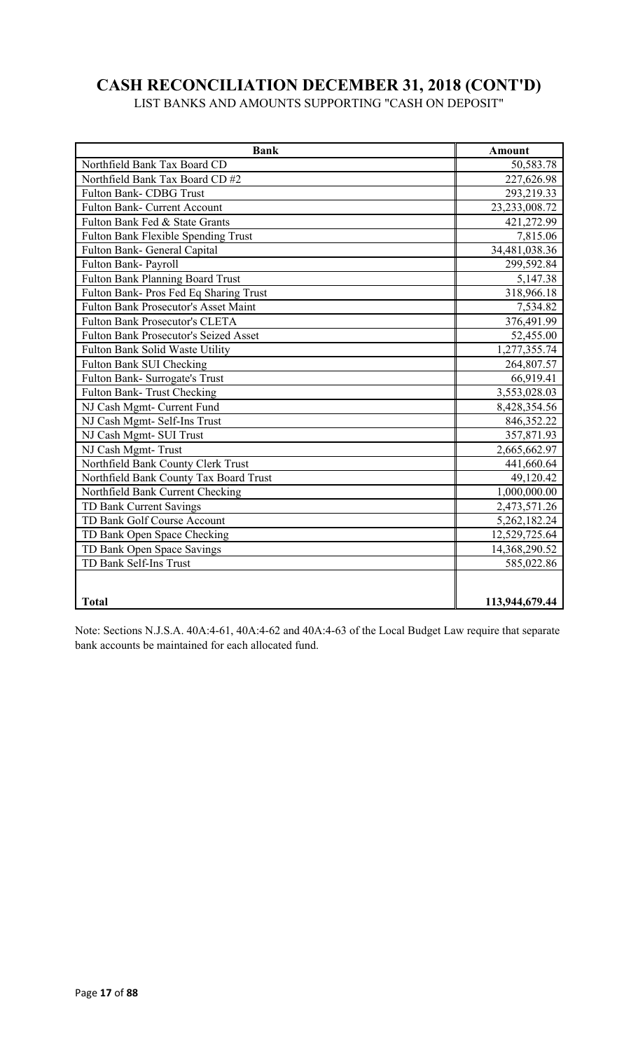# **CASH RECONCILIATION DECEMBER 31, 2018 (CONT'D)**

LIST BANKS AND AMOUNTS SUPPORTING "CASH ON DEPOSIT"

| <b>Bank</b>                                  | <b>Amount</b>  |
|----------------------------------------------|----------------|
| Northfield Bank Tax Board CD                 | 50,583.78      |
| Northfield Bank Tax Board CD #2              | 227,626.98     |
| Fulton Bank- CDBG Trust                      | 293,219.33     |
| Fulton Bank- Current Account                 | 23,233,008.72  |
| Fulton Bank Fed & State Grants               | 421,272.99     |
| Fulton Bank Flexible Spending Trust          | 7,815.06       |
| Fulton Bank- General Capital                 | 34,481,038.36  |
| Fulton Bank- Payroll                         | 299,592.84     |
| Fulton Bank Planning Board Trust             | 5,147.38       |
| Fulton Bank- Pros Fed Eq Sharing Trust       | 318,966.18     |
| <b>Fulton Bank Prosecutor's Asset Maint</b>  | 7,534.82       |
| <b>Fulton Bank Prosecutor's CLETA</b>        | 376,491.99     |
| <b>Fulton Bank Prosecutor's Seized Asset</b> | 52,455.00      |
| Fulton Bank Solid Waste Utility              | 1,277,355.74   |
| Fulton Bank SUI Checking                     | 264,807.57     |
| Fulton Bank- Surrogate's Trust               | 66,919.41      |
| Fulton Bank-Trust Checking                   | 3,553,028.03   |
| NJ Cash Mgmt- Current Fund                   | 8,428,354.56   |
| NJ Cash Mgmt- Self-Ins Trust                 | 846,352.22     |
| NJ Cash Mgmt- SUI Trust                      | 357,871.93     |
| NJ Cash Mgmt-Trust                           | 2,665,662.97   |
| Northfield Bank County Clerk Trust           | 441,660.64     |
| Northfield Bank County Tax Board Trust       | 49,120.42      |
| Northfield Bank Current Checking             | 1,000,000.00   |
| TD Bank Current Savings                      | 2,473,571.26   |
| TD Bank Golf Course Account                  | 5,262,182.24   |
| TD Bank Open Space Checking                  | 12,529,725.64  |
| TD Bank Open Space Savings                   | 14,368,290.52  |
| TD Bank Self-Ins Trust                       | 585,022.86     |
|                                              |                |
|                                              |                |
| <b>Total</b>                                 | 113,944,679.44 |

Note: Sections N.J.S.A. 40A:4-61, 40A:4-62 and 40A:4-63 of the Local Budget Law require that separate bank accounts be maintained for each allocated fund.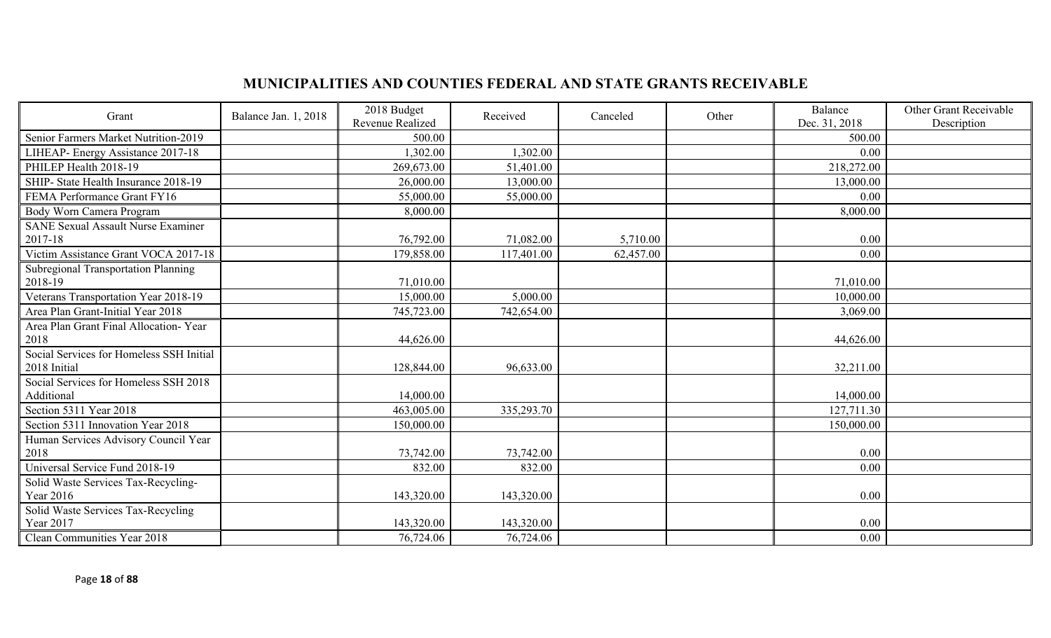## **MUNICIPALITIES AND COUNTIES FEDERAL AND STATE GRANTS RECEIVABLE**

| Grant                                                    | Balance Jan. 1, 2018 | 2018 Budget<br>Revenue Realized | Received   | Canceled  | Other | Balance<br>Dec. 31, 2018 | Other Grant Receivable<br>Description |
|----------------------------------------------------------|----------------------|---------------------------------|------------|-----------|-------|--------------------------|---------------------------------------|
| Senior Farmers Market Nutrition-2019                     |                      | 500.00                          |            |           |       | 500.00                   |                                       |
| LIHEAP- Energy Assistance 2017-18                        |                      | 1,302.00                        | 1,302.00   |           |       | 0.00                     |                                       |
| PHILEP Health 2018-19                                    |                      | 269,673.00                      | 51,401.00  |           |       | 218,272.00               |                                       |
| SHIP- State Health Insurance 2018-19                     |                      | 26,000.00                       | 13,000.00  |           |       | 13,000.00                |                                       |
| FEMA Performance Grant FY16                              |                      | 55,000.00                       | 55,000.00  |           |       | 0.00                     |                                       |
| Body Worn Camera Program                                 |                      | 8,000.00                        |            |           |       | 8,000.00                 |                                       |
| <b>SANE Sexual Assault Nurse Examiner</b>                |                      |                                 |            |           |       |                          |                                       |
| 2017-18                                                  |                      | 76,792.00                       | 71,082.00  | 5,710.00  |       | 0.00                     |                                       |
| Victim Assistance Grant VOCA 2017-18                     |                      | 179,858.00                      | 117,401.00 | 62,457.00 |       | 0.00                     |                                       |
| Subregional Transportation Planning<br>2018-19           |                      | 71,010.00                       |            |           |       | 71,010.00                |                                       |
| Veterans Transportation Year 2018-19                     |                      | 15,000.00                       | 5,000.00   |           |       | 10,000.00                |                                       |
| Area Plan Grant-Initial Year 2018                        |                      | 745,723.00                      | 742,654.00 |           |       | 3,069.00                 |                                       |
| Area Plan Grant Final Allocation- Year                   |                      |                                 |            |           |       |                          |                                       |
| 2018                                                     |                      | 44,626.00                       |            |           |       | 44,626.00                |                                       |
| Social Services for Homeless SSH Initial<br>2018 Initial |                      | 128,844.00                      | 96,633.00  |           |       | 32,211.00                |                                       |
| Social Services for Homeless SSH 2018                    |                      |                                 |            |           |       |                          |                                       |
| Additional                                               |                      | 14,000.00                       |            |           |       | 14,000.00                |                                       |
| Section 5311 Year 2018                                   |                      | 463,005.00                      | 335,293.70 |           |       | 127,711.30               |                                       |
| Section 5311 Innovation Year 2018                        |                      | 150,000.00                      |            |           |       | 150,000.00               |                                       |
| Human Services Advisory Council Year                     |                      |                                 |            |           |       |                          |                                       |
| 2018                                                     |                      | 73,742.00                       | 73,742.00  |           |       | 0.00                     |                                       |
| Universal Service Fund 2018-19                           |                      | 832.00                          | 832.00     |           |       | 0.00                     |                                       |
| Solid Waste Services Tax-Recycling-<br>Year 2016         |                      |                                 |            |           |       |                          |                                       |
|                                                          |                      | 143,320.00                      | 143,320.00 |           |       | 0.00                     |                                       |
| Solid Waste Services Tax-Recycling<br>Year 2017          |                      | 143,320.00                      | 143,320.00 |           |       | 0.00                     |                                       |
| Clean Communities Year 2018                              |                      | 76,724.06                       | 76,724.06  |           |       | 0.00                     |                                       |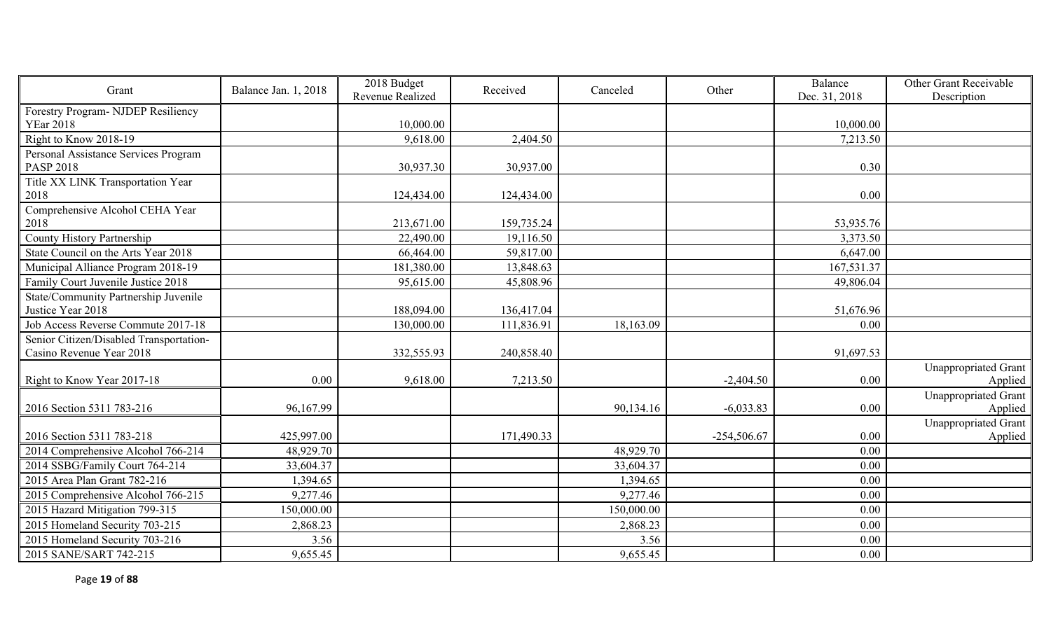| Grant                                   | Balance Jan. 1, 2018 | 2018 Budget<br>Revenue Realized | Received   | Canceled   | Other         | Balance<br>Dec. 31, 2018 | Other Grant Receivable<br>Description |
|-----------------------------------------|----------------------|---------------------------------|------------|------------|---------------|--------------------------|---------------------------------------|
| Forestry Program- NJDEP Resiliency      |                      |                                 |            |            |               |                          |                                       |
| <b>YEar 2018</b>                        |                      | 10,000.00                       |            |            |               | 10,000.00                |                                       |
| Right to Know 2018-19                   |                      | 9,618.00                        | 2,404.50   |            |               | 7,213.50                 |                                       |
| Personal Assistance Services Program    |                      |                                 |            |            |               |                          |                                       |
| <b>PASP 2018</b>                        |                      | 30,937.30                       | 30,937.00  |            |               | 0.30                     |                                       |
| Title XX LINK Transportation Year       |                      |                                 |            |            |               |                          |                                       |
| 2018                                    |                      | 124,434.00                      | 124,434.00 |            |               | 0.00                     |                                       |
| Comprehensive Alcohol CEHA Year         |                      |                                 |            |            |               |                          |                                       |
| 2018                                    |                      | 213,671.00                      | 159,735.24 |            |               | 53,935.76                |                                       |
| County History Partnership              |                      | 22,490.00                       | 19,116.50  |            |               | 3,373.50                 |                                       |
| State Council on the Arts Year 2018     |                      | 66,464.00                       | 59,817.00  |            |               | 6,647.00                 |                                       |
| Municipal Alliance Program 2018-19      |                      | 181,380.00                      | 13,848.63  |            |               | 167,531.37               |                                       |
| Family Court Juvenile Justice 2018      |                      | 95,615.00                       | 45,808.96  |            |               | 49,806.04                |                                       |
| State/Community Partnership Juvenile    |                      |                                 |            |            |               |                          |                                       |
| Justice Year 2018                       |                      | 188,094.00                      | 136,417.04 |            |               | 51,676.96                |                                       |
| Job Access Reverse Commute 2017-18      |                      | 130,000.00                      | 111,836.91 | 18,163.09  |               | 0.00                     |                                       |
| Senior Citizen/Disabled Transportation- |                      |                                 |            |            |               |                          |                                       |
| Casino Revenue Year 2018                |                      | 332,555.93                      | 240,858.40 |            |               | 91,697.53                |                                       |
|                                         |                      |                                 |            |            |               |                          | Unappropriated Grant                  |
| Right to Know Year 2017-18              | 0.00                 | 9,618.00                        | 7,213.50   |            | $-2,404.50$   | 0.00                     | Applied                               |
| 2016 Section 5311 783-216               | 96,167.99            |                                 |            | 90,134.16  | $-6,033.83$   | 0.00                     | Unappropriated Grant<br>Applied       |
|                                         |                      |                                 |            |            |               |                          | Unappropriated Grant                  |
| 2016 Section 5311 783-218               | 425,997.00           |                                 | 171,490.33 |            | $-254,506.67$ | 0.00                     | Applied                               |
| 2014 Comprehensive Alcohol 766-214      | 48,929.70            |                                 |            | 48,929.70  |               | 0.00                     |                                       |
| 2014 SSBG/Family Court 764-214          | 33,604.37            |                                 |            | 33,604.37  |               | 0.00                     |                                       |
| 2015 Area Plan Grant 782-216            | 1,394.65             |                                 |            | 1,394.65   |               | 0.00                     |                                       |
| 2015 Comprehensive Alcohol 766-215      | 9,277.46             |                                 |            | 9,277.46   |               | 0.00                     |                                       |
| 2015 Hazard Mitigation 799-315          | 150,000.00           |                                 |            | 150,000.00 |               | 0.00                     |                                       |
| 2015 Homeland Security 703-215          | 2,868.23             |                                 |            | 2,868.23   |               | 0.00                     |                                       |
| 2015 Homeland Security 703-216          | 3.56                 |                                 |            | 3.56       |               | 0.00                     |                                       |
| 2015 SANE/SART 742-215                  | 9,655.45             |                                 |            | 9,655.45   |               | 0.00                     |                                       |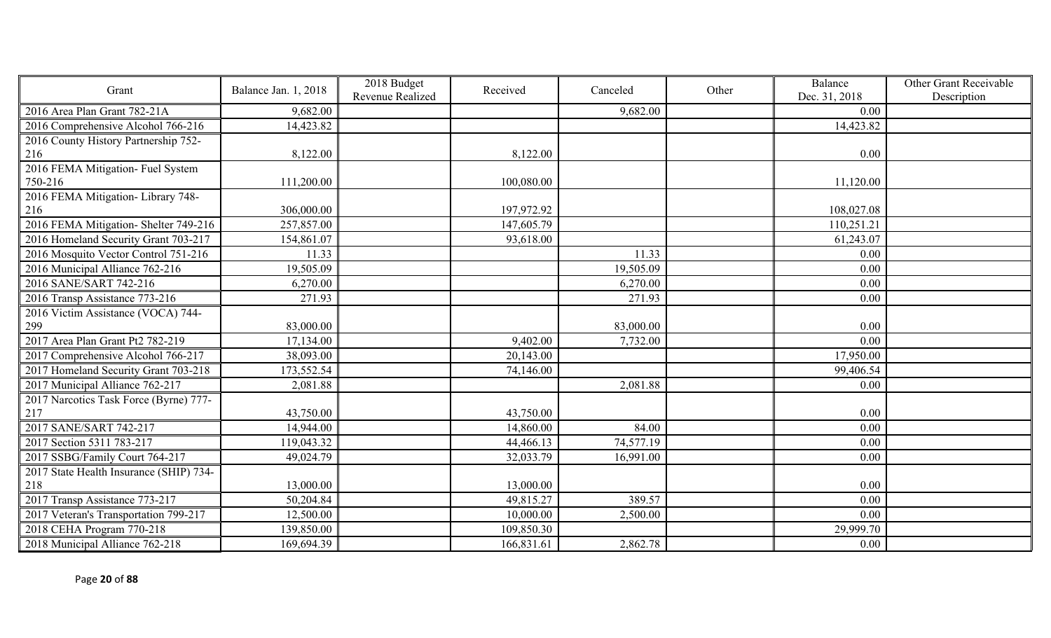| Grant                                   | Balance Jan. 1, 2018 | 2018 Budget<br>Revenue Realized | Received   | Canceled  | Other | Balance<br>Dec. 31, 2018 | Other Grant Receivable<br>Description |
|-----------------------------------------|----------------------|---------------------------------|------------|-----------|-------|--------------------------|---------------------------------------|
| 2016 Area Plan Grant 782-21A            | 9,682.00             |                                 |            | 9,682.00  |       | 0.00                     |                                       |
| 2016 Comprehensive Alcohol 766-216      | 14,423.82            |                                 |            |           |       | 14,423.82                |                                       |
| 2016 County History Partnership 752-    |                      |                                 |            |           |       |                          |                                       |
| 216                                     | 8,122.00             |                                 | 8,122.00   |           |       | 0.00                     |                                       |
| 2016 FEMA Mitigation- Fuel System       |                      |                                 |            |           |       |                          |                                       |
| 750-216                                 | 111,200.00           |                                 | 100,080.00 |           |       | 11,120.00                |                                       |
| 2016 FEMA Mitigation- Library 748-      |                      |                                 |            |           |       |                          |                                       |
| 216                                     | 306,000.00           |                                 | 197,972.92 |           |       | 108,027.08               |                                       |
| 2016 FEMA Mitigation-Shelter 749-216    | 257,857.00           |                                 | 147,605.79 |           |       | 110,251.21               |                                       |
| 2016 Homeland Security Grant 703-217    | 154,861.07           |                                 | 93,618.00  |           |       | 61,243.07                |                                       |
| 2016 Mosquito Vector Control 751-216    | 11.33                |                                 |            | 11.33     |       | 0.00                     |                                       |
| 2016 Municipal Alliance 762-216         | 19,505.09            |                                 |            | 19,505.09 |       | 0.00                     |                                       |
| 2016 SANE/SART 742-216                  | 6,270.00             |                                 |            | 6,270.00  |       | 0.00                     |                                       |
| 2016 Transp Assistance 773-216          | 271.93               |                                 |            | 271.93    |       | 0.00                     |                                       |
| 2016 Victim Assistance (VOCA) 744-      |                      |                                 |            |           |       |                          |                                       |
| 299                                     | 83,000.00            |                                 |            | 83,000.00 |       | 0.00                     |                                       |
| 2017 Area Plan Grant Pt2 782-219        | 17,134.00            |                                 | 9,402.00   | 7,732.00  |       | 0.00                     |                                       |
| 2017 Comprehensive Alcohol 766-217      | 38,093.00            |                                 | 20,143.00  |           |       | 17,950.00                |                                       |
| 2017 Homeland Security Grant 703-218    | 173,552.54           |                                 | 74,146.00  |           |       | 99,406.54                |                                       |
| 2017 Municipal Alliance 762-217         | 2,081.88             |                                 |            | 2,081.88  |       | 0.00                     |                                       |
| 2017 Narcotics Task Force (Byrne) 777-  |                      |                                 |            |           |       |                          |                                       |
| 217                                     | 43,750.00            |                                 | 43,750.00  |           |       | 0.00                     |                                       |
| 2017 SANE/SART 742-217                  | 14,944.00            |                                 | 14,860.00  | 84.00     |       | 0.00                     |                                       |
| 2017 Section 5311 783-217               | 119,043.32           |                                 | 44,466.13  | 74,577.19 |       | 0.00                     |                                       |
| 2017 SSBG/Family Court 764-217          | 49,024.79            |                                 | 32,033.79  | 16,991.00 |       | 0.00                     |                                       |
| 2017 State Health Insurance (SHIP) 734- |                      |                                 |            |           |       |                          |                                       |
| 218                                     | 13,000.00            |                                 | 13,000.00  |           |       | 0.00                     |                                       |
| 2017 Transp Assistance 773-217          | 50,204.84            |                                 | 49,815.27  | 389.57    |       | 0.00                     |                                       |
| 2017 Veteran's Transportation 799-217   | 12,500.00            |                                 | 10,000.00  | 2,500.00  |       | 0.00                     |                                       |
| 2018 CEHA Program 770-218               | 139,850.00           |                                 | 109,850.30 |           |       | 29,999.70                |                                       |
| 2018 Municipal Alliance 762-218         | 169,694.39           |                                 | 166,831.61 | 2,862.78  |       | 0.00                     |                                       |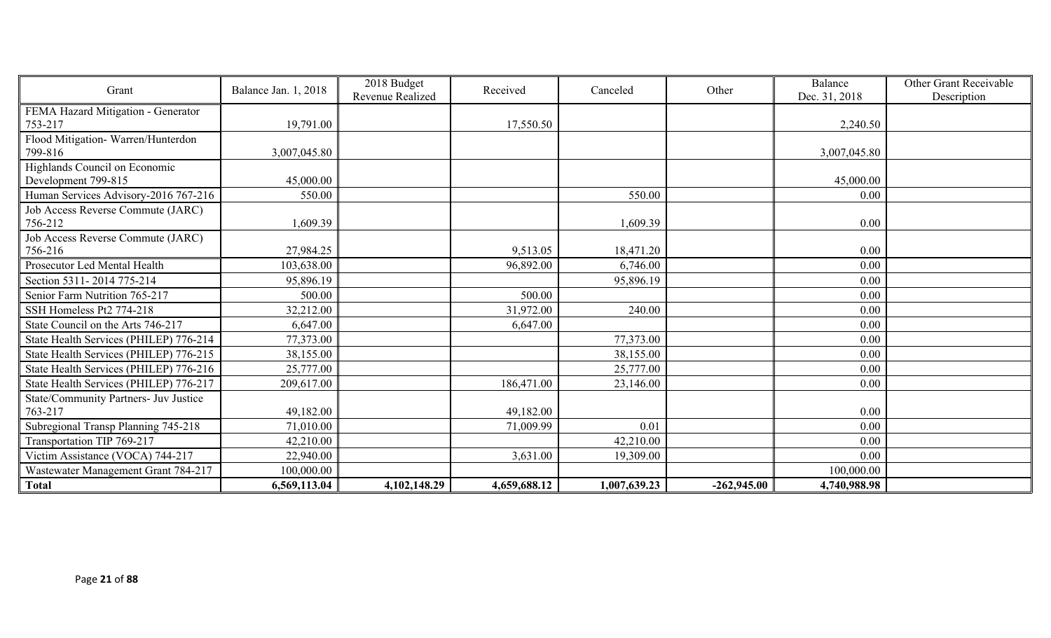| Grant                                  | Balance Jan. 1, 2018 | 2018 Budget<br>Revenue Realized | Received     | Canceled     | Other         | Balance<br>Dec. 31, 2018 | Other Grant Receivable<br>Description |
|----------------------------------------|----------------------|---------------------------------|--------------|--------------|---------------|--------------------------|---------------------------------------|
| FEMA Hazard Mitigation - Generator     |                      |                                 |              |              |               |                          |                                       |
| 753-217                                | 19,791.00            |                                 | 17,550.50    |              |               | 2,240.50                 |                                       |
| Flood Mitigation-Warren/Hunterdon      |                      |                                 |              |              |               |                          |                                       |
| 799-816                                | 3,007,045.80         |                                 |              |              |               | 3,007,045.80             |                                       |
| Highlands Council on Economic          |                      |                                 |              |              |               |                          |                                       |
| Development 799-815                    | 45,000.00            |                                 |              |              |               | 45,000.00                |                                       |
| Human Services Advisory-2016 767-216   | 550.00               |                                 |              | 550.00       |               | 0.00                     |                                       |
| Job Access Reverse Commute (JARC)      |                      |                                 |              |              |               |                          |                                       |
| 756-212                                | 1,609.39             |                                 |              | 1,609.39     |               | 0.00                     |                                       |
| Job Access Reverse Commute (JARC)      |                      |                                 |              |              |               |                          |                                       |
| 756-216                                | 27,984.25            |                                 | 9,513.05     | 18,471.20    |               | 0.00                     |                                       |
| Prosecutor Led Mental Health           | 103,638.00           |                                 | 96,892.00    | 6,746.00     |               | 0.00                     |                                       |
| Section 5311-2014 775-214              | 95,896.19            |                                 |              | 95,896.19    |               | 0.00                     |                                       |
| Senior Farm Nutrition 765-217          | 500.00               |                                 | 500.00       |              |               | 0.00                     |                                       |
| SSH Homeless Pt2 774-218               | 32,212.00            |                                 | 31,972.00    | 240.00       |               | 0.00                     |                                       |
| State Council on the Arts 746-217      | 6,647.00             |                                 | 6,647.00     |              |               | 0.00                     |                                       |
| State Health Services (PHILEP) 776-214 | 77,373.00            |                                 |              | 77,373.00    |               | 0.00                     |                                       |
| State Health Services (PHILEP) 776-215 | 38,155.00            |                                 |              | 38,155.00    |               | 0.00                     |                                       |
| State Health Services (PHILEP) 776-216 | 25,777.00            |                                 |              | 25,777.00    |               | 0.00                     |                                       |
| State Health Services (PHILEP) 776-217 | 209,617.00           |                                 | 186,471.00   | 23,146.00    |               | 0.00                     |                                       |
| State/Community Partners- Juv Justice  |                      |                                 |              |              |               |                          |                                       |
| 763-217                                | 49,182.00            |                                 | 49,182.00    |              |               | 0.00                     |                                       |
| Subregional Transp Planning 745-218    | 71,010.00            |                                 | 71,009.99    | 0.01         |               | 0.00                     |                                       |
| Transportation TIP 769-217             | 42,210.00            |                                 |              | 42,210.00    |               | 0.00                     |                                       |
| Victim Assistance (VOCA) 744-217       | 22,940.00            |                                 | 3,631.00     | 19,309.00    |               | 0.00                     |                                       |
| Wastewater Management Grant 784-217    | 100,000.00           |                                 |              |              |               | 100,000.00               |                                       |
| <b>Total</b>                           | 6,569,113.04         | 4,102,148.29                    | 4,659,688.12 | 1,007,639.23 | $-262,945.00$ | 4,740,988.98             |                                       |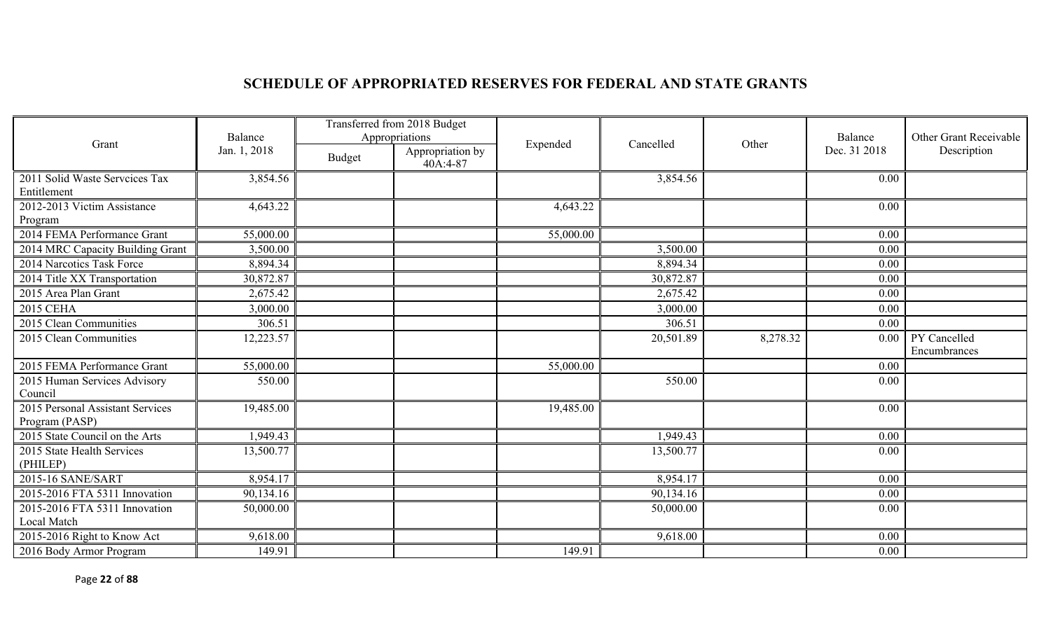# **SCHEDULE OF APPROPRIATED RESERVES FOR FEDERAL AND STATE GRANTS**

|                                                    | Balance      |               | Transferred from 2018 Budget<br>Appropriations |           | Cancelled |          | Balance      | Other Grant Receivable       |
|----------------------------------------------------|--------------|---------------|------------------------------------------------|-----------|-----------|----------|--------------|------------------------------|
| Grant                                              | Jan. 1, 2018 | <b>Budget</b> | Appropriation by<br>40A:4-87                   | Expended  |           | Other    | Dec. 31 2018 | Description                  |
| 2011 Solid Waste Serveices Tax<br>Entitlement      | 3,854.56     |               |                                                |           | 3,854.56  |          | 0.00         |                              |
| 2012-2013 Victim Assistance<br>Program             | 4,643.22     |               |                                                | 4,643.22  |           |          | 0.00         |                              |
| 2014 FEMA Performance Grant                        | 55,000.00    |               |                                                | 55,000.00 |           |          | 0.00         |                              |
| 2014 MRC Capacity Building Grant                   | 3,500.00     |               |                                                |           | 3,500.00  |          | 0.00         |                              |
| 2014 Narcotics Task Force                          | 8,894.34     |               |                                                |           | 8,894.34  |          | 0.00         |                              |
| 2014 Title XX Transportation                       | 30,872.87    |               |                                                |           | 30,872.87 |          | 0.00         |                              |
| 2015 Area Plan Grant                               | 2,675.42     |               |                                                |           | 2,675.42  |          | 0.00         |                              |
| 2015 CEHA                                          | 3,000.00     |               |                                                |           | 3,000.00  |          | 0.00         |                              |
| 2015 Clean Communities                             | 306.51       |               |                                                |           | 306.51    |          | 0.00         |                              |
| 2015 Clean Communities                             | 12,223.57    |               |                                                |           | 20,501.89 | 8,278.32 | 0.00         | PY Cancelled<br>Encumbrances |
| 2015 FEMA Performance Grant                        | 55,000.00    |               |                                                | 55,000.00 |           |          | 0.00         |                              |
| 2015 Human Services Advisory<br>Council            | 550.00       |               |                                                |           | 550.00    |          | 0.00         |                              |
| 2015 Personal Assistant Services<br>Program (PASP) | 19,485.00    |               |                                                | 19,485.00 |           |          | 0.00         |                              |
| 2015 State Council on the Arts                     | 1,949.43     |               |                                                |           | 1,949.43  |          | 0.00         |                              |
| 2015 State Health Services<br>(PHILEP)             | 13,500.77    |               |                                                |           | 13,500.77 |          | 0.00         |                              |
| 2015-16 SANE/SART                                  | 8,954.17     |               |                                                |           | 8,954.17  |          | 0.00         |                              |
| 2015-2016 FTA 5311 Innovation                      | 90,134.16    |               |                                                |           | 90,134.16 |          | 0.00         |                              |
| 2015-2016 FTA 5311 Innovation<br>Local Match       | 50,000.00    |               |                                                |           | 50,000.00 |          | 0.00         |                              |
| 2015-2016 Right to Know Act                        | 9,618.00     |               |                                                |           | 9,618.00  |          | 0.00         |                              |
| 2016 Body Armor Program                            | 149.91       |               |                                                | 149.91    |           |          | 0.00         |                              |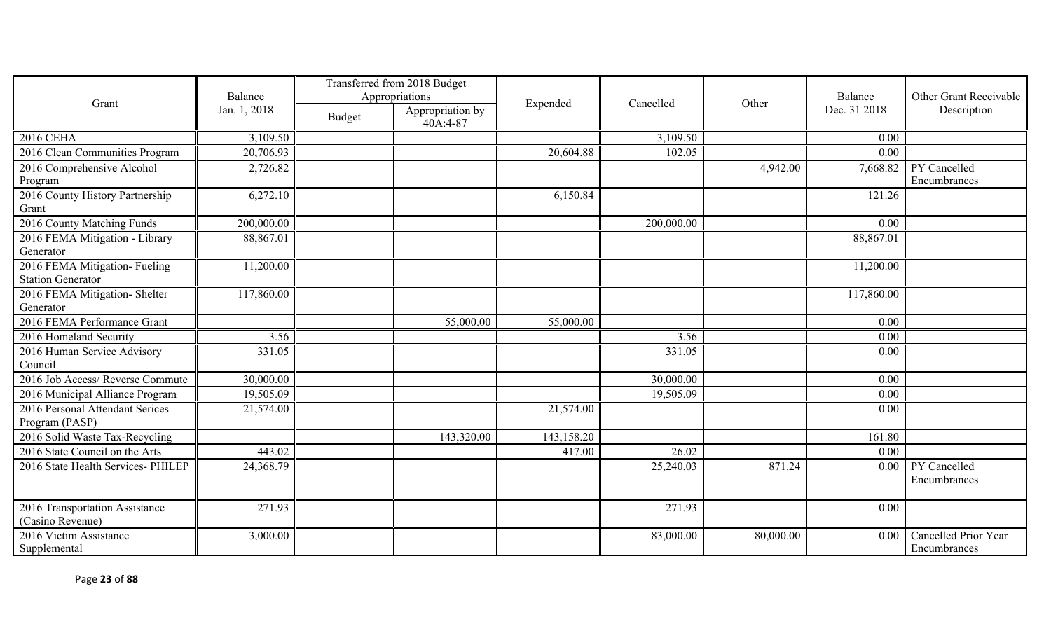|                                                           |                         | Transferred from 2018 Budget |                                                |            |            |           |                         |                                              |
|-----------------------------------------------------------|-------------------------|------------------------------|------------------------------------------------|------------|------------|-----------|-------------------------|----------------------------------------------|
| Grant                                                     | Balance<br>Jan. 1, 2018 | <b>Budget</b>                | Appropriations<br>Appropriation by<br>40A:4-87 | Expended   | Cancelled  | Other     | Balance<br>Dec. 31 2018 | <b>Other Grant Receivable</b><br>Description |
| <b>2016 CEHA</b>                                          | 3,109.50                |                              |                                                |            | 3,109.50   |           | 0.00                    |                                              |
| 2016 Clean Communities Program                            | 20,706.93               |                              |                                                | 20,604.88  | 102.05     |           | 0.00                    |                                              |
| 2016 Comprehensive Alcohol<br>Program                     | 2,726.82                |                              |                                                |            |            | 4,942.00  | 7,668.82                | PY Cancelled<br>Encumbrances                 |
| 2016 County History Partnership<br>Grant                  | 6,272.10                |                              |                                                | 6,150.84   |            |           | 121.26                  |                                              |
| 2016 County Matching Funds                                | 200,000.00              |                              |                                                |            | 200,000.00 |           | 0.00                    |                                              |
| 2016 FEMA Mitigation - Library<br>Generator               | 88,867.01               |                              |                                                |            |            |           | 88,867.01               |                                              |
| 2016 FEMA Mitigation- Fueling<br><b>Station Generator</b> | 11,200.00               |                              |                                                |            |            |           | 11,200.00               |                                              |
| 2016 FEMA Mitigation- Shelter<br>Generator                | 117,860.00              |                              |                                                |            |            |           | 117,860.00              |                                              |
| 2016 FEMA Performance Grant                               |                         |                              | 55,000.00                                      | 55,000.00  |            |           | 0.00                    |                                              |
| 2016 Homeland Security                                    | 3.56                    |                              |                                                |            | 3.56       |           | 0.00                    |                                              |
| 2016 Human Service Advisory<br>Council                    | 331.05                  |                              |                                                |            | 331.05     |           | 0.00                    |                                              |
| 2016 Job Access/ Reverse Commute                          | 30,000.00               |                              |                                                |            | 30,000.00  |           | 0.00                    |                                              |
| 2016 Municipal Alliance Program                           | 19,505.09               |                              |                                                |            | 19,505.09  |           | 0.00                    |                                              |
| 2016 Personal Attendant Serices<br>Program (PASP)         | 21,574.00               |                              |                                                | 21,574.00  |            |           | 0.00                    |                                              |
| 2016 Solid Waste Tax-Recycling                            |                         |                              | 143,320.00                                     | 143,158.20 |            |           | 161.80                  |                                              |
| 2016 State Council on the Arts                            | 443.02                  |                              |                                                | 417.00     | 26.02      |           | 0.00                    |                                              |
| 2016 State Health Services- PHILEP                        | 24,368.79               |                              |                                                |            | 25,240.03  | 871.24    | 0.00                    | PY Cancelled<br>Encumbrances                 |
| 2016 Transportation Assistance<br>(Casino Revenue)        | 271.93                  |                              |                                                |            | 271.93     |           | 0.00                    |                                              |
| 2016 Victim Assistance<br>Supplemental                    | 3,000.00                |                              |                                                |            | 83,000.00  | 80,000.00 | 0.00                    | Cancelled Prior Year<br>Encumbrances         |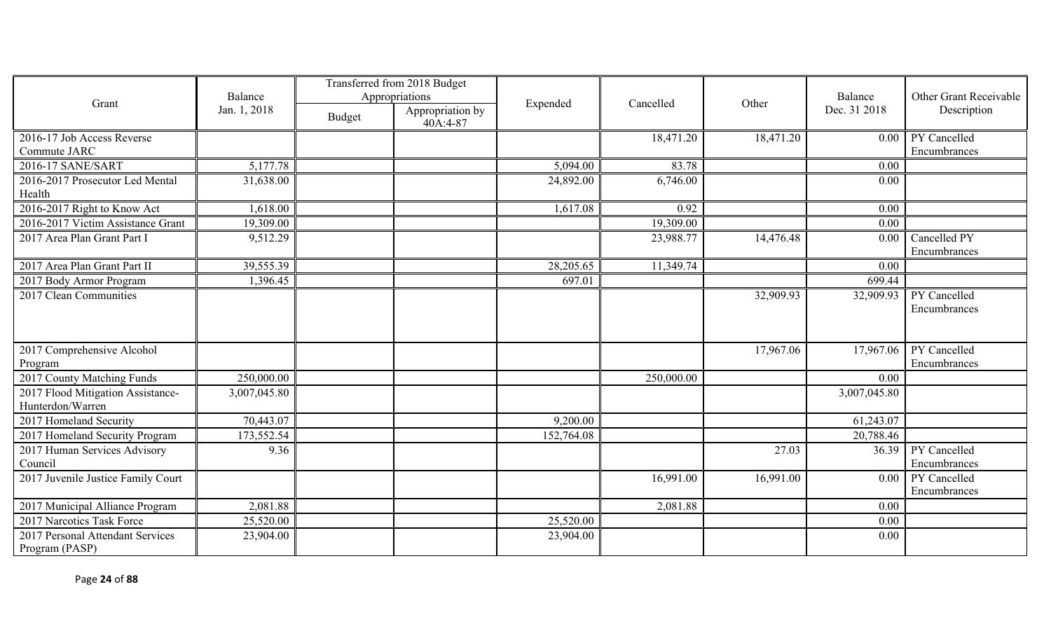|                                                       |              |               | Transferred from 2018 Budget |            |            |           |              |                               |
|-------------------------------------------------------|--------------|---------------|------------------------------|------------|------------|-----------|--------------|-------------------------------|
| Grant                                                 | Balance      |               | Appropriations               | Expended   | Cancelled  | Other     | Balance      | <b>Other Grant Receivable</b> |
|                                                       | Jan. 1, 2018 | <b>Budget</b> | Appropriation by<br>40A:4-87 |            |            |           | Dec. 31 2018 | Description                   |
| 2016-17 Job Access Reverse                            |              |               |                              |            | 18,471.20  | 18,471.20 | 0.00         | PY Cancelled                  |
| Commute JARC                                          |              |               |                              |            |            |           |              | Encumbrances                  |
| 2016-17 SANE/SART                                     | 5,177.78     |               |                              | 5,094.00   | 83.78      |           | 0.00         |                               |
| 2016-2017 Prosecutor Led Mental                       | 31,638.00    |               |                              | 24,892.00  | 6,746.00   |           | 0.00         |                               |
| Health                                                |              |               |                              |            |            |           |              |                               |
| 2016-2017 Right to Know Act                           | 1,618.00     |               |                              | 1,617.08   | 0.92       |           | 0.00         |                               |
| 2016-2017 Victim Assistance Grant                     | 19,309.00    |               |                              |            | 19,309.00  |           | 0.00         |                               |
| 2017 Area Plan Grant Part I                           | 9,512.29     |               |                              |            | 23,988.77  | 14,476.48 | 0.00         | Cancelled PY<br>Encumbrances  |
| 2017 Area Plan Grant Part II                          | 39,555.39    |               |                              | 28,205.65  | 11,349.74  |           | 0.00         |                               |
| 2017 Body Armor Program                               | 1,396.45     |               |                              | 697.01     |            |           | 699.44       |                               |
| 2017 Clean Communities                                |              |               |                              |            |            | 32,909.93 | 32,909.93    | PY Cancelled<br>Encumbrances  |
| 2017 Comprehensive Alcohol<br>Program                 |              |               |                              |            |            | 17,967.06 | 17,967.06    | PY Cancelled<br>Encumbrances  |
| 2017 County Matching Funds                            | 250,000.00   |               |                              |            | 250,000.00 |           | 0.00         |                               |
| 2017 Flood Mitigation Assistance-<br>Hunterdon/Warren | 3,007,045.80 |               |                              |            |            |           | 3,007,045.80 |                               |
| 2017 Homeland Security                                | 70,443.07    |               |                              | 9,200.00   |            |           | 61,243.07    |                               |
| 2017 Homeland Security Program                        | 173,552.54   |               |                              | 152,764.08 |            |           | 20,788.46    |                               |
| 2017 Human Services Advisory<br>Council               | 9.36         |               |                              |            |            | 27.03     | 36.39        | PY Cancelled<br>Encumbrances  |
| 2017 Juvenile Justice Family Court                    |              |               |                              |            | 16,991.00  | 16,991.00 | 0.00         | PY Cancelled<br>Encumbrances  |
| 2017 Municipal Alliance Program                       | 2,081.88     |               |                              |            | 2,081.88   |           | 0.00         |                               |
| 2017 Narcotics Task Force                             | 25,520.00    |               |                              | 25,520.00  |            |           | 0.00         |                               |
| 2017 Personal Attendant Services<br>Program (PASP)    | 23,904.00    |               |                              | 23,904.00  |            |           | 0.00         |                               |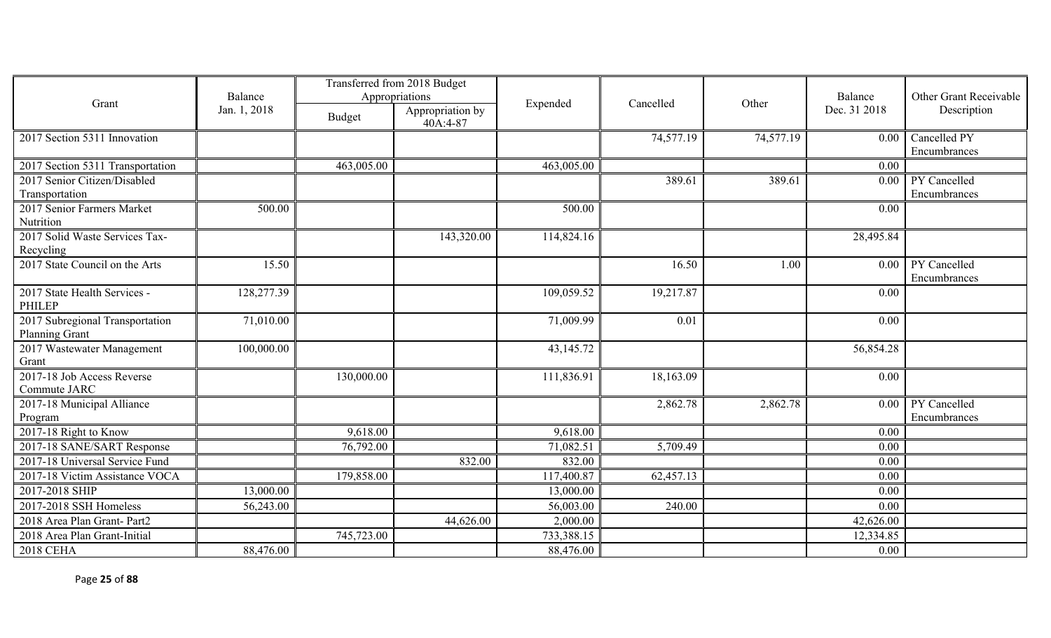|                                                          | Transferred from 2018 Budget |               |                              |            |           |           |              |                              |
|----------------------------------------------------------|------------------------------|---------------|------------------------------|------------|-----------|-----------|--------------|------------------------------|
| Grant                                                    | Balance                      |               | Appropriations               | Expended   | Cancelled | Other     | Balance      | Other Grant Receivable       |
|                                                          | Jan. 1, 2018                 | <b>Budget</b> | Appropriation by<br>40A:4-87 |            |           |           | Dec. 31 2018 | Description                  |
| 2017 Section 5311 Innovation                             |                              |               |                              |            | 74,577.19 | 74,577.19 | 0.00         | Cancelled PY<br>Encumbrances |
| 2017 Section 5311 Transportation                         |                              | 463,005.00    |                              | 463,005.00 |           |           | 0.00         |                              |
| 2017 Senior Citizen/Disabled                             |                              |               |                              |            | 389.61    | 389.61    | 0.00         | PY Cancelled                 |
| Transportation                                           |                              |               |                              |            |           |           |              | Encumbrances                 |
| 2017 Senior Farmers Market<br>Nutrition                  | 500.00                       |               |                              | 500.00     |           |           | 0.00         |                              |
| 2017 Solid Waste Services Tax-<br>Recycling              |                              |               | 143,320.00                   | 114,824.16 |           |           | 28,495.84    |                              |
| 2017 State Council on the Arts                           | 15.50                        |               |                              |            | 16.50     | 1.00      | 0.00         | PY Cancelled<br>Encumbrances |
| 2017 State Health Services -<br><b>PHILEP</b>            | 128,277.39                   |               |                              | 109,059.52 | 19,217.87 |           | 0.00         |                              |
| 2017 Subregional Transportation<br><b>Planning Grant</b> | 71,010.00                    |               |                              | 71,009.99  | 0.01      |           | 0.00         |                              |
| 2017 Wastewater Management<br>Grant                      | 100,000.00                   |               |                              | 43,145.72  |           |           | 56,854.28    |                              |
| 2017-18 Job Access Reverse<br>Commute JARC               |                              | 130,000.00    |                              | 111,836.91 | 18,163.09 |           | 0.00         |                              |
| 2017-18 Municipal Alliance<br>Program                    |                              |               |                              |            | 2,862.78  | 2,862.78  | 0.00         | PY Cancelled<br>Encumbrances |
| 2017-18 Right to Know                                    |                              | 9,618.00      |                              | 9,618.00   |           |           | 0.00         |                              |
| 2017-18 SANE/SART Response                               |                              | 76,792.00     |                              | 71,082.51  | 5,709.49  |           | 0.00         |                              |
| 2017-18 Universal Service Fund                           |                              |               | 832.00                       | 832.00     |           |           | 0.00         |                              |
| 2017-18 Victim Assistance VOCA                           |                              | 179,858.00    |                              | 117,400.87 | 62,457.13 |           | 0.00         |                              |
| 2017-2018 SHIP                                           | 13,000.00                    |               |                              | 13,000.00  |           |           | 0.00         |                              |
| 2017-2018 SSH Homeless                                   | 56,243.00                    |               |                              | 56,003.00  | 240.00    |           | 0.00         |                              |
| 2018 Area Plan Grant- Part2                              |                              |               | 44,626.00                    | 2,000.00   |           |           | 42,626.00    |                              |
| 2018 Area Plan Grant-Initial                             |                              | 745,723.00    |                              | 733,388.15 |           |           | 12,334.85    |                              |
| <b>2018 CEHA</b>                                         | 88,476.00                    |               |                              | 88,476.00  |           |           | 0.00         |                              |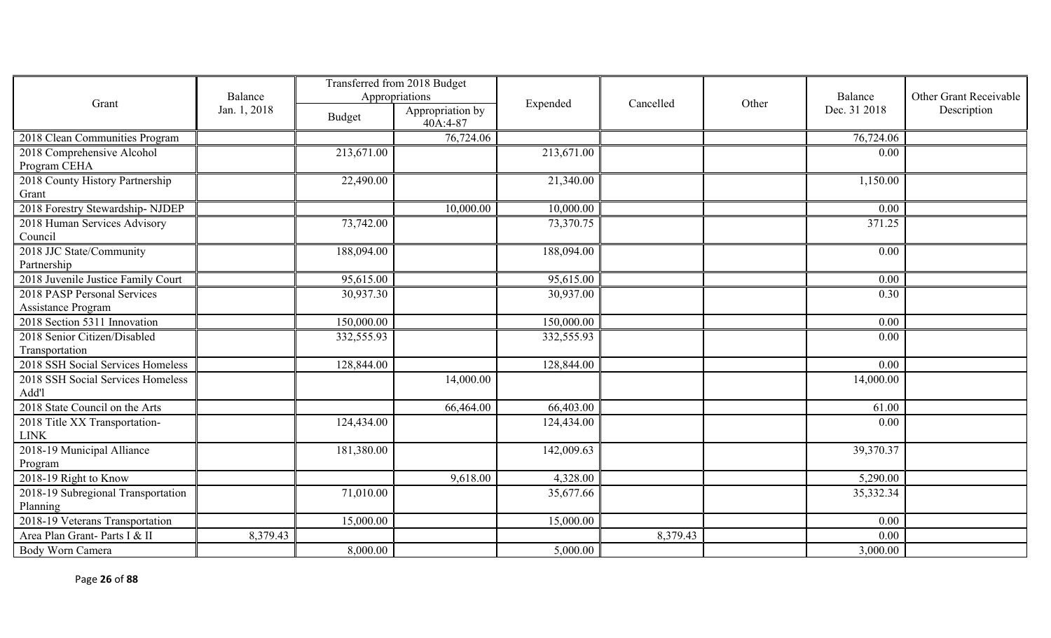|                                                             |              | Transferred from 2018 Budget |                              |            |           |       |              |                        |
|-------------------------------------------------------------|--------------|------------------------------|------------------------------|------------|-----------|-------|--------------|------------------------|
| Grant                                                       | Balance      |                              | Appropriations               | Expended   | Cancelled | Other | Balance      | Other Grant Receivable |
|                                                             | Jan. 1, 2018 | Budget                       | Appropriation by<br>40A:4-87 |            |           |       | Dec. 31 2018 | Description            |
| 2018 Clean Communities Program                              |              |                              | 76,724.06                    |            |           |       | 76,724.06    |                        |
| 2018 Comprehensive Alcohol                                  |              | 213,671.00                   |                              | 213,671.00 |           |       | 0.00         |                        |
| Program CEHA                                                |              |                              |                              |            |           |       |              |                        |
| 2018 County History Partnership                             |              | 22,490.00                    |                              | 21,340.00  |           |       | 1,150.00     |                        |
| Grant                                                       |              |                              |                              |            |           |       |              |                        |
| 2018 Forestry Stewardship-NJDEP                             |              |                              | 10,000.00                    | 10,000.00  |           |       | 0.00         |                        |
| 2018 Human Services Advisory                                |              | 73,742.00                    |                              | 73,370.75  |           |       | 371.25       |                        |
| Council                                                     |              |                              |                              |            |           |       |              |                        |
| 2018 JJC State/Community                                    |              | 188,094.00                   |                              | 188,094.00 |           |       | 0.00         |                        |
| Partnership                                                 |              |                              |                              |            |           |       |              |                        |
| 2018 Juvenile Justice Family Court                          |              | 95,615.00                    |                              | 95,615.00  |           |       | 0.00         |                        |
| 2018 PASP Personal Services                                 |              | 30,937.30                    |                              | 30,937.00  |           |       | 0.30         |                        |
| Assistance Program                                          |              |                              |                              |            |           |       |              |                        |
| 2018 Section 5311 Innovation                                |              | 150,000.00                   |                              | 150,000.00 |           |       | 0.00         |                        |
| 2018 Senior Citizen/Disabled                                |              | 332,555.93                   |                              | 332,555.93 |           |       | 0.00         |                        |
| Transportation                                              |              |                              |                              |            |           |       |              |                        |
| 2018 SSH Social Services Homeless                           |              | 128,844.00                   |                              | 128,844.00 |           |       | 0.00         |                        |
| 2018 SSH Social Services Homeless                           |              |                              | 14,000.00                    |            |           |       | 14,000.00    |                        |
| Add'l                                                       |              |                              |                              |            |           |       |              |                        |
| 2018 State Council on the Arts                              |              |                              | 66,464.00                    | 66,403.00  |           |       | 61.00        |                        |
| 2018 Title XX Transportation-<br>$\ensuremath{\text{LINK}}$ |              | 124,434.00                   |                              | 124,434.00 |           |       | 0.00         |                        |
| 2018-19 Municipal Alliance                                  |              | 181,380.00                   |                              | 142,009.63 |           |       | 39,370.37    |                        |
| Program                                                     |              |                              |                              |            |           |       |              |                        |
| 2018-19 Right to Know                                       |              |                              | 9,618.00                     | 4,328.00   |           |       | 5,290.00     |                        |
| 2018-19 Subregional Transportation                          |              | 71,010.00                    |                              | 35,677.66  |           |       | 35,332.34    |                        |
| Planning                                                    |              |                              |                              |            |           |       |              |                        |
| 2018-19 Veterans Transportation                             |              | 15,000.00                    |                              | 15,000.00  |           |       | 0.00         |                        |
| Area Plan Grant- Parts I & II                               | 8,379.43     |                              |                              |            | 8,379.43  |       | 0.00         |                        |
| Body Worn Camera                                            |              | 8,000.00                     |                              | 5,000.00   |           |       | 3,000.00     |                        |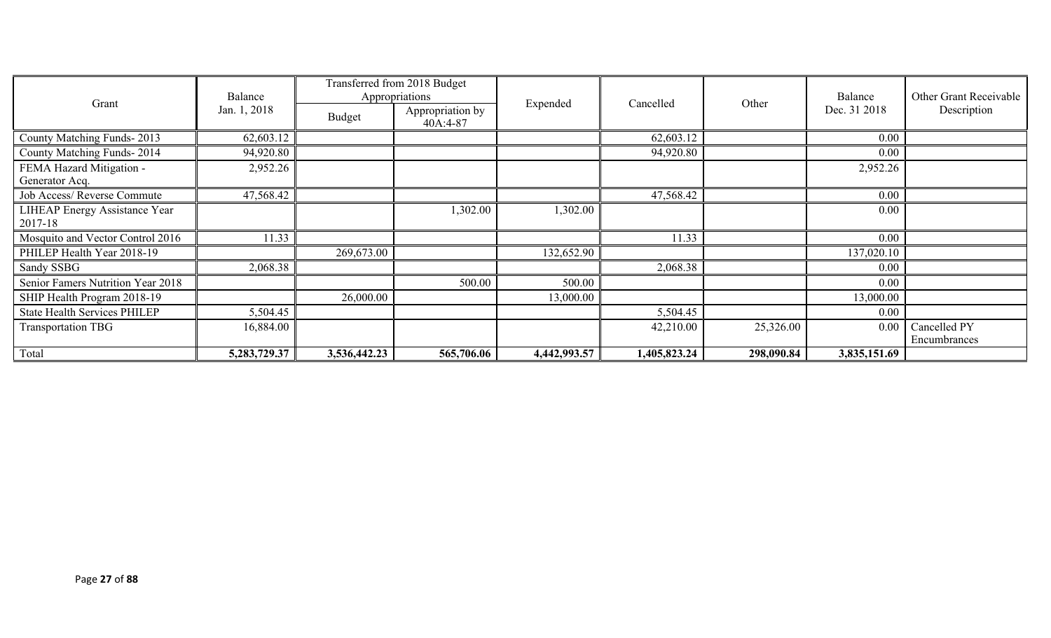|                                      | Transferred from 2018 Budget<br>Balance<br>Appropriations |              |                                |              |              | Balance            | Other Grant Receivable |              |  |              |             |
|--------------------------------------|-----------------------------------------------------------|--------------|--------------------------------|--------------|--------------|--------------------|------------------------|--------------|--|--------------|-------------|
| Grant                                | Jan. 1, 2018                                              | Budget       | Appropriation by<br>$40A:4-87$ |              |              | Other<br>Cancelled |                        | Expended     |  | Dec. 31 2018 | Description |
| County Matching Funds-2013           | 62,603.12                                                 |              |                                |              | 62,603.12    |                    | 0.00                   |              |  |              |             |
| County Matching Funds-2014           | 94,920.80                                                 |              |                                |              | 94,920.80    |                    | 0.00                   |              |  |              |             |
| FEMA Hazard Mitigation -             | 2,952.26                                                  |              |                                |              |              |                    | 2,952.26               |              |  |              |             |
| Generator Acq.                       |                                                           |              |                                |              |              |                    |                        |              |  |              |             |
| Job Access/Reverse Commute           | 47,568.42                                                 |              |                                |              | 47,568.42    |                    | 0.00                   |              |  |              |             |
| <b>LIHEAP Energy Assistance Year</b> |                                                           |              | 1,302.00                       | 1,302.00     |              |                    | 0.00                   |              |  |              |             |
| 2017-18                              |                                                           |              |                                |              |              |                    |                        |              |  |              |             |
| Mosquito and Vector Control 2016     | 11.33                                                     |              |                                |              | 11.33        |                    | 0.00                   |              |  |              |             |
| PHILEP Health Year 2018-19           |                                                           | 269,673.00   |                                | 132,652.90   |              |                    | 137,020.10             |              |  |              |             |
| Sandy SSBG                           | 2,068.38                                                  |              |                                |              | 2,068.38     |                    | 0.00                   |              |  |              |             |
| Senior Famers Nutrition Year 2018    |                                                           |              | 500.00                         | 500.00       |              |                    | 0.00                   |              |  |              |             |
| SHIP Health Program 2018-19          |                                                           | 26,000.00    |                                | 13,000.00    |              |                    | 13,000.00              |              |  |              |             |
| <b>State Health Services PHILEP</b>  | 5,504.45                                                  |              |                                |              | 5,504.45     |                    | 0.00                   |              |  |              |             |
| Transportation TBG                   | 16,884.00                                                 |              |                                |              | 42,210.00    | 25,326.00          | 0.00                   | Cancelled PY |  |              |             |
|                                      |                                                           |              |                                |              |              |                    |                        | Encumbrances |  |              |             |
| Total                                | 5,283,729.37                                              | 3,536,442.23 | 565,706.06                     | 4,442,993.57 | 1,405,823.24 | 298,090.84         | 3,835,151.69           |              |  |              |             |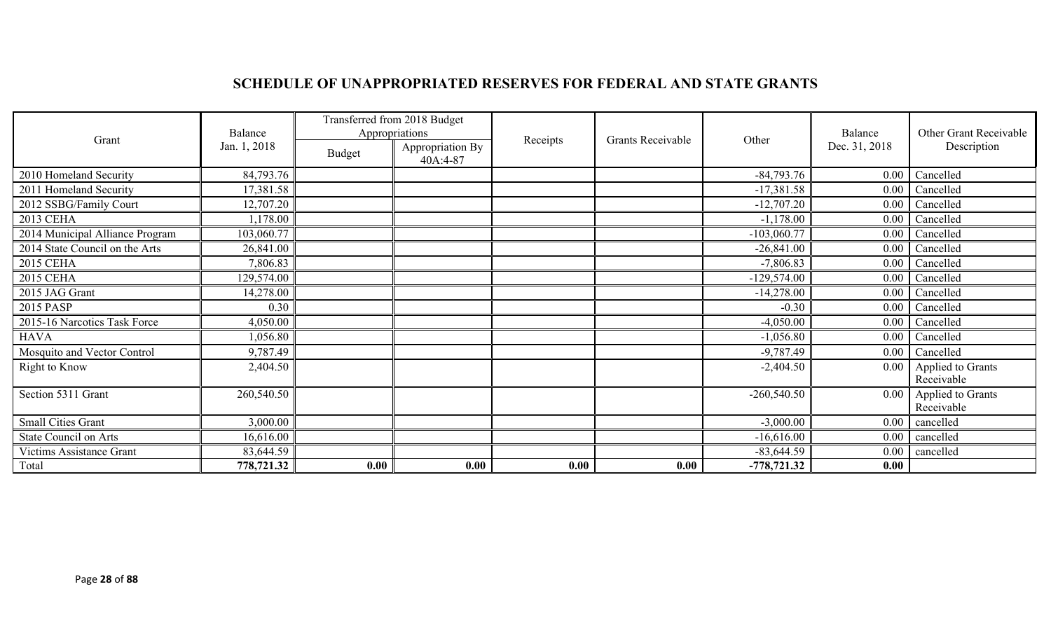## **SCHEDULE OF UNAPPROPRIATED RESERVES FOR FEDERAL AND STATE GRANTS**

| Grant                           | Balance      | Transferred from 2018 Budget<br>Appropriations |                              | Receipts |                   |               | Balance       | Other Grant Receivable          |
|---------------------------------|--------------|------------------------------------------------|------------------------------|----------|-------------------|---------------|---------------|---------------------------------|
|                                 | Jan. 1, 2018 | <b>Budget</b>                                  | Appropriation By<br>40A:4-87 |          | Grants Receivable | Other         | Dec. 31, 2018 | Description                     |
| 2010 Homeland Security          | 84,793.76    |                                                |                              |          |                   | $-84,793.76$  | $0.00\,$      | Cancelled                       |
| 2011 Homeland Security          | 17,381.58    |                                                |                              |          |                   | $-17,381.58$  |               | $0.00$ Cancelled                |
| 2012 SSBG/Family Court          | 12,707.20    |                                                |                              |          |                   | $-12,707.20$  | 0.00          | Cancelled                       |
| 2013 CEHA                       | 1,178.00     |                                                |                              |          |                   | $-1,178.00$   | $0.00\,$      | Cancelled                       |
| 2014 Municipal Alliance Program | 103,060.77   |                                                |                              |          |                   | $-103,060.77$ | 0.00          | Cancelled                       |
| 2014 State Council on the Arts  | 26,841.00    |                                                |                              |          |                   | $-26,841.00$  | $0.00\,$      | Cancelled                       |
| <b>2015 CEHA</b>                | 7,806.83     |                                                |                              |          |                   | $-7,806.83$   | $0.00\,$      | Cancelled                       |
| <b>2015 CEHA</b>                | 129,574.00   |                                                |                              |          |                   | $-129,574.00$ | $0.00\,$      | Cancelled                       |
| 2015 JAG Grant                  | 14,278.00    |                                                |                              |          |                   | $-14,278.00$  | 0.00          | Cancelled                       |
| 2015 PASP                       | 0.30         |                                                |                              |          |                   | $-0.30$       | $0.00\,$      | Cancelled                       |
| 2015-16 Narcotics Task Force    | 4,050.00     |                                                |                              |          |                   | $-4,050.00$   | $0.00\,$      | Cancelled                       |
| <b>HAVA</b>                     | 1,056.80     |                                                |                              |          |                   | $-1,056.80$   | $0.00\,$      | Cancelled                       |
| Mosquito and Vector Control     | 9,787.49     |                                                |                              |          |                   | $-9,787.49$   | $0.00\,$      | Cancelled                       |
| <b>Right to Know</b>            | 2,404.50     |                                                |                              |          |                   | $-2,404.50$   | $0.00\,$      | Applied to Grants<br>Receivable |
| Section 5311 Grant              | 260,540.50   |                                                |                              |          |                   | $-260,540.50$ | 0.00          | Applied to Grants<br>Receivable |
| <b>Small Cities Grant</b>       | 3,000.00     |                                                |                              |          |                   | $-3,000.00$   | $0.00\,$      | cancelled                       |
| <b>State Council on Arts</b>    | 16,616.00    |                                                |                              |          |                   | $-16,616.00$  | $0.00\,$      | cancelled                       |
| Victims Assistance Grant        | 83,644.59    |                                                |                              |          |                   | $-83,644.59$  | $0.00\,$      | cancelled                       |
| Total                           | 778,721.32   | 0.00                                           | 0.00                         | 0.00     | 0.00              | $-778,721.32$ | 0.00          |                                 |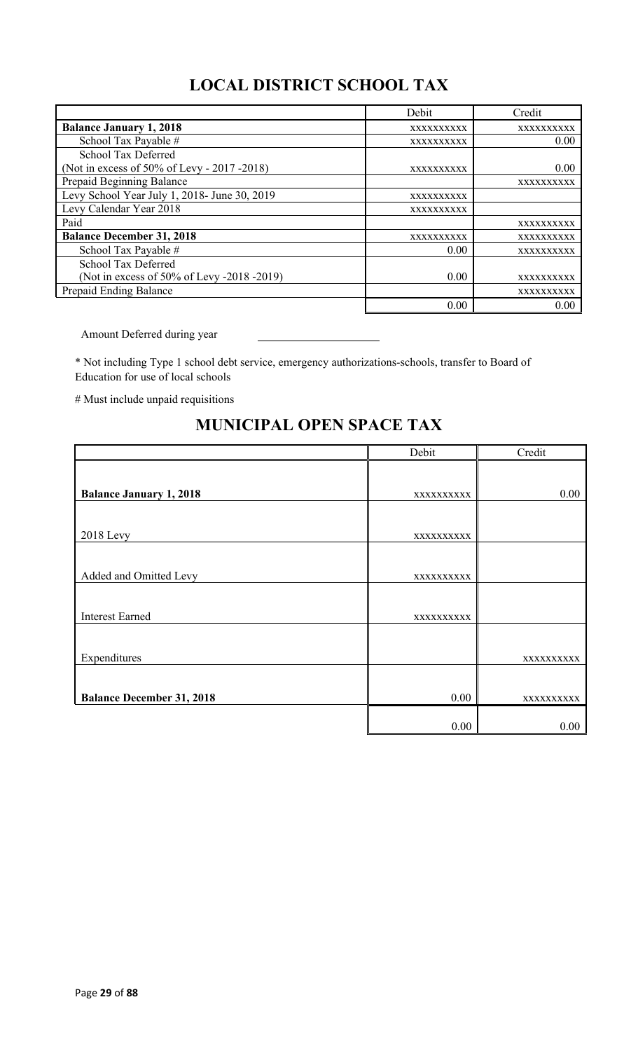# **LOCAL DISTRICT SCHOOL TAX**

|                                              | Debit      | Credit     |
|----------------------------------------------|------------|------------|
| <b>Balance January 1, 2018</b>               | XXXXXXXXXX | XXXXXXXXXX |
| School Tax Payable #                         | XXXXXXXXXX | 0.00       |
| School Tax Deferred                          |            |            |
| (Not in excess of 50% of Levy - 2017 -2018)  | XXXXXXXXXX | 0.00       |
| Prepaid Beginning Balance                    |            | XXXXXXXXXX |
| Levy School Year July 1, 2018- June 30, 2019 | XXXXXXXXXX |            |
| Levy Calendar Year 2018                      | XXXXXXXXXX |            |
| Paid                                         |            | XXXXXXXXXX |
| <b>Balance December 31, 2018</b>             | XXXXXXXXXX | XXXXXXXXXX |
| School Tax Payable #                         | 0.00       | XXXXXXXXXX |
| School Tax Deferred                          |            |            |
| (Not in excess of 50% of Levy -2018 -2019)   | 0.00       | XXXXXXXXXX |
| Prepaid Ending Balance                       |            | XXXXXXXXXX |
|                                              | 0.00       | 0.00       |

Amount Deferred during year

\* Not including Type 1 school debt service, emergency authorizations-schools, transfer to Board of Education for use of local schools

# Must include unpaid requisitions

## **MUNICIPAL OPEN SPACE TAX**

|                                  | Debit      | Credit     |
|----------------------------------|------------|------------|
|                                  |            |            |
| <b>Balance January 1, 2018</b>   | XXXXXXXXXX | 0.00       |
|                                  |            |            |
| 2018 Levy                        | XXXXXXXXX  |            |
|                                  |            |            |
| Added and Omitted Levy           | XXXXXXXXXX |            |
|                                  |            |            |
| <b>Interest Earned</b>           | XXXXXXXXXX |            |
|                                  |            |            |
| Expenditures                     |            | XXXXXXXXX  |
|                                  |            |            |
| <b>Balance December 31, 2018</b> | 0.00       | XXXXXXXXXX |
|                                  | 0.00       | 0.00       |
|                                  |            |            |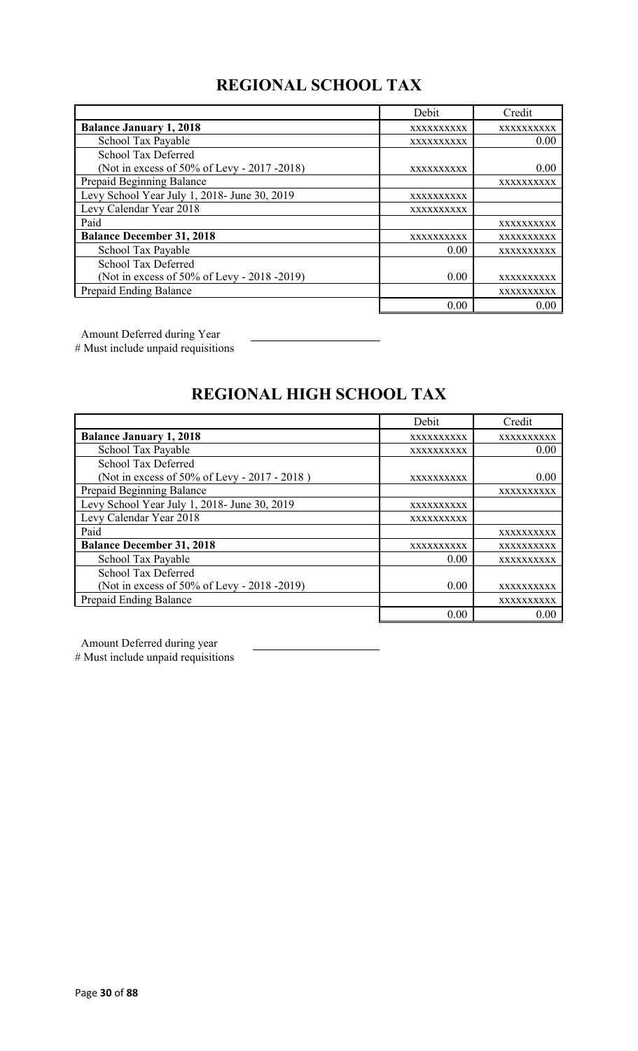# **REGIONAL SCHOOL TAX**

|                                              | Debit      | Credit     |
|----------------------------------------------|------------|------------|
| <b>Balance January 1, 2018</b>               | XXXXXXXXXX | XXXXXXXXXX |
| School Tax Payable                           | XXXXXXXXXX | 0.00       |
| School Tax Deferred                          |            |            |
| (Not in excess of 50% of Levy - 2017 -2018)  | XXXXXXXXXX | 0.00       |
| Prepaid Beginning Balance                    |            | XXXXXXXXXX |
| Levy School Year July 1, 2018- June 30, 2019 | XXXXXXXXXX |            |
| Levy Calendar Year 2018                      | XXXXXXXXXX |            |
| Paid                                         |            | XXXXXXXXXX |
| <b>Balance December 31, 2018</b>             | XXXXXXXXXX | XXXXXXXXXX |
| School Tax Payable                           | 0.00       | XXXXXXXXXX |
| <b>School Tax Deferred</b>                   |            |            |
| (Not in excess of 50% of Levy - 2018 -2019)  | 0.00       | XXXXXXXXXX |
| Prepaid Ending Balance                       |            | XXXXXXXXXX |
|                                              | 0.00       | 0.00       |

Amount Deferred during Year

# Must include unpaid requisitions

# **REGIONAL HIGH SCHOOL TAX**

|                                              | Debit      | Credit     |
|----------------------------------------------|------------|------------|
| <b>Balance January 1, 2018</b>               | XXXXXXXXXX | XXXXXXXXXX |
| School Tax Payable                           | XXXXXXXXXX | 0.00       |
| School Tax Deferred                          |            |            |
| (Not in excess of 50% of Levy - 2017 - 2018) | XXXXXXXXXX | 0.00       |
| Prepaid Beginning Balance                    |            | XXXXXXXXXX |
| Levy School Year July 1, 2018- June 30, 2019 | XXXXXXXXXX |            |
| Levy Calendar Year 2018                      | XXXXXXXXXX |            |
| Paid                                         |            | XXXXXXXXXX |
| <b>Balance December 31, 2018</b>             | XXXXXXXXXX | XXXXXXXXXX |
| School Tax Payable                           | 0.00       | XXXXXXXXXX |
| <b>School Tax Deferred</b>                   |            |            |
| (Not in excess of 50% of Levy - 2018 -2019)  | 0.00       | XXXXXXXXXX |
| Prepaid Ending Balance                       |            | XXXXXXXXXX |
|                                              | 0.00       | 0.00       |

Amount Deferred during year

# Must include unpaid requisitions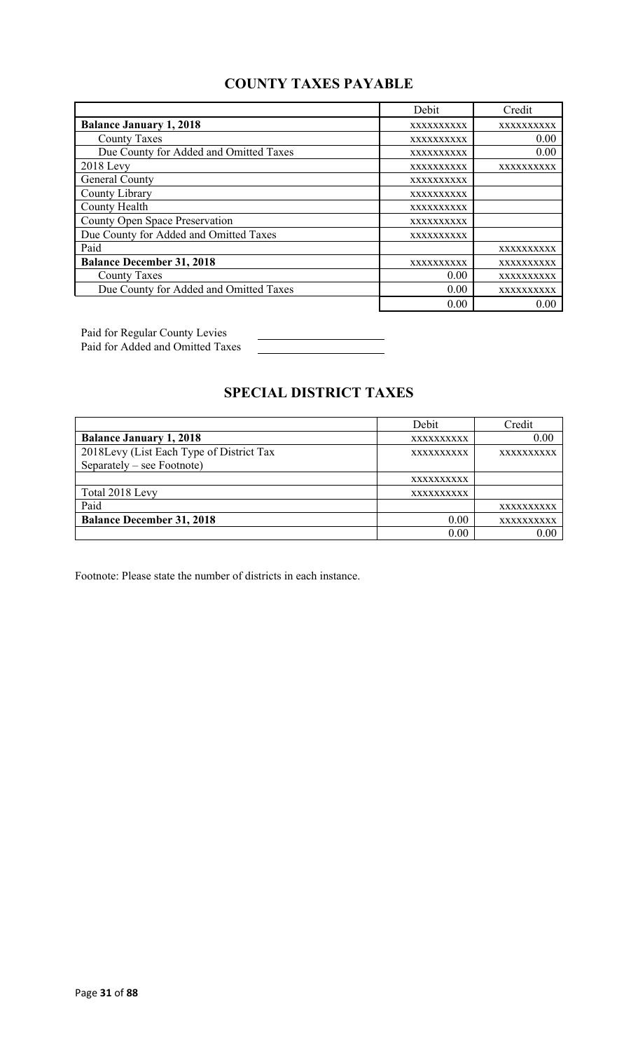### **COUNTY TAXES PAYABLE**

|                                        | Debit             | Credit     |
|----------------------------------------|-------------------|------------|
| <b>Balance January 1, 2018</b>         | XXXXXXXXXX        | XXXXXXXXXX |
| <b>County Taxes</b>                    | XXXXXXXXXX        | 0.00       |
| Due County for Added and Omitted Taxes | XXXXXXXXXX        | 0.00       |
| $2018$ Levy                            | XXXXXXXXXX        | XXXXXXXXXX |
| General County                         | XXXXXXXXXX        |            |
| County Library                         | XXXXXXXXXX        |            |
| County Health                          | XXXXXXXXXX        |            |
| County Open Space Preservation         | XXXXXXXXXX        |            |
| Due County for Added and Omitted Taxes | <b>XXXXXXXXXX</b> |            |
| Paid                                   |                   | XXXXXXXXXX |
| <b>Balance December 31, 2018</b>       | XXXXXXXXXX        | XXXXXXXXXX |
| <b>County Taxes</b>                    | 0.00              | XXXXXXXXXX |
| Due County for Added and Omitted Taxes | 0.00              | XXXXXXXXXX |
|                                        | 0.00              | 0.00       |

Paid for Regular County Levies Paid for Added and Omitted Taxes

# **SPECIAL DISTRICT TAXES**

|                                          | Debit             | Credit            |
|------------------------------------------|-------------------|-------------------|
| <b>Balance January 1, 2018</b>           | XXXXXXXXXX        | 0.00              |
| 2018Levy (List Each Type of District Tax | <b>XXXXXXXXXX</b> | <b>XXXXXXXXXX</b> |
| Separately – see Footnote)               |                   |                   |
|                                          | XXXXXXXXX         |                   |
| Total 2018 Levy                          | <b>XXXXXXXXXX</b> |                   |
| Paid                                     |                   | XXXXXXXXXX        |
| <b>Balance December 31, 2018</b>         | 0.00              | XXXXXXXXXX        |
|                                          | 0.00              | 0.00              |

Footnote: Please state the number of districts in each instance.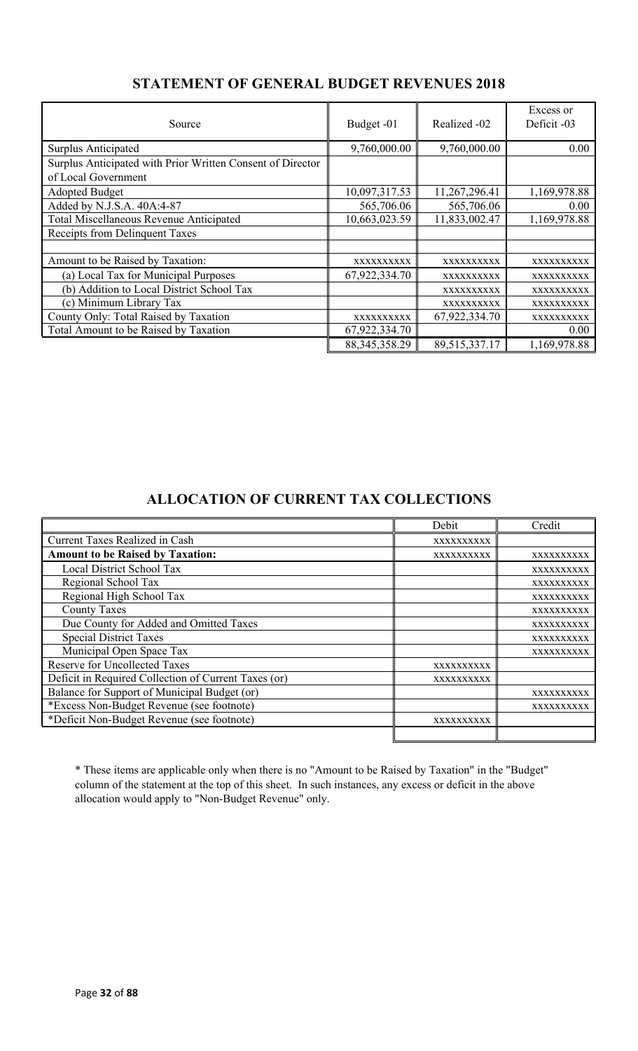| Source                                                     | Budget -01       | Realized -02  | Excess or<br>Deficit -03 |
|------------------------------------------------------------|------------------|---------------|--------------------------|
| Surplus Anticipated                                        | 9,760,000.00     | 9,760,000.00  | 0.00                     |
| Surplus Anticipated with Prior Written Consent of Director |                  |               |                          |
| of Local Government                                        |                  |               |                          |
| <b>Adopted Budget</b>                                      | 10,097,317.53    | 11,267,296.41 | 1,169,978.88             |
| Added by N.J.S.A. 40A:4-87                                 | 565,706.06       | 565,706.06    | 0.00                     |
| Total Miscellaneous Revenue Anticipated                    | 10,663,023.59    | 11,833,002.47 | 1,169,978.88             |
| Receipts from Delinquent Taxes                             |                  |               |                          |
|                                                            |                  |               |                          |
| Amount to be Raised by Taxation:                           | XXXXXXXXXX       | XXXXXXXXXX    | XXXXXXXXXX               |
| (a) Local Tax for Municipal Purposes                       | 67,922,334.70    | XXXXXXXXXX    | XXXXXXXXXX               |
| (b) Addition to Local District School Tax                  |                  | XXXXXXXXXX    | XXXXXXXXXX               |
| (c) Minimum Library Tax                                    |                  | XXXXXXXXXX    | XXXXXXXXXX               |
| County Only: Total Raised by Taxation                      | XXXXXXXXXX       | 67,922,334.70 | XXXXXXXXXX               |
| Total Amount to be Raised by Taxation                      | 67,922,334.70    |               | 0.00                     |
|                                                            | 88, 345, 358. 29 | 89,515,337.17 | 1,169,978.88             |

### **STATEMENT OF GENERAL BUDGET REVENUES 2018**

### **ALLOCATION OF CURRENT TAX COLLECTIONS**

|                                                      | Debit      | Credit     |
|------------------------------------------------------|------------|------------|
| <b>Current Taxes Realized in Cash</b>                | XXXXXXXXXX |            |
| <b>Amount to be Raised by Taxation:</b>              | XXXXXXXXXX | XXXXXXXXXX |
| Local District School Tax                            |            | XXXXXXXXXX |
| Regional School Tax                                  |            | XXXXXXXXXX |
| Regional High School Tax                             |            | XXXXXXXXXX |
| <b>County Taxes</b>                                  |            | XXXXXXXXXX |
| Due County for Added and Omitted Taxes               |            | XXXXXXXXXX |
| <b>Special District Taxes</b>                        |            | XXXXXXXXXX |
| Municipal Open Space Tax                             |            | XXXXXXXXXX |
| <b>Reserve for Uncollected Taxes</b>                 | XXXXXXXXXX |            |
| Deficit in Required Collection of Current Taxes (or) | XXXXXXXXXX |            |
| Balance for Support of Municipal Budget (or)         |            | XXXXXXXXXX |
| *Excess Non-Budget Revenue (see footnote)            |            | XXXXXXXXXX |
| *Deficit Non-Budget Revenue (see footnote)           | XXXXXXXXXX |            |
|                                                      |            |            |

\* These items are applicable only when there is no "Amount to be Raised by Taxation" in the "Budget" column of the statement at the top of this sheet. In such instances, any excess or deficit in the above allocation would apply to "Non-Budget Revenue" only.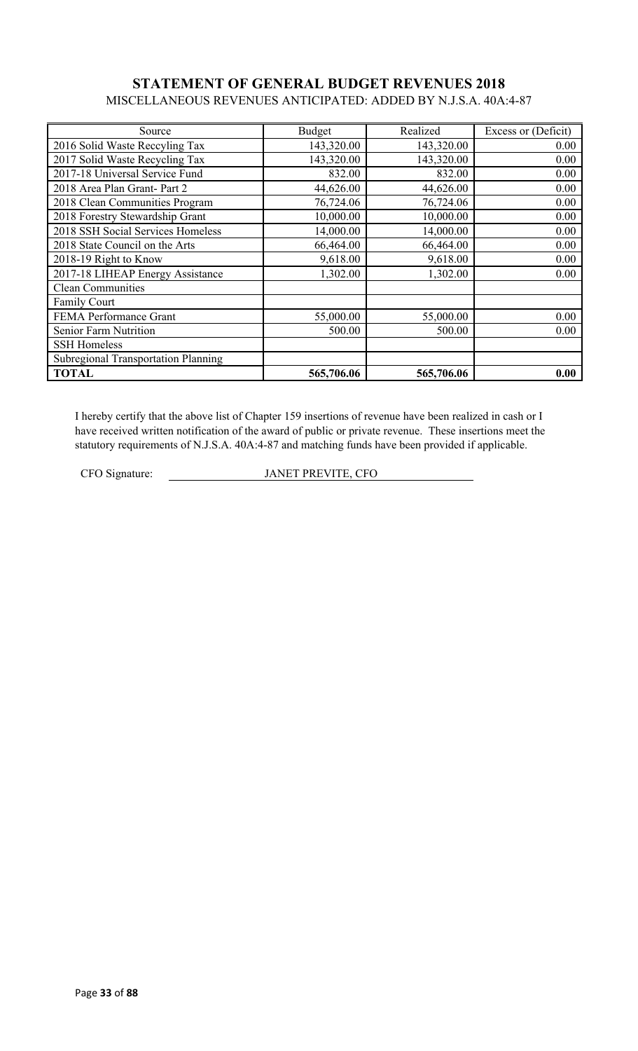### **STATEMENT OF GENERAL BUDGET REVENUES 2018** MISCELLANEOUS REVENUES ANTICIPATED: ADDED BY N.J.S.A. 40A:4-87

| Source                              | Budget     | Realized   | Excess or (Deficit) |
|-------------------------------------|------------|------------|---------------------|
| 2016 Solid Waste Reccyling Tax      | 143,320.00 | 143,320.00 | 0.00                |
| 2017 Solid Waste Recycling Tax      | 143,320.00 | 143,320.00 | 0.00                |
| 2017-18 Universal Service Fund      | 832.00     | 832.00     | 0.00                |
| 2018 Area Plan Grant- Part 2        | 44,626.00  | 44,626.00  | 0.00                |
| 2018 Clean Communities Program      | 76,724.06  | 76,724.06  | 0.00                |
| 2018 Forestry Stewardship Grant     | 10,000.00  | 10,000.00  | 0.00                |
| 2018 SSH Social Services Homeless   | 14,000.00  | 14,000.00  | 0.00                |
| 2018 State Council on the Arts      | 66,464.00  | 66,464.00  | 0.00                |
| 2018-19 Right to Know               | 9,618.00   | 9,618.00   | 0.00                |
| 2017-18 LIHEAP Energy Assistance    | 1,302.00   | 1,302.00   | 0.00                |
| <b>Clean Communities</b>            |            |            |                     |
| Family Court                        |            |            |                     |
| FEMA Performance Grant              | 55,000.00  | 55,000.00  | 0.00                |
| Senior Farm Nutrition               | 500.00     | 500.00     | 0.00                |
| <b>SSH Homeless</b>                 |            |            |                     |
| Subregional Transportation Planning |            |            |                     |
| <b>TOTAL</b>                        | 565,706.06 | 565,706.06 | 0.00                |

I hereby certify that the above list of Chapter 159 insertions of revenue have been realized in cash or I have received written notification of the award of public or private revenue. These insertions meet the statutory requirements of N.J.S.A. 40A:4-87 and matching funds have been provided if applicable.

CFO Signature: JANET PREVITE, CFO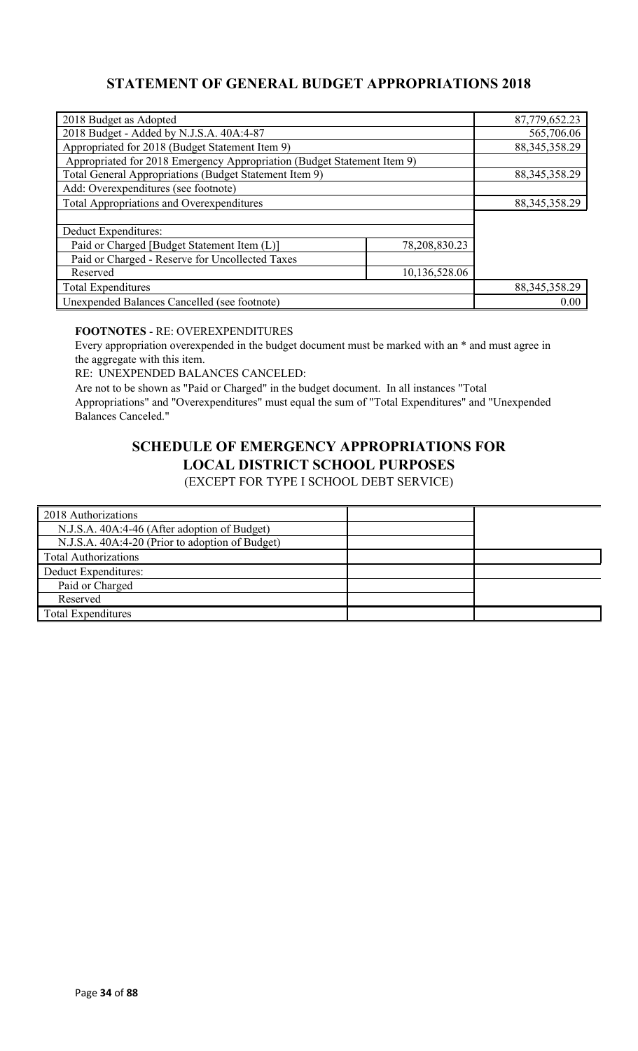### **STATEMENT OF GENERAL BUDGET APPROPRIATIONS 2018**

| 2018 Budget as Adopted                                                  |               | 87,779,652.23    |
|-------------------------------------------------------------------------|---------------|------------------|
| 2018 Budget - Added by N.J.S.A. 40A:4-87                                |               | 565,706.06       |
| Appropriated for 2018 (Budget Statement Item 9)                         |               | 88, 345, 358. 29 |
| Appropriated for 2018 Emergency Appropriation (Budget Statement Item 9) |               |                  |
| Total General Appropriations (Budget Statement Item 9)                  |               | 88, 345, 358. 29 |
| Add: Overexpenditures (see footnote)                                    |               |                  |
| <b>Total Appropriations and Overexpenditures</b>                        |               | 88, 345, 358. 29 |
|                                                                         |               |                  |
| Deduct Expenditures:                                                    |               |                  |
| Paid or Charged [Budget Statement Item (L)]                             | 78,208,830.23 |                  |
| Paid or Charged - Reserve for Uncollected Taxes                         |               |                  |
| Reserved                                                                | 10,136,528.06 |                  |
| <b>Total Expenditures</b>                                               |               | 88, 345, 358. 29 |
| Unexpended Balances Cancelled (see footnote)                            |               | 0.00             |

### **FOOTNOTES** - RE: OVEREXPENDITURES

Every appropriation overexpended in the budget document must be marked with an \* and must agree in the aggregate with this item.

RE: UNEXPENDED BALANCES CANCELED:

Are not to be shown as "Paid or Charged" in the budget document. In all instances "Total Appropriations" and "Overexpenditures" must equal the sum of "Total Expenditures" and "Unexpended Balances Canceled."

# **SCHEDULE OF EMERGENCY APPROPRIATIONS FOR LOCAL DISTRICT SCHOOL PURPOSES**

(EXCEPT FOR TYPE I SCHOOL DEBT SERVICE)

| 2018 Authorizations                             |  |
|-------------------------------------------------|--|
| N.J.S.A. 40A:4-46 (After adoption of Budget)    |  |
| N.J.S.A. 40A:4-20 (Prior to adoption of Budget) |  |
| <b>Total Authorizations</b>                     |  |
| Deduct Expenditures:                            |  |
| Paid or Charged                                 |  |
| Reserved                                        |  |
| <b>Total Expenditures</b>                       |  |
|                                                 |  |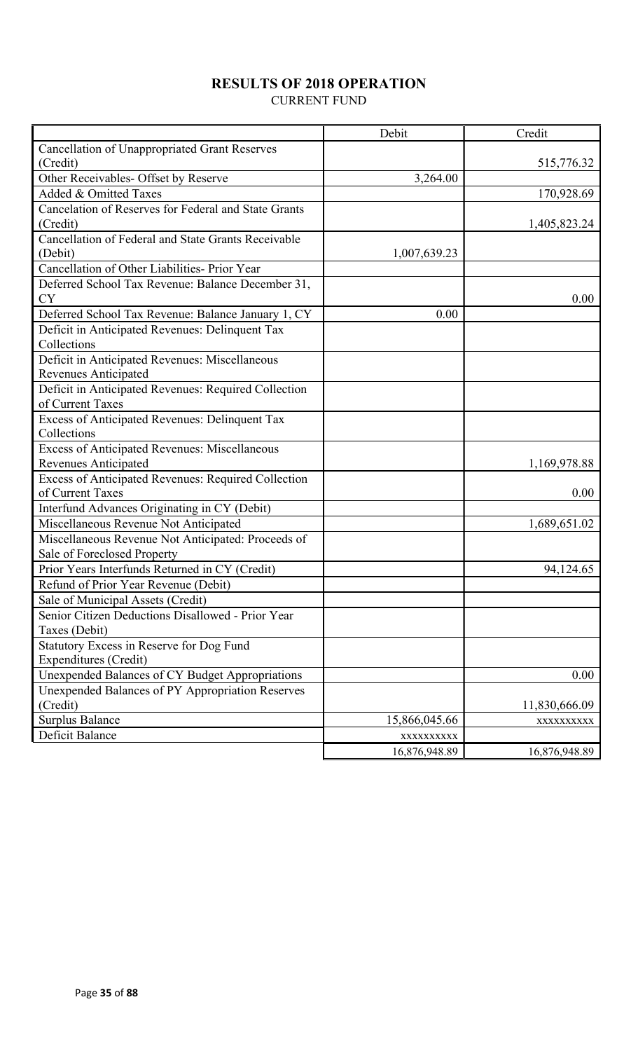# **RESULTS OF 2018 OPERATION**

CURRENT FUND

|                                                      | Debit         | Credit        |
|------------------------------------------------------|---------------|---------------|
| <b>Cancellation of Unappropriated Grant Reserves</b> |               |               |
| (Credit)                                             |               | 515,776.32    |
| Other Receivables- Offset by Reserve                 | 3,264.00      |               |
| Added & Omitted Taxes                                |               | 170,928.69    |
| Cancelation of Reserves for Federal and State Grants |               |               |
| (Credit)                                             |               | 1,405,823.24  |
| Cancellation of Federal and State Grants Receivable  |               |               |
| (Debit)                                              | 1,007,639.23  |               |
| Cancellation of Other Liabilities- Prior Year        |               |               |
| Deferred School Tax Revenue: Balance December 31,    |               |               |
| <b>CY</b>                                            |               | 0.00          |
| Deferred School Tax Revenue: Balance January 1, CY   | 0.00          |               |
| Deficit in Anticipated Revenues: Delinquent Tax      |               |               |
| Collections                                          |               |               |
| Deficit in Anticipated Revenues: Miscellaneous       |               |               |
| Revenues Anticipated                                 |               |               |
| Deficit in Anticipated Revenues: Required Collection |               |               |
| of Current Taxes                                     |               |               |
| Excess of Anticipated Revenues: Delinquent Tax       |               |               |
| Collections                                          |               |               |
| <b>Excess of Anticipated Revenues: Miscellaneous</b> |               |               |
| <b>Revenues Anticipated</b>                          |               | 1,169,978.88  |
| Excess of Anticipated Revenues: Required Collection  |               |               |
| of Current Taxes                                     |               | 0.00          |
| Interfund Advances Originating in CY (Debit)         |               |               |
| Miscellaneous Revenue Not Anticipated                |               | 1,689,651.02  |
| Miscellaneous Revenue Not Anticipated: Proceeds of   |               |               |
| Sale of Foreclosed Property                          |               |               |
| Prior Years Interfunds Returned in CY (Credit)       |               | 94,124.65     |
| Refund of Prior Year Revenue (Debit)                 |               |               |
| Sale of Municipal Assets (Credit)                    |               |               |
| Senior Citizen Deductions Disallowed - Prior Year    |               |               |
| Taxes (Debit)                                        |               |               |
| Statutory Excess in Reserve for Dog Fund             |               |               |
| <b>Expenditures (Credit)</b>                         |               |               |
| Unexpended Balances of CY Budget Appropriations      |               | 0.00          |
| Unexpended Balances of PY Appropriation Reserves     |               |               |
| (Credit)                                             |               | 11,830,666.09 |
| <b>Surplus Balance</b>                               | 15,866,045.66 | XXXXXXXXXX    |
| Deficit Balance                                      | XXXXXXXXXX    |               |
|                                                      | 16,876,948.89 | 16,876,948.89 |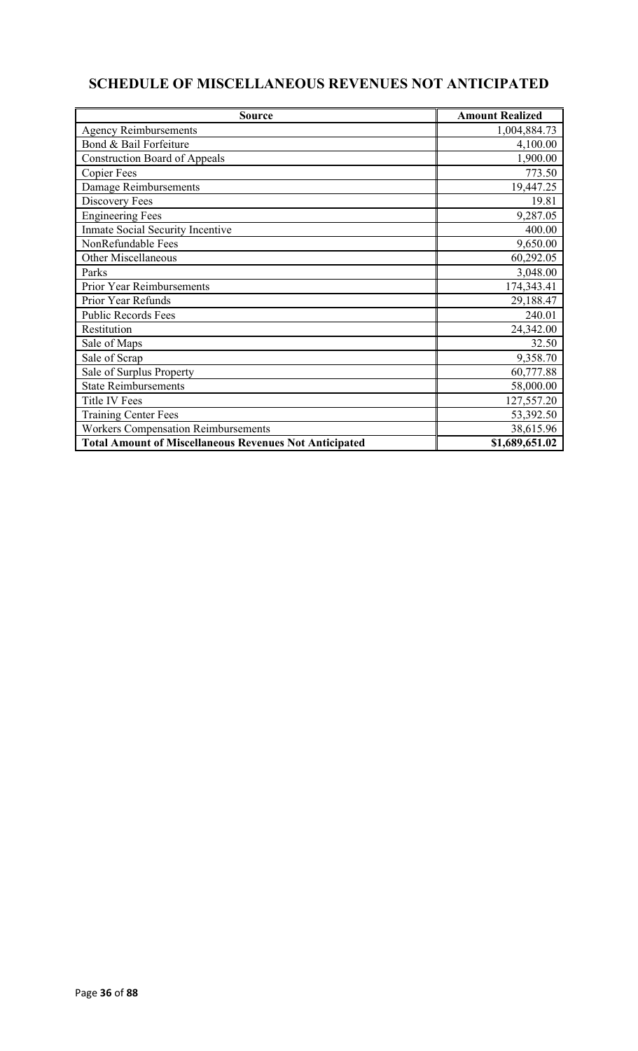# **SCHEDULE OF MISCELLANEOUS REVENUES NOT ANTICIPATED**

| <b>Source</b>                                                 | <b>Amount Realized</b> |
|---------------------------------------------------------------|------------------------|
| <b>Agency Reimbursements</b>                                  | 1,004,884.73           |
| Bond & Bail Forfeiture                                        | 4,100.00               |
| <b>Construction Board of Appeals</b>                          | 1,900.00               |
| <b>Copier Fees</b>                                            | 773.50                 |
| Damage Reimbursements                                         | 19,447.25              |
| Discovery Fees                                                | 19.81                  |
| <b>Engineering Fees</b>                                       | 9,287.05               |
| Inmate Social Security Incentive                              | 400.00                 |
| NonRefundable Fees                                            | 9,650.00               |
| <b>Other Miscellaneous</b>                                    | 60,292.05              |
| Parks                                                         | 3,048.00               |
| Prior Year Reimbursements                                     | 174,343.41             |
| Prior Year Refunds                                            | 29,188.47              |
| <b>Public Records Fees</b>                                    | 240.01                 |
| Restitution                                                   | 24,342.00              |
| Sale of Maps                                                  | 32.50                  |
| Sale of Scrap                                                 | 9,358.70               |
| Sale of Surplus Property                                      | 60,777.88              |
| <b>State Reimbursements</b>                                   | 58,000.00              |
| <b>Title IV Fees</b>                                          | 127,557.20             |
| <b>Training Center Fees</b>                                   | 53,392.50              |
| <b>Workers Compensation Reimbursements</b>                    | 38,615.96              |
| <b>Total Amount of Miscellaneous Revenues Not Anticipated</b> | \$1,689,651.02         |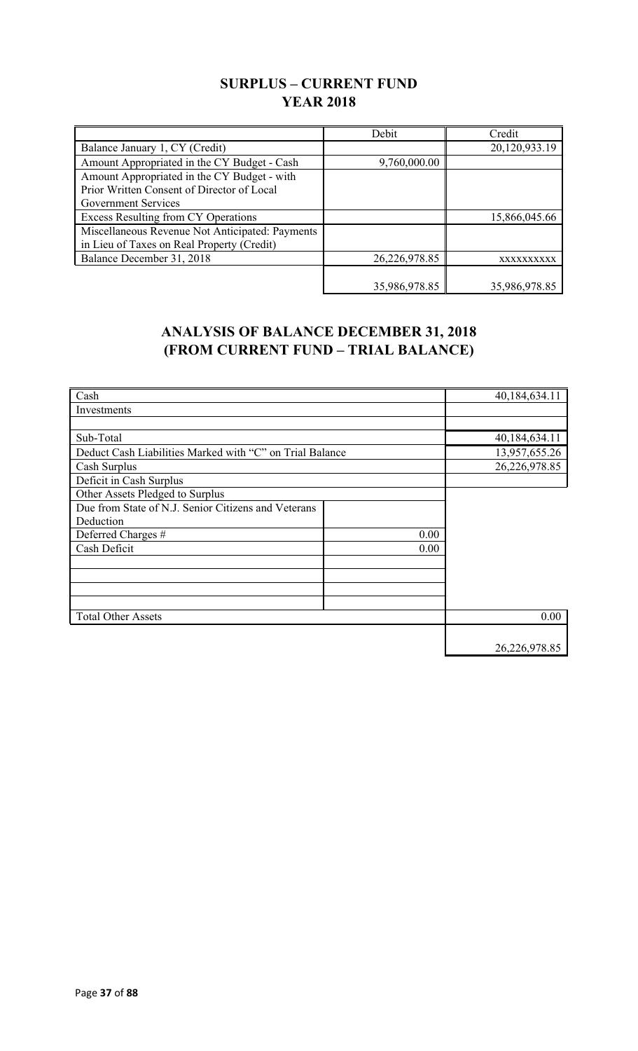## **SURPLUS – CURRENT FUND YEAR 2018**

|                                                 | Debit         | Credit        |
|-------------------------------------------------|---------------|---------------|
| Balance January 1, CY (Credit)                  |               | 20,120,933.19 |
| Amount Appropriated in the CY Budget - Cash     | 9,760,000.00  |               |
| Amount Appropriated in the CY Budget - with     |               |               |
| Prior Written Consent of Director of Local      |               |               |
| Government Services                             |               |               |
| Excess Resulting from CY Operations             |               | 15,866,045.66 |
| Miscellaneous Revenue Not Anticipated: Payments |               |               |
| in Lieu of Taxes on Real Property (Credit)      |               |               |
| Balance December 31, 2018                       | 26,226,978.85 | XXXXXXXXXX    |
|                                                 |               |               |
|                                                 | 35,986,978.85 | 35,986,978.85 |

## **ANALYSIS OF BALANCE DECEMBER 31, 2018 (FROM CURRENT FUND – TRIAL BALANCE)**

| Cash                                                     |      | 40,184,634.11 |
|----------------------------------------------------------|------|---------------|
| Investments                                              |      |               |
|                                                          |      |               |
| Sub-Total                                                |      | 40,184,634.11 |
| Deduct Cash Liabilities Marked with "C" on Trial Balance |      | 13,957,655.26 |
| Cash Surplus                                             |      | 26,226,978.85 |
| Deficit in Cash Surplus                                  |      |               |
| Other Assets Pledged to Surplus                          |      |               |
| Due from State of N.J. Senior Citizens and Veterans      |      |               |
| Deduction                                                |      |               |
| Deferred Charges #                                       | 0.00 |               |
| Cash Deficit                                             | 0.00 |               |
|                                                          |      |               |
|                                                          |      |               |
|                                                          |      |               |
|                                                          |      |               |
| <b>Total Other Assets</b>                                |      | 0.00          |
|                                                          |      |               |
|                                                          |      | 26,226,978.85 |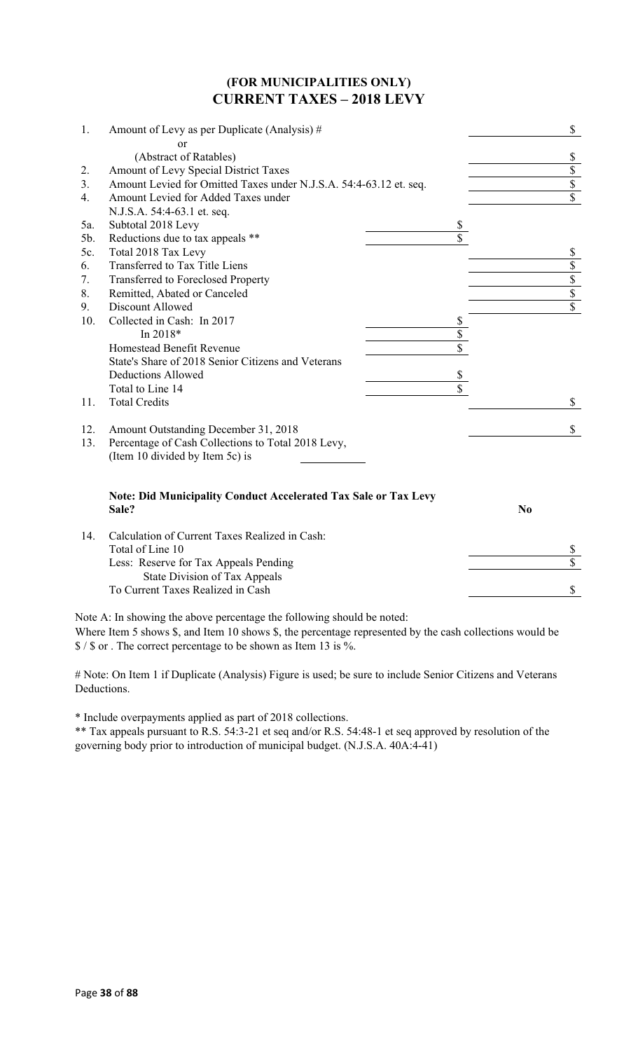#### **(FOR MUNICIPALITIES ONLY) CURRENT TAXES – 2018 LEVY**

| 1.  | Amount of Levy as per Duplicate (Analysis) #                                    | \$                      |
|-----|---------------------------------------------------------------------------------|-------------------------|
|     | or                                                                              |                         |
|     | (Abstract of Ratables)                                                          | \$                      |
| 2.  | Amount of Levy Special District Taxes                                           | $\overline{\$}$         |
| 3.  | Amount Levied for Omitted Taxes under N.J.S.A. 54:4-63.12 et. seq.              | $\overline{\mathbb{S}}$ |
| 4.  | Amount Levied for Added Taxes under                                             | $\overline{s}$          |
|     | N.J.S.A. 54:4-63.1 et. seq.                                                     |                         |
| 5a. | Subtotal 2018 Levy                                                              | \$                      |
| 5b. | Reductions due to tax appeals **                                                |                         |
| 5c. | Total 2018 Tax Levy                                                             | \$                      |
| 6.  | Transferred to Tax Title Liens                                                  | $\overline{\$}$         |
| 7.  | Transferred to Foreclosed Property                                              | $\overline{\$}$         |
| 8.  | Remitted, Abated or Canceled                                                    | $\overline{\$}$         |
| 9.  | Discount Allowed                                                                | $\overline{\$}$         |
| 10. | Collected in Cash: In 2017                                                      | \$                      |
|     | In 2018*                                                                        | \$                      |
|     | Homestead Benefit Revenue                                                       |                         |
|     | State's Share of 2018 Senior Citizens and Veterans                              |                         |
|     | <b>Deductions Allowed</b>                                                       | \$                      |
|     | Total to Line 14                                                                | \$                      |
| 11. | <b>Total Credits</b>                                                            | \$                      |
| 12. | Amount Outstanding December 31, 2018                                            | \$                      |
| 13. | Percentage of Cash Collections to Total 2018 Levy,                              |                         |
|     | (Item 10 divided by Item 5c) is                                                 |                         |
|     | <b>Note: Did Municipality Conduct Accelerated Tax Sale or Tax Levy</b><br>Sale? | N <sub>0</sub>          |
|     | $C_{1}$ $111$ $C_{m}$ $C_{m}$ $T_{m}$ $T_{m}$ $D_{m}$ $1$ $1$ $C_{m}$ $1$       |                         |

| Calculation of Current Taxes Realized in Cash: |  |
|------------------------------------------------|--|
| Total of Line 10                               |  |
| Less: Reserve for Tax Appeals Pending          |  |
| State Division of Tax Appeals                  |  |
| To Current Taxes Realized in Cash              |  |
|                                                |  |

Note A: In showing the above percentage the following should be noted:

Where Item 5 shows \$, and Item 10 shows \$, the percentage represented by the cash collections would be \$ / \$ or . The correct percentage to be shown as Item 13 is %.

# Note: On Item 1 if Duplicate (Analysis) Figure is used; be sure to include Senior Citizens and Veterans Deductions.

\* Include overpayments applied as part of 2018 collections.

\*\* Tax appeals pursuant to R.S. 54:3-21 et seq and/or R.S. 54:48-1 et seq approved by resolution of the governing body prior to introduction of municipal budget. (N.J.S.A. 40A:4-41)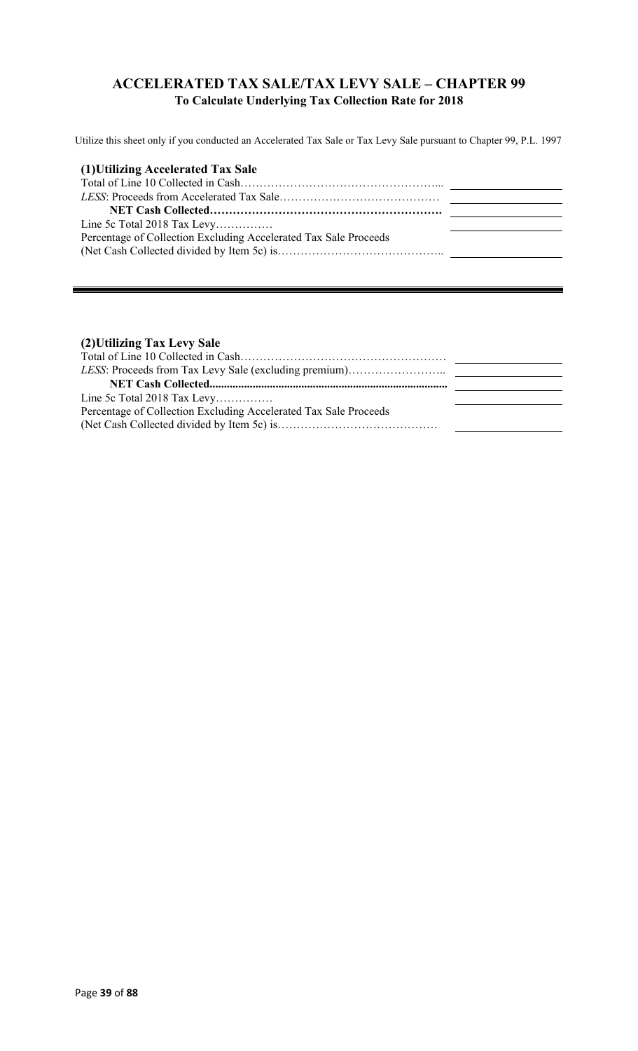## **ACCELERATED TAX SALE/TAX LEVY SALE – CHAPTER 99 To Calculate Underlying Tax Collection Rate for 2018**

Utilize this sheet only if you conducted an Accelerated Tax Sale or Tax Levy Sale pursuant to Chapter 99, P.L. 1997

#### **(2)Utilizing Tax Levy Sale**

| Percentage of Collection Excluding Accelerated Tax Sale Proceeds |  |
|------------------------------------------------------------------|--|
|                                                                  |  |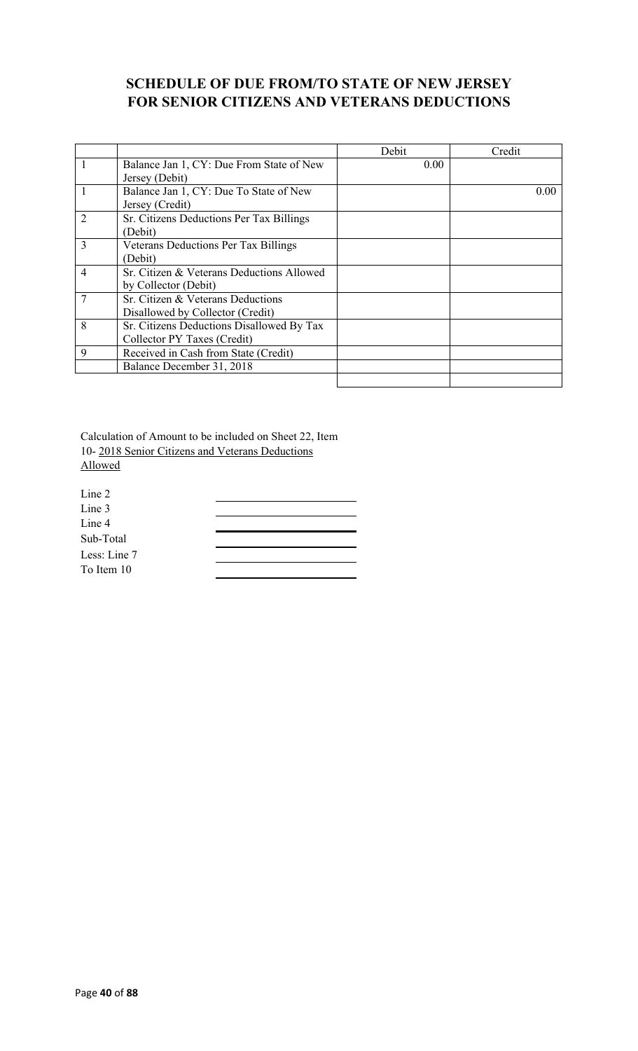## **SCHEDULE OF DUE FROM/TO STATE OF NEW JERSEY FOR SENIOR CITIZENS AND VETERANS DEDUCTIONS**

|                |                                             | Debit | Credit |
|----------------|---------------------------------------------|-------|--------|
| 1              | Balance Jan 1, CY: Due From State of New    | 0.00  |        |
|                | Jersey (Debit)                              |       |        |
|                | Balance Jan 1, CY: Due To State of New      |       | 0.00   |
|                | Jersey (Credit)                             |       |        |
| $\overline{2}$ | Sr. Citizens Deductions Per Tax Billings    |       |        |
|                | (Debit)                                     |       |        |
| 3              | <b>Veterans Deductions Per Tax Billings</b> |       |        |
|                | (Debit)                                     |       |        |
| $\overline{4}$ | Sr. Citizen & Veterans Deductions Allowed   |       |        |
|                | by Collector (Debit)                        |       |        |
|                | Sr. Citizen & Veterans Deductions           |       |        |
|                | Disallowed by Collector (Credit)            |       |        |
| 8              | Sr. Citizens Deductions Disallowed By Tax   |       |        |
|                | Collector PY Taxes (Credit)                 |       |        |
| 9              | Received in Cash from State (Credit)        |       |        |
|                | Balance December 31, 2018                   |       |        |
|                |                                             |       |        |

Calculation of Amount to be included on Sheet 22, Item 10- 2018 Senior Citizens and Veterans Deductions Allowed

| Line 2       |  |
|--------------|--|
| Line 3       |  |
| Line 4       |  |
| Sub-Total    |  |
| Less: Line 7 |  |
| To Item 10   |  |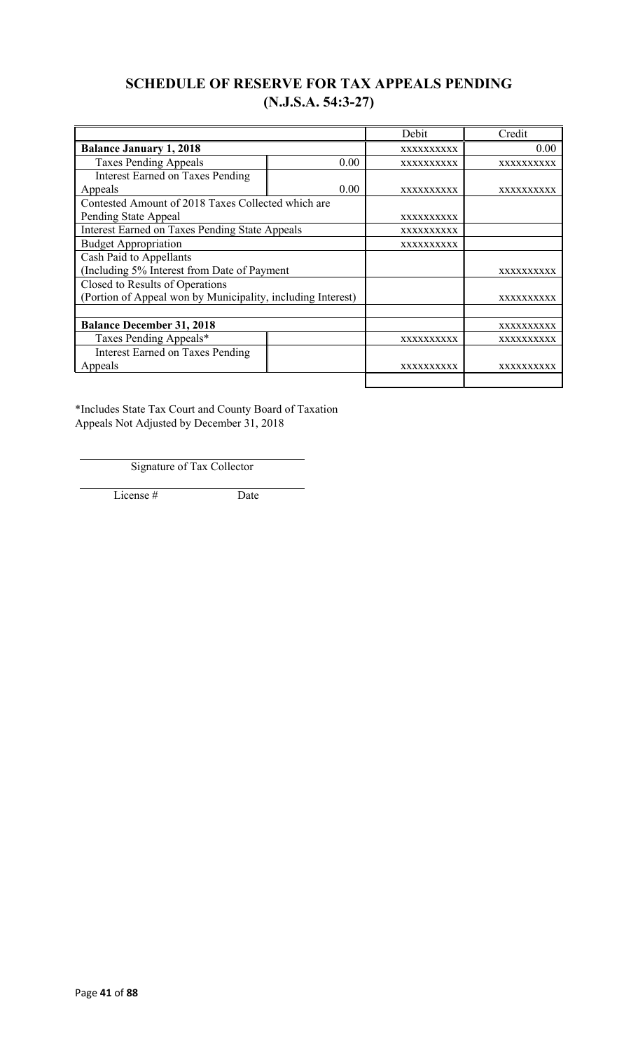## **SCHEDULE OF RESERVE FOR TAX APPEALS PENDING (N.J.S.A. 54:3-27)**

|                                                             |      | Debit             | Credit            |
|-------------------------------------------------------------|------|-------------------|-------------------|
| <b>Balance January 1, 2018</b>                              |      | XXXXXXXXXX        | 0.00              |
| <b>Taxes Pending Appeals</b>                                | 0.00 | XXXXXXXXXX        | XXXXXXXXXX        |
| <b>Interest Earned on Taxes Pending</b>                     |      |                   |                   |
| Appeals                                                     | 0.00 | <b>XXXXXXXXXX</b> | <b>XXXXXXXXXX</b> |
| Contested Amount of 2018 Taxes Collected which are          |      |                   |                   |
| Pending State Appeal                                        |      | <b>XXXXXXXXXX</b> |                   |
| <b>Interest Earned on Taxes Pending State Appeals</b>       |      | XXXXXXXXXX        |                   |
| <b>Budget Appropriation</b>                                 |      | <b>XXXXXXXXXX</b> |                   |
| Cash Paid to Appellants                                     |      |                   |                   |
| (Including 5% Interest from Date of Payment                 |      |                   | <b>XXXXXXXXXX</b> |
| Closed to Results of Operations                             |      |                   |                   |
| (Portion of Appeal won by Municipality, including Interest) |      |                   | <b>XXXXXXXXXX</b> |
|                                                             |      |                   |                   |
| <b>Balance December 31, 2018</b>                            |      |                   | XXXXXXXXXX        |
| Taxes Pending Appeals*                                      |      | <b>XXXXXXXXXX</b> | <b>XXXXXXXXXX</b> |
| <b>Interest Earned on Taxes Pending</b>                     |      |                   |                   |
| Appeals                                                     |      | XXXXXXXXXX        | xxxxxxxxxx        |
|                                                             |      |                   |                   |

\*Includes State Tax Court and County Board of Taxation Appeals Not Adjusted by December 31, 2018

Signature of Tax Collector

License # Date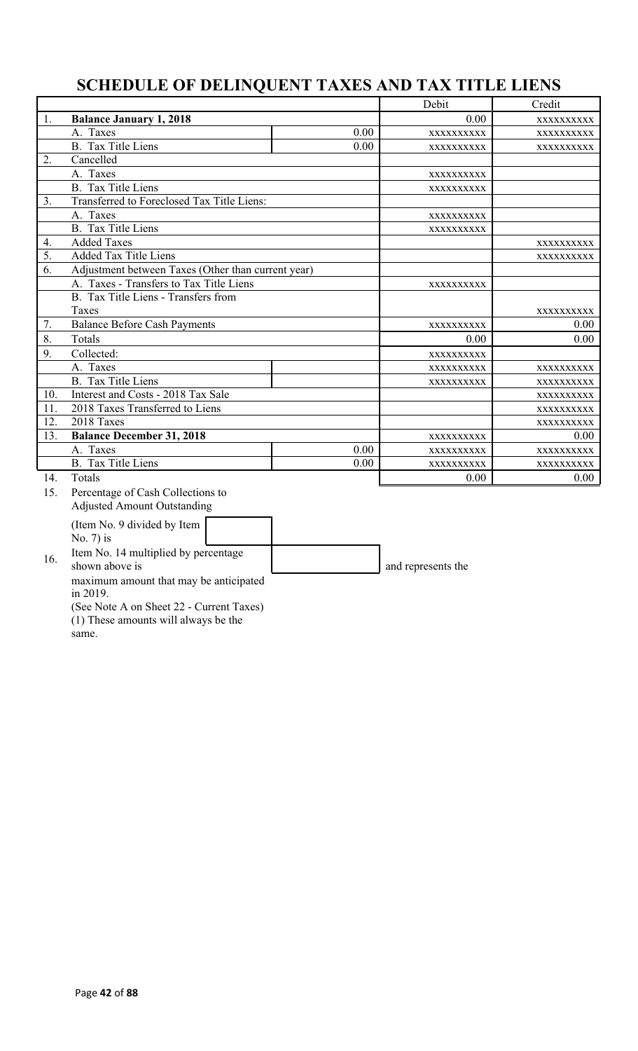# **SCHEDULE OF DELINQUENT TAXES AND TAX TITLE LIENS**

|     |                                                    |      | Debit              | Credit     |
|-----|----------------------------------------------------|------|--------------------|------------|
| 1.  | <b>Balance January 1, 2018</b>                     |      | 0.00               | XXXXXXXXXX |
|     | A. Taxes                                           | 0.00 | XXXXXXXXXX         | XXXXXXXXXX |
|     | <b>B.</b> Tax Title Liens                          | 0.00 | XXXXXXXXXX         | XXXXXXXXX  |
| 2.  | Cancelled                                          |      |                    |            |
|     | A. Taxes                                           |      | XXXXXXXXX          |            |
|     | B. Tax Title Liens                                 |      | XXXXXXXXXX         |            |
| 3.  | Transferred to Foreclosed Tax Title Liens:         |      |                    |            |
|     | A. Taxes                                           |      | XXXXXXXXXX         |            |
|     | B. Tax Title Liens                                 |      | XXXXXXXXXX         |            |
| 4.  | <b>Added Taxes</b>                                 |      |                    | XXXXXXXXX  |
| 5.  | <b>Added Tax Title Liens</b>                       |      |                    | XXXXXXXXXX |
| 6.  | Adjustment between Taxes (Other than current year) |      |                    |            |
|     | A. Taxes - Transfers to Tax Title Liens            |      | XXXXXXXXXX         |            |
|     | B. Tax Title Liens - Transfers from                |      |                    |            |
|     | Taxes                                              |      |                    | XXXXXXXXX  |
| 7.  | <b>Balance Before Cash Payments</b>                |      | XXXXXXXXXX         | 0.00       |
| 8.  | Totals                                             |      | 0.00               | 0.00       |
| 9.  | Collected:                                         |      | XXXXXXXXXX         |            |
|     | A. Taxes                                           |      | XXXXXXXXXX         | XXXXXXXXXX |
|     | B. Tax Title Liens                                 |      | XXXXXXXXXX         | XXXXXXXXXX |
| 10. | Interest and Costs - 2018 Tax Sale                 |      |                    | XXXXXXXXXX |
| 11. | 2018 Taxes Transferred to Liens                    |      |                    | XXXXXXXXX  |
| 12. | 2018 Taxes                                         |      |                    | XXXXXXXXX  |
| 13. | <b>Balance December 31, 2018</b>                   |      | XXXXXXXXXX         | 0.00       |
|     | A. Taxes                                           | 0.00 | XXXXXXXXX          | XXXXXXXXX  |
|     | <b>B.</b> Tax Title Liens                          | 0.00 | XXXXXXXXX          | XXXXXXXXX  |
| 14. | Totals                                             |      | 0.00               | 0.00       |
| 15. | Percentage of Cash Collections to                  |      |                    |            |
|     | <b>Adjusted Amount Outstanding</b>                 |      |                    |            |
|     | (Item No. 9 divided by Item                        |      |                    |            |
|     | No. $7$ ) is                                       |      |                    |            |
|     | Item No. 14 multiplied by percentage               |      |                    |            |
| 16. | shown above is                                     |      | and represents the |            |
|     | maximum amount that may be anticipated             |      |                    |            |
|     | in 2019.                                           |      |                    |            |
|     | (See Note A on Sheet 22 - Current Taxes)           |      |                    |            |

(1) These amounts will always be the

same.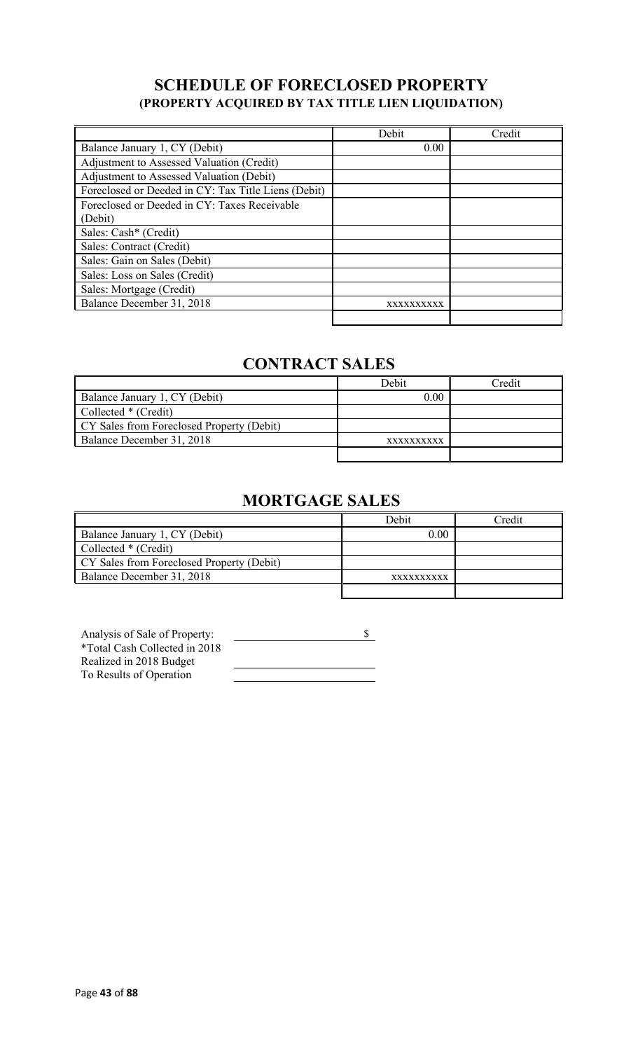## **SCHEDULE OF FORECLOSED PROPERTY (PROPERTY ACQUIRED BY TAX TITLE LIEN LIQUIDATION)**

|                                                     | Debit      | Credit |
|-----------------------------------------------------|------------|--------|
| Balance January 1, CY (Debit)                       | 0.00       |        |
| Adjustment to Assessed Valuation (Credit)           |            |        |
| Adjustment to Assessed Valuation (Debit)            |            |        |
| Foreclosed or Deeded in CY: Tax Title Liens (Debit) |            |        |
| Foreclosed or Deeded in CY: Taxes Receivable        |            |        |
| (Debit)                                             |            |        |
| Sales: Cash* (Credit)                               |            |        |
| Sales: Contract (Credit)                            |            |        |
| Sales: Gain on Sales (Debit)                        |            |        |
| Sales: Loss on Sales (Credit)                       |            |        |
| Sales: Mortgage (Credit)                            |            |        |
| Balance December 31, 2018                           | XXXXXXXXXX |        |
|                                                     |            |        |

# **CONTRACT SALES**

|                                           | Debit      | Credit |
|-------------------------------------------|------------|--------|
| Balance January 1, CY (Debit)             | 0.00       |        |
| Collected * (Credit)                      |            |        |
| CY Sales from Foreclosed Property (Debit) |            |        |
| Balance December 31, 2018                 | XXXXXXXXXX |        |
|                                           |            |        |

# **MORTGAGE SALES**

|                                           | Debit      | ⊡redit |
|-------------------------------------------|------------|--------|
| Balance January 1, CY (Debit)             | 0.00       |        |
| Collected * (Credit)                      |            |        |
| CY Sales from Foreclosed Property (Debit) |            |        |
| Balance December 31, 2018                 | XXXXXXXXXX |        |
|                                           |            |        |

| Analysis of Sale of Property: |  |
|-------------------------------|--|
| *Total Cash Collected in 2018 |  |
| Realized in 2018 Budget       |  |
| To Results of Operation       |  |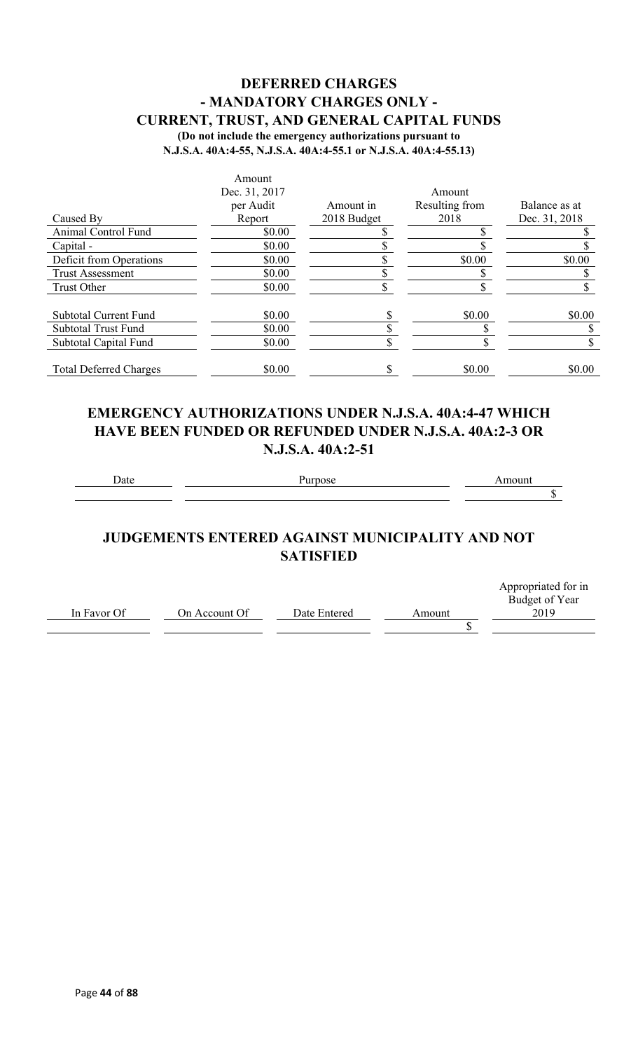### **DEFERRED CHARGES - MANDATORY CHARGES ONLY - CURRENT, TRUST, AND GENERAL CAPITAL FUNDS (Do not include the emergency authorizations pursuant to**

**N.J.S.A. 40A:4-55, N.J.S.A. 40A:4-55.1 or N.J.S.A. 40A:4-55.13)**

|                               | Amount        |             |                |               |
|-------------------------------|---------------|-------------|----------------|---------------|
|                               | Dec. 31, 2017 |             | Amount         |               |
|                               | per Audit     | Amount in   | Resulting from | Balance as at |
| Caused By                     | Report        | 2018 Budget | 2018           | Dec. 31, 2018 |
| <b>Animal Control Fund</b>    | \$0.00        |             |                |               |
| Capital -                     | \$0.00        |             |                |               |
| Deficit from Operations       | \$0.00        |             | \$0.00         | \$0.00        |
| <b>Trust Assessment</b>       | \$0.00        |             |                |               |
| <b>Trust Other</b>            | \$0.00        |             |                |               |
| <b>Subtotal Current Fund</b>  | \$0.00        |             | \$0.00         | \$0.00        |
| <b>Subtotal Trust Fund</b>    | \$0.00        |             |                |               |
| Subtotal Capital Fund         | \$0.00        |             |                |               |
| <b>Total Deferred Charges</b> | \$0.00        |             | \$0.00         | \$0.00        |

## **EMERGENCY AUTHORIZATIONS UNDER N.J.S.A. 40A:4-47 WHICH HAVE BEEN FUNDED OR REFUNDED UNDER N.J.S.A. 40A:2-3 OR N.J.S.A. 40A:2-51**

Date Purpose **Purpose** Amount

 $\overline{\$}$ 

## **JUDGEMENTS ENTERED AGAINST MUNICIPALITY AND NOT SATISFIED**

|             |               |              |        | Appropriated for in |
|-------------|---------------|--------------|--------|---------------------|
|             |               |              |        | Budget of Year      |
| In Favor Of | On Account Of | Date Entered | Amount | 2019                |
|             |               |              |        |                     |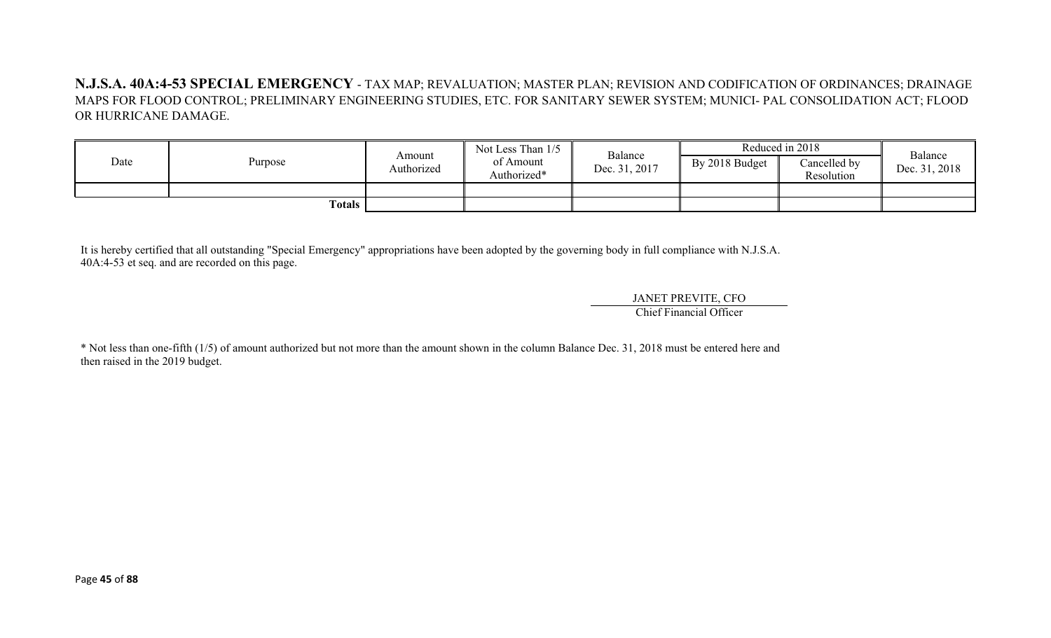**N.J.S.A. 40A:4-53 SPECIAL EMERGENCY** - TAX MAP; REVALUATION; MASTER PLAN; REVISION AND CODIFICATION OF ORDINANCES; DRAINAGE MAPS FOR FLOOD CONTROL; PRELIMINARY ENGINEERING STUDIES, ETC. FOR SANITARY SEWER SYSTEM; MUNICI- PAL CONSOLIDATION ACT; FLOOD OR HURRICANE DAMAGE.

|      |                     |                      | Not Less Than 1/5        | Balance       |                | Reduced in 2018            | Balance       |
|------|---------------------|----------------------|--------------------------|---------------|----------------|----------------------------|---------------|
| Date | Purpose             | Amount<br>Authorized | of Amount<br>Authorized* | Dec. 31, 2017 | By 2018 Budget | Cancelled by<br>Resolution | Dec. 31, 2018 |
|      |                     |                      |                          |               |                |                            |               |
|      | Totals $\mathbf{I}$ |                      |                          |               |                |                            |               |

It is hereby certified that all outstanding "Special Emergency" appropriations have been adopted by the governing body in full compliance with N.J.S.A. 40A:4-53 et seq. and are recorded on this page.

> JANET PREVITE, CFO Chief Financial Officer

\* Not less than one-fifth (1/5) of amount authorized but not more than the amount shown in the column Balance Dec. 31, 2018 must be entered here and then raised in the 2019 budget.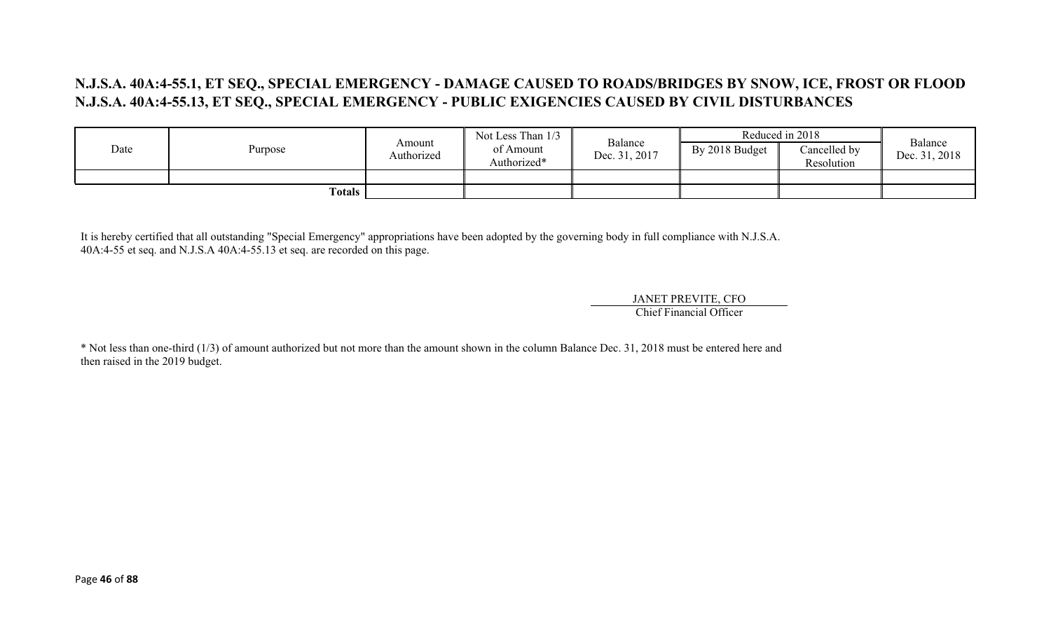## **N.J.S.A. 40A:4-55.1, ET SEQ., SPECIAL EMERGENCY - DAMAGE CAUSED TO ROADS/BRIDGES BY SNOW, ICE, FROST OR FLOOD N.J.S.A. 40A:4-55.13, ET SEQ., SPECIAL EMERGENCY - PUBLIC EXIGENCIES CAUSED BY CIVIL DISTURBANCES**

|      |                     | Not Less Than 1/3    | Balance                  |               | Reduced in 2018 | Balance                    |               |
|------|---------------------|----------------------|--------------------------|---------------|-----------------|----------------------------|---------------|
| Date | Purpose             | Amount<br>Authorized | of Amount<br>Authorized* | Dec. 31, 2017 | By 2018 Budget  | Cancelled by<br>Resolution | Dec. 31, 2018 |
|      |                     |                      |                          |               |                 |                            |               |
|      | Totals $\mathbf{r}$ |                      |                          |               |                 |                            |               |

It is hereby certified that all outstanding "Special Emergency" appropriations have been adopted by the governing body in full compliance with N.J.S.A. 40A:4-55 et seq. and N.J.S.A 40A:4-55.13 et seq. are recorded on this page.

JANET PREVITE, CFO

Chief Financial Officer

\* Not less than one-third (1/3) of amount authorized but not more than the amount shown in the column Balance Dec. 31, 2018 must be entered here and then raised in the 2019 budget.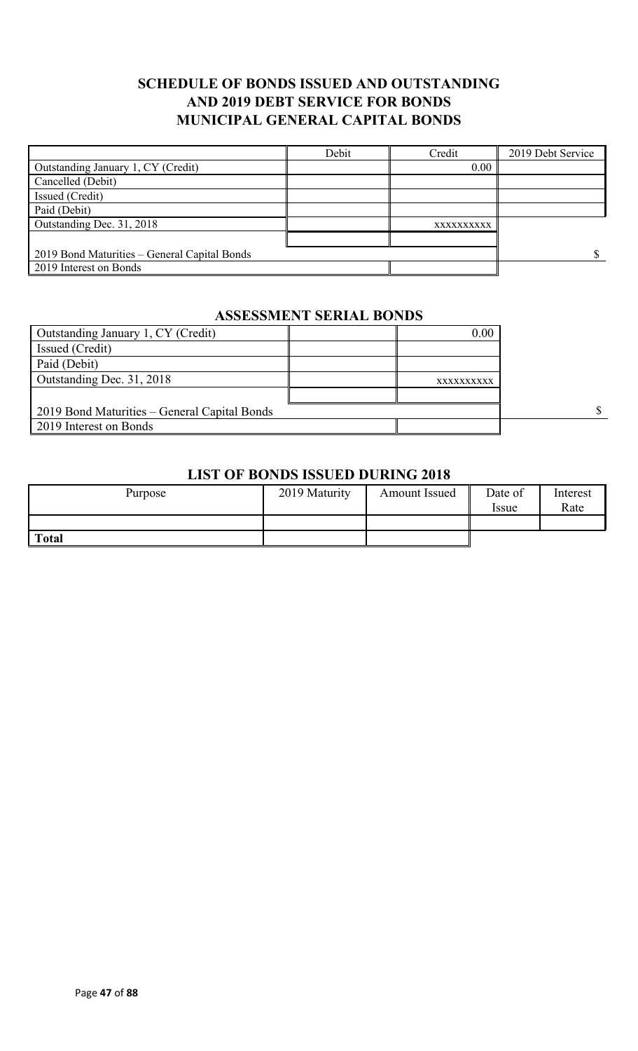## **SCHEDULE OF BONDS ISSUED AND OUTSTANDING AND 2019 DEBT SERVICE FOR BONDS MUNICIPAL GENERAL CAPITAL BONDS**

|                                              | Debit | Credit     | 2019 Debt Service |
|----------------------------------------------|-------|------------|-------------------|
| Outstanding January 1, CY (Credit)           |       | 0.00       |                   |
| Cancelled (Debit)                            |       |            |                   |
| Issued (Credit)                              |       |            |                   |
| Paid (Debit)                                 |       |            |                   |
| Outstanding Dec. 31, 2018                    |       | XXXXXXXXXX |                   |
|                                              |       |            |                   |
| 2019 Bond Maturities – General Capital Bonds |       |            |                   |
| 2019 Interest on Bonds                       |       |            |                   |

# **ASSESSMENT SERIAL BONDS**

| Outstanding January 1, CY (Credit)           | 0.00       |   |
|----------------------------------------------|------------|---|
| Issued (Credit)                              |            |   |
| Paid (Debit)                                 |            |   |
| Outstanding Dec. 31, 2018                    | XXXXXXXXXX |   |
|                                              |            |   |
| 2019 Bond Maturities – General Capital Bonds |            | S |
| 2019 Interest on Bonds                       |            |   |

#### **LIST OF BONDS ISSUED DURING 2018**

| Purpose      | 2019 Maturity | <b>Amount Issued</b> | Date of<br><i>Issue</i> | Interest<br>Rate |
|--------------|---------------|----------------------|-------------------------|------------------|
|              |               |                      |                         |                  |
| <b>Total</b> |               |                      |                         |                  |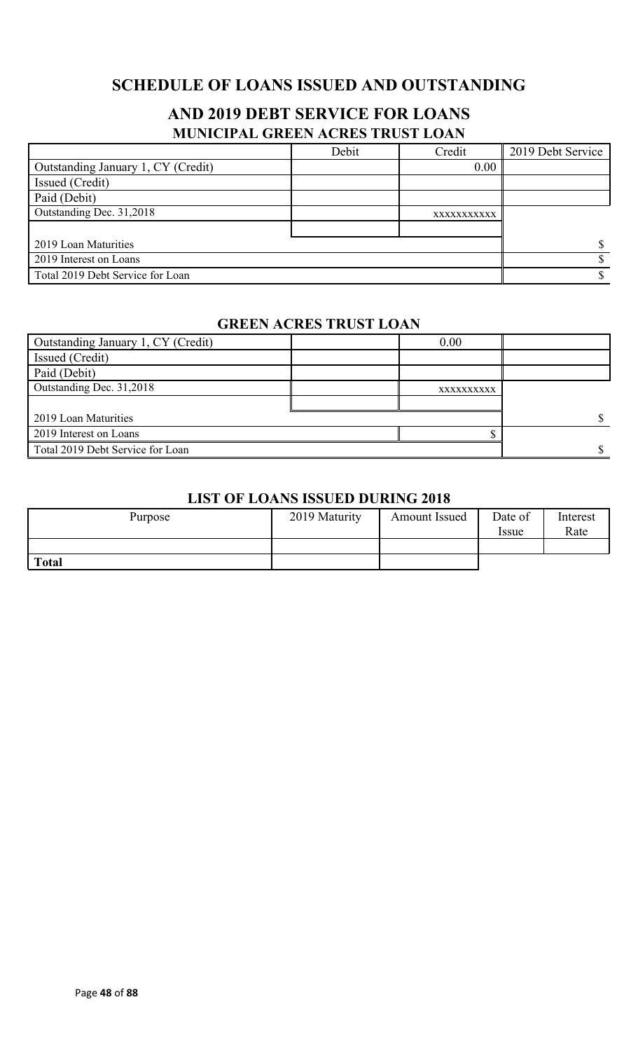## **SCHEDULE OF LOANS ISSUED AND OUTSTANDING**

## **AND 2019 DEBT SERVICE FOR LOANS MUNICIPAL GREEN ACRES TRUST LOAN**

|                                    | Debit | Credit      | 2019 Debt Service |
|------------------------------------|-------|-------------|-------------------|
| Outstanding January 1, CY (Credit) |       | 0.00        |                   |
| Issued (Credit)                    |       |             |                   |
| Paid (Debit)                       |       |             |                   |
| Outstanding Dec. 31,2018           |       | XXXXXXXXXXX |                   |
|                                    |       |             |                   |
| 2019 Loan Maturities               |       |             |                   |
| 2019 Interest on Loans             |       |             |                   |
| Total 2019 Debt Service for Loan   |       |             |                   |

### **GREEN ACRES TRUST LOAN**

| Outstanding January 1, CY (Credit) | 0.00       |  |
|------------------------------------|------------|--|
| Issued (Credit)                    |            |  |
| Paid (Debit)                       |            |  |
| Outstanding Dec. 31,2018           | XXXXXXXXXX |  |
|                                    |            |  |
| 2019 Loan Maturities               |            |  |
| 2019 Interest on Loans             |            |  |
| Total 2019 Debt Service for Loan   |            |  |

#### **LIST OF LOANS ISSUED DURING 2018**

| Purpose      | 2019 Maturity | <b>Amount Issued</b> | Date of<br><i>Issue</i> | Interest<br>Rate |
|--------------|---------------|----------------------|-------------------------|------------------|
|              |               |                      |                         |                  |
| <b>Total</b> |               |                      |                         |                  |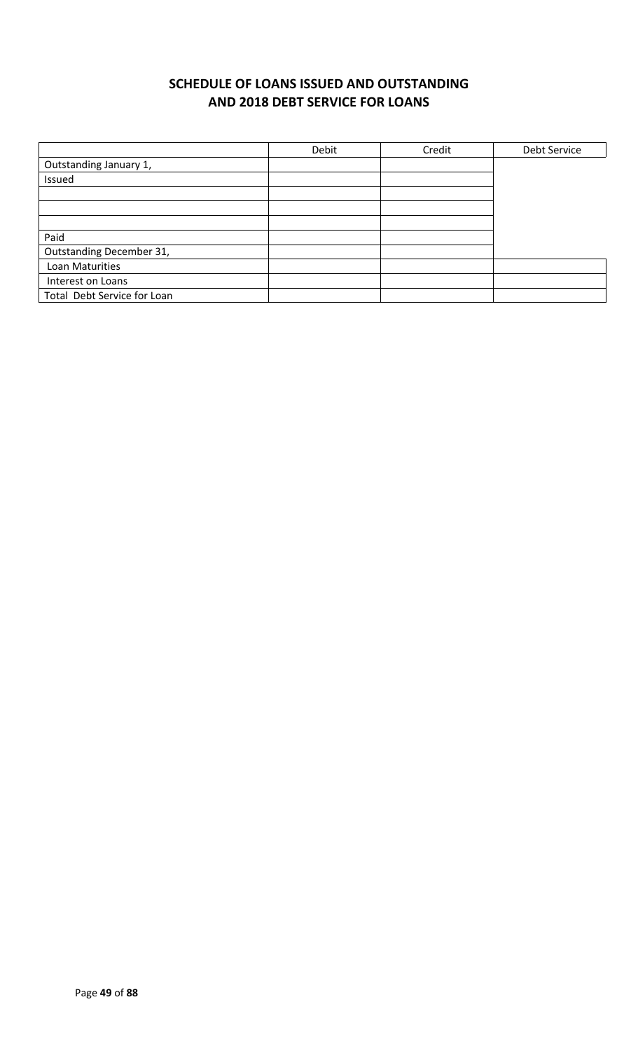## **SCHEDULE OF LOANS ISSUED AND OUTSTANDING AND 2018 DEBT SERVICE FOR LOANS**

|                             | Debit | Credit | Debt Service |
|-----------------------------|-------|--------|--------------|
| Outstanding January 1,      |       |        |              |
| Issued                      |       |        |              |
|                             |       |        |              |
|                             |       |        |              |
|                             |       |        |              |
| Paid                        |       |        |              |
| Outstanding December 31,    |       |        |              |
| Loan Maturities             |       |        |              |
| Interest on Loans           |       |        |              |
| Total Debt Service for Loan |       |        |              |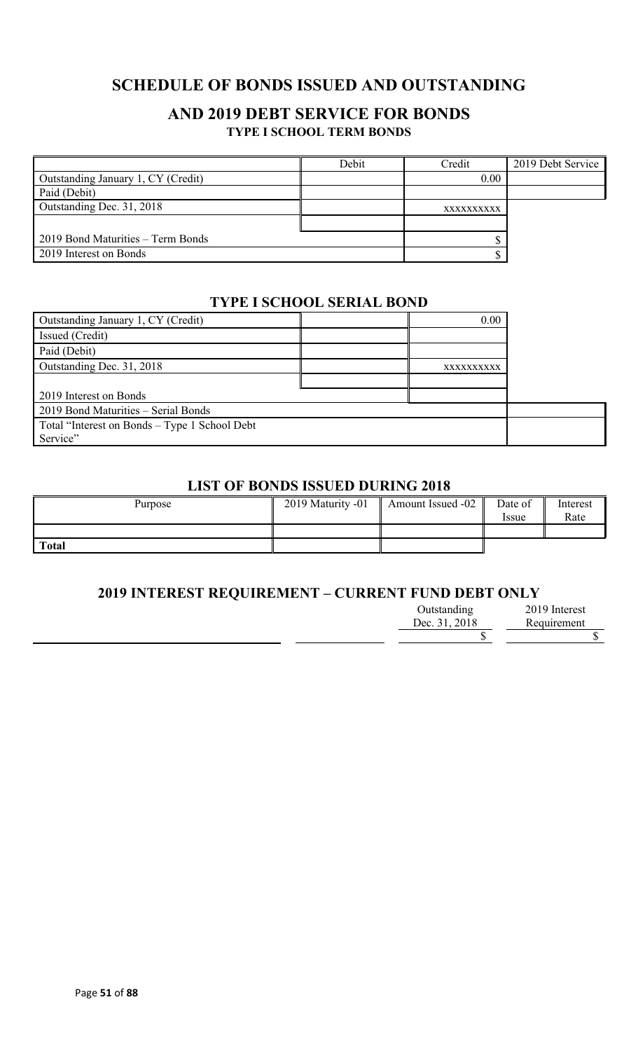## **SCHEDULE OF BONDS ISSUED AND OUTSTANDING**

### **AND 2019 DEBT SERVICE FOR BONDS TYPE I SCHOOL TERM BONDS**

|                                    | Debit | Credit     | 2019 Debt Service |
|------------------------------------|-------|------------|-------------------|
| Outstanding January 1, CY (Credit) |       | 0.00       |                   |
| Paid (Debit)                       |       |            |                   |
| Outstanding Dec. 31, 2018          |       | XXXXXXXXXX |                   |
|                                    |       |            |                   |
| 2019 Bond Maturities – Term Bonds  |       |            |                   |
| 2019 Interest on Bonds             |       |            |                   |

#### **TYPE I SCHOOL SERIAL BOND**

| Outstanding January 1, CY (Credit)            | 0.00       |  |
|-----------------------------------------------|------------|--|
| Issued (Credit)                               |            |  |
| Paid (Debit)                                  |            |  |
| Outstanding Dec. 31, 2018                     | XXXXXXXXXX |  |
|                                               |            |  |
| 2019 Interest on Bonds                        |            |  |
| 2019 Bond Maturities - Serial Bonds           |            |  |
| Total "Interest on Bonds – Type 1 School Debt |            |  |
| Service"                                      |            |  |

### **LIST OF BONDS ISSUED DURING 2018**

| Purpose      | 2019 Maturity -01 | Amount Issued -02 | Date of<br><i>ssue</i> | Interest<br>Rate |
|--------------|-------------------|-------------------|------------------------|------------------|
|              |                   |                   |                        |                  |
| <b>Total</b> |                   |                   |                        |                  |

### **2019 INTEREST REQUIREMENT – CURRENT FUND DEBT ONLY**

| Outstanding   | 2019 Interest |
|---------------|---------------|
| Dec. 31, 2018 | Requirement   |
|               |               |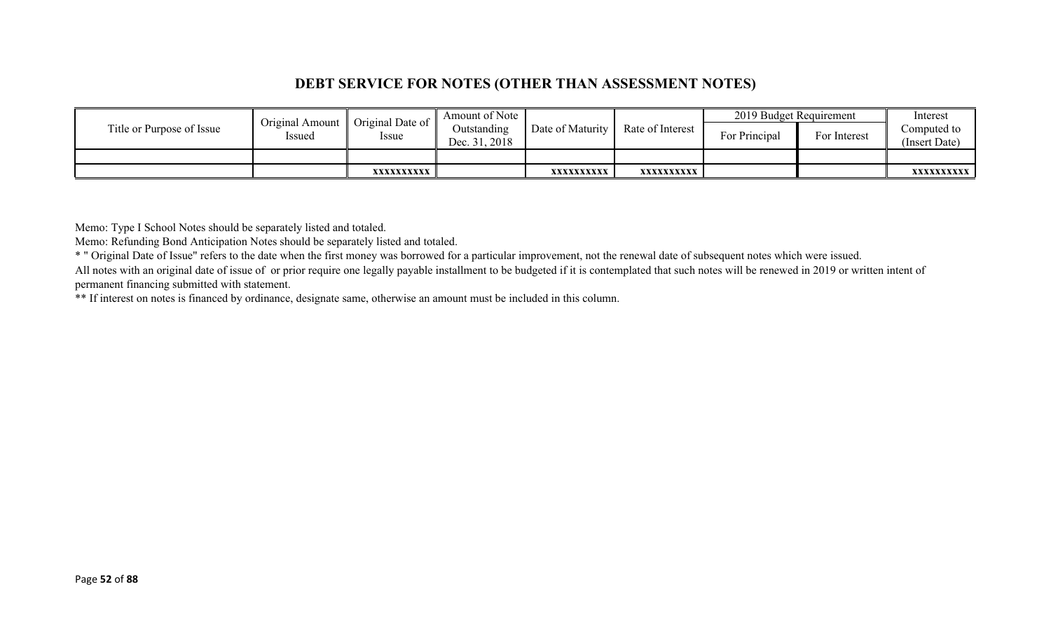## **DEBT SERVICE FOR NOTES (OTHER THAN ASSESSMENT NOTES)**

|                           | Original Amount | Original Date of | Amount of Note               |                       |                  | 2019 Budget Requirement |              | Interest                     |
|---------------------------|-----------------|------------------|------------------------------|-----------------------|------------------|-------------------------|--------------|------------------------------|
| Title or Purpose of Issue | Issued          | <i>ssue</i>      | Outstanding<br>Dec. 31, 2018 | Date of Maturity $\ $ | Rate of Interest | For Principal           | For Interest | Computed to<br>(Insert Date) |
|                           |                 |                  |                              |                       |                  |                         |              |                              |
|                           |                 | XXXXXXXXXX       |                              | XXXXXXXXXX            | XXXXXXXXXX       |                         |              | XXXXXXXXXX                   |

Memo: Type I School Notes should be separately listed and totaled.

Memo: Refunding Bond Anticipation Notes should be separately listed and totaled.

\* " Original Date of Issue" refers to the date when the first money was borrowed for a particular improvement, not the renewal date of subsequent notes which were issued.

All notes with an original date of issue of or prior require one legally payable installment to be budgeted if it is contemplated that such notes will be renewed in 2019 or written intent of permanent financing submitted with statement.

\*\* If interest on notes is financed by ordinance, designate same, otherwise an amount must be included in this column.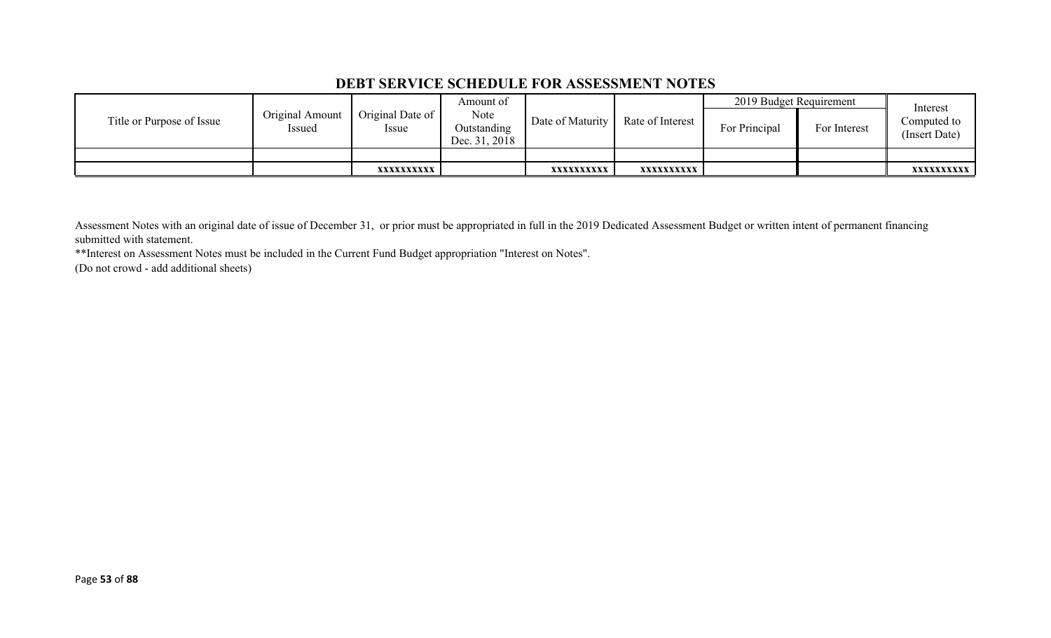### **DEBT SERVICE SCHEDULE FOR ASSESSMENT NOTES**

|                           |                           |                                 | Amount of                            |                  |                  | 2019 Budget Requirement |              | Interest                     |
|---------------------------|---------------------------|---------------------------------|--------------------------------------|------------------|------------------|-------------------------|--------------|------------------------------|
| Title or Purpose of Issue | Original Amount<br>Issued | Original Date of<br><i>ssue</i> | Note<br>Outstanding<br>Dec. 31, 2018 | Date of Maturity | Rate of Interest | For Principal           | For Interest | Computed to<br>(Insert Date) |
|                           |                           |                                 |                                      |                  |                  |                         |              |                              |
|                           |                           | XXXXXXXXXX                      |                                      | XXXXXXXXXX       | xxxxxxxxxx       |                         |              | <b>XXXXXXXXXX</b>            |

Assessment Notes with an original date of issue of December 31, or prior must be appropriated in full in the 2019 Dedicated Assessment Budget or written intent of permanent financing submitted with statement.

\*\*Interest on Assessment Notes must be included in the Current Fund Budget appropriation "Interest on Notes".

(Do not crowd - add additional sheets)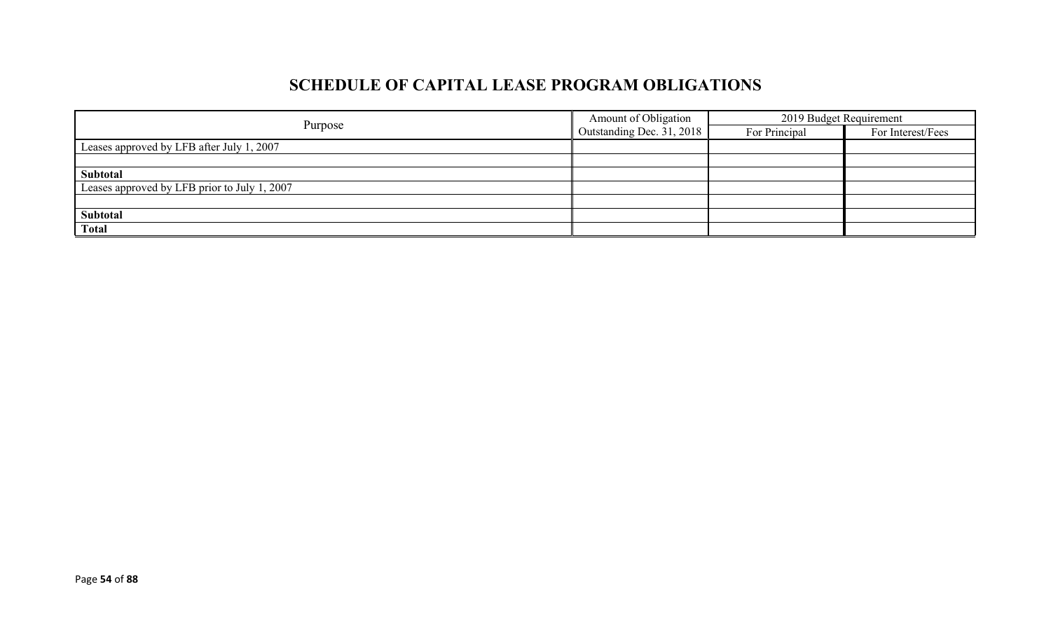# **SCHEDULE OF CAPITAL LEASE PROGRAM OBLIGATIONS**

|                                              | Amount of Obligation        | 2019 Budget Requirement |                   |
|----------------------------------------------|-----------------------------|-------------------------|-------------------|
| Purpose                                      | Outstanding Dec. $31, 2018$ | For Principal           | For Interest/Fees |
| Leases approved by LFB after July 1, 2007    |                             |                         |                   |
|                                              |                             |                         |                   |
| Subtotal                                     |                             |                         |                   |
| Leases approved by LFB prior to July 1, 2007 |                             |                         |                   |
|                                              |                             |                         |                   |
| Subtotal                                     |                             |                         |                   |
| <b>Total</b>                                 |                             |                         |                   |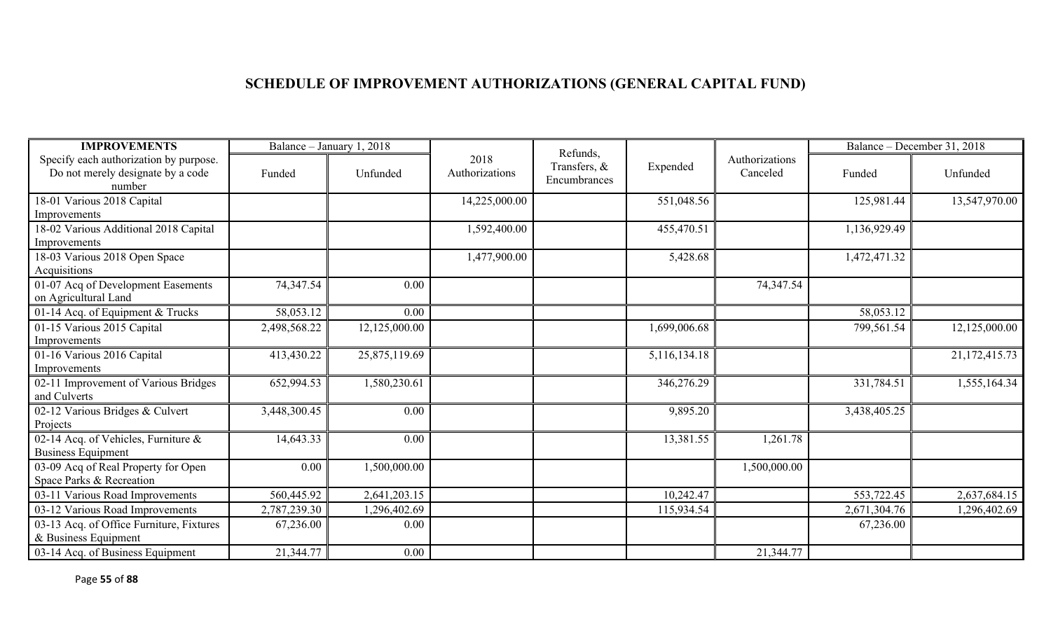# **SCHEDULE OF IMPROVEMENT AUTHORIZATIONS (GENERAL CAPITAL FUND)**

| <b>IMPROVEMENTS</b>                                                                   |              | Balance - January 1, 2018 |                        | Refunds,                     |              |                            |              | Balance – December 31, 2018 |
|---------------------------------------------------------------------------------------|--------------|---------------------------|------------------------|------------------------------|--------------|----------------------------|--------------|-----------------------------|
| Specify each authorization by purpose.<br>Do not merely designate by a code<br>number | Funded       | Unfunded                  | 2018<br>Authorizations | Transfers, &<br>Encumbrances | Expended     | Authorizations<br>Canceled | Funded       | Unfunded                    |
| 18-01 Various 2018 Capital                                                            |              |                           | 14,225,000.00          |                              | 551,048.56   |                            | 125,981.44   | 13,547,970.00               |
| Improvements                                                                          |              |                           |                        |                              |              |                            |              |                             |
| 18-02 Various Additional 2018 Capital                                                 |              |                           | 1,592,400.00           |                              | 455,470.51   |                            | 1,136,929.49 |                             |
| Improvements                                                                          |              |                           |                        |                              |              |                            |              |                             |
| 18-03 Various 2018 Open Space                                                         |              |                           | 1,477,900.00           |                              | 5,428.68     |                            | 1,472,471.32 |                             |
| Acquisitions                                                                          |              |                           |                        |                              |              |                            |              |                             |
| 01-07 Acq of Development Easements                                                    | 74,347.54    | 0.00                      |                        |                              |              | 74,347.54                  |              |                             |
| on Agricultural Land                                                                  |              |                           |                        |                              |              |                            |              |                             |
| 01-14 Acq. of Equipment & Trucks                                                      | 58,053.12    | 0.00                      |                        |                              |              |                            | 58,053.12    |                             |
| 01-15 Various 2015 Capital                                                            | 2,498,568.22 | 12,125,000.00             |                        |                              | 1,699,006.68 |                            | 799,561.54   | 12,125,000.00               |
| Improvements                                                                          |              |                           |                        |                              |              |                            |              |                             |
| 01-16 Various 2016 Capital                                                            | 413,430.22   | 25,875,119.69             |                        |                              | 5,116,134.18 |                            |              | 21,172,415.73               |
| Improvements                                                                          |              |                           |                        |                              |              |                            |              |                             |
| 02-11 Improvement of Various Bridges<br>and Culverts                                  | 652,994.53   | 1,580,230.61              |                        |                              | 346,276.29   |                            | 331,784.51   | 1,555,164.34                |
| 02-12 Various Bridges & Culvert<br>Projects                                           | 3,448,300.45 | 0.00                      |                        |                              | 9,895.20     |                            | 3,438,405.25 |                             |
| 02-14 Acq. of Vehicles, Furniture &<br><b>Business Equipment</b>                      | 14,643.33    | 0.00                      |                        |                              | 13,381.55    | 1,261.78                   |              |                             |
| 03-09 Acq of Real Property for Open                                                   | 0.00         | 1,500,000.00              |                        |                              |              | 1,500,000.00               |              |                             |
| Space Parks & Recreation                                                              |              |                           |                        |                              |              |                            |              |                             |
| 03-11 Various Road Improvements                                                       | 560,445.92   | 2,641,203.15              |                        |                              | 10,242.47    |                            | 553,722.45   | 2,637,684.15                |
| 03-12 Various Road Improvements                                                       | 2,787,239.30 | 1,296,402.69              |                        |                              | 115,934.54   |                            | 2,671,304.76 | 1,296,402.69                |
| 03-13 Acq. of Office Furniture, Fixtures                                              | 67,236.00    | 0.00                      |                        |                              |              |                            | 67,236.00    |                             |
| & Business Equipment                                                                  |              |                           |                        |                              |              |                            |              |                             |
| 03-14 Acq. of Business Equipment                                                      | 21,344.77    | 0.00                      |                        |                              |              | 21,344.77                  |              |                             |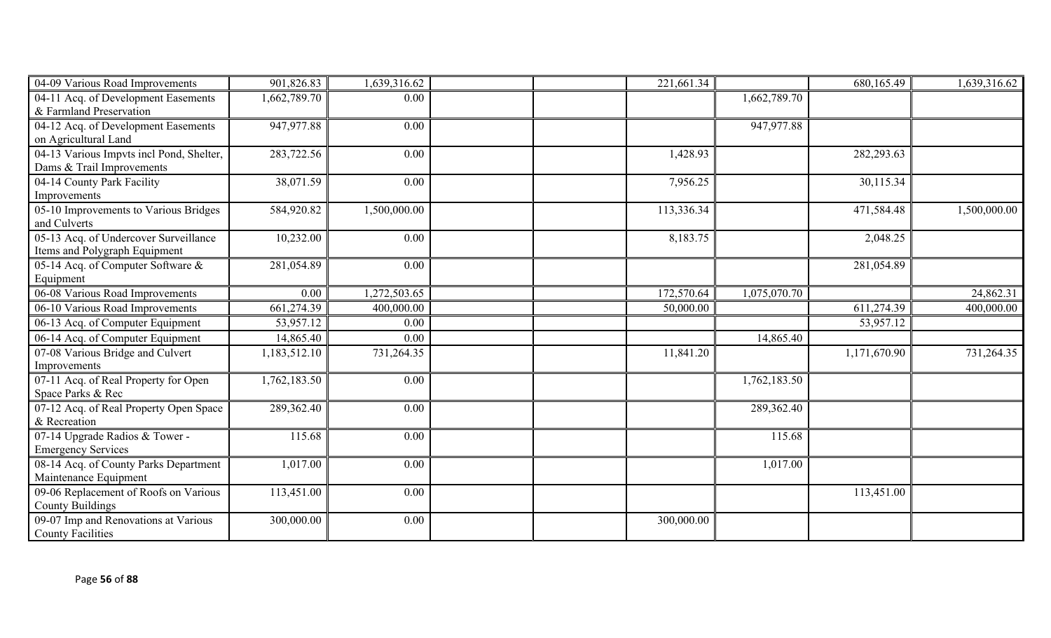| 04-09 Various Road Improvements          | 901,826.83   | 1,639,316.62 | 221,661.34 |              | 680,165.49   | 1,639,316.62 |
|------------------------------------------|--------------|--------------|------------|--------------|--------------|--------------|
| 04-11 Acq. of Development Easements      | 1,662,789.70 | 0.00         |            | 1,662,789.70 |              |              |
| & Farmland Preservation                  |              |              |            |              |              |              |
| 04-12 Acq. of Development Easements      | 947,977.88   | 0.00         |            | 947,977.88   |              |              |
| on Agricultural Land                     |              |              |            |              |              |              |
| 04-13 Various Impvts incl Pond, Shelter, | 283,722.56   | 0.00         | 1,428.93   |              | 282,293.63   |              |
| Dams & Trail Improvements                |              |              |            |              |              |              |
| 04-14 County Park Facility               | 38,071.59    | 0.00         | 7,956.25   |              | 30,115.34    |              |
| Improvements                             |              |              |            |              |              |              |
| 05-10 Improvements to Various Bridges    | 584,920.82   | 1,500,000.00 | 113,336.34 |              | 471,584.48   | 1,500,000.00 |
| and Culverts                             |              |              |            |              |              |              |
| 05-13 Acq. of Undercover Surveillance    | 10,232.00    | 0.00         | 8,183.75   |              | 2,048.25     |              |
| Items and Polygraph Equipment            |              |              |            |              |              |              |
| 05-14 Acq. of Computer Software &        | 281,054.89   | 0.00         |            |              | 281,054.89   |              |
| Equipment                                |              |              |            |              |              |              |
| 06-08 Various Road Improvements          | 0.00         | 1,272,503.65 | 172,570.64 | 1,075,070.70 |              | 24,862.31    |
| 06-10 Various Road Improvements          | 661,274.39   | 400,000.00   | 50,000.00  |              | 611,274.39   | 400,000.00   |
| 06-13 Acq. of Computer Equipment         | 53,957.12    | 0.00         |            |              | 53,957.12    |              |
| 06-14 Acq. of Computer Equipment         | 14,865.40    | 0.00         |            | 14,865.40    |              |              |
| 07-08 Various Bridge and Culvert         | 1,183,512.10 | 731,264.35   | 11,841.20  |              | 1,171,670.90 | 731,264.35   |
| Improvements                             |              |              |            |              |              |              |
| 07-11 Acq. of Real Property for Open     | 1,762,183.50 | 0.00         |            | 1,762,183.50 |              |              |
| Space Parks & Rec                        |              |              |            |              |              |              |
| 07-12 Acq. of Real Property Open Space   | 289,362.40   | 0.00         |            | 289,362.40   |              |              |
| & Recreation                             |              |              |            |              |              |              |
| 07-14 Upgrade Radios & Tower -           | 115.68       | 0.00         |            | 115.68       |              |              |
| <b>Emergency Services</b>                |              |              |            |              |              |              |
| 08-14 Acq. of County Parks Department    | 1,017.00     | 0.00         |            | 1,017.00     |              |              |
| Maintenance Equipment                    |              |              |            |              |              |              |
| 09-06 Replacement of Roofs on Various    | 113,451.00   | 0.00         |            |              | 113,451.00   |              |
| <b>County Buildings</b>                  |              |              |            |              |              |              |
| 09-07 Imp and Renovations at Various     | 300,000.00   | 0.00         | 300,000.00 |              |              |              |
| <b>County Facilities</b>                 |              |              |            |              |              |              |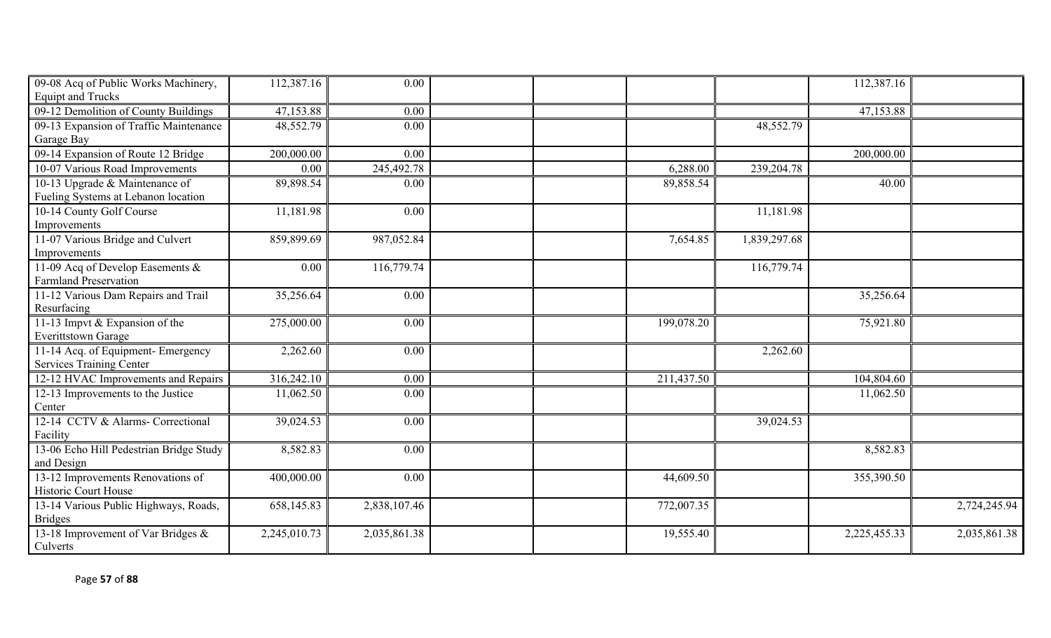| 09-08 Acq of Public Works Machinery,    | 112,387.16   | 0.00         |            |              | 112,387.16   |              |
|-----------------------------------------|--------------|--------------|------------|--------------|--------------|--------------|
| <b>Equipt and Trucks</b>                |              |              |            |              |              |              |
| 09-12 Demolition of County Buildings    | 47,153.88    | 0.00         |            |              | 47,153.88    |              |
| 09-13 Expansion of Traffic Maintenance  | 48,552.79    | 0.00         |            | 48,552.79    |              |              |
| <b>Garage Bay</b>                       |              |              |            |              |              |              |
| 09-14 Expansion of Route 12 Bridge      | 200,000.00   | 0.00         |            |              | 200,000.00   |              |
| 10-07 Various Road Improvements         | 0.00         | 245,492.78   | 6,288.00   | 239, 204. 78 |              |              |
| 10-13 Upgrade & Maintenance of          | 89,898.54    | 0.00         | 89,858.54  |              | 40.00        |              |
| Fueling Systems at Lebanon location     |              |              |            |              |              |              |
| 10-14 County Golf Course                | 11,181.98    | 0.00         |            | 11,181.98    |              |              |
| Improvements                            |              |              |            |              |              |              |
| 11-07 Various Bridge and Culvert        | 859,899.69   | 987,052.84   | 7,654.85   | 1,839,297.68 |              |              |
| Improvements                            |              |              |            |              |              |              |
| 11-09 Acq of Develop Easements &        | 0.00         | 116,779.74   |            | 116,779.74   |              |              |
| <b>Farmland Preservation</b>            |              |              |            |              |              |              |
| 11-12 Various Dam Repairs and Trail     | 35,256.64    | 0.00         |            |              | 35,256.64    |              |
| Resurfacing                             |              |              |            |              |              |              |
| $11-13$ Impvt & Expansion of the        | 275,000.00   | 0.00         | 199,078.20 |              | 75,921.80    |              |
| <b>Everittstown Garage</b>              |              |              |            |              |              |              |
| 11-14 Acq. of Equipment- Emergency      | 2,262.60     | 0.00         |            | 2,262.60     |              |              |
| <b>Services Training Center</b>         |              |              |            |              |              |              |
| 12-12 HVAC Improvements and Repairs     | 316,242.10   | 0.00         | 211,437.50 |              | 104,804.60   |              |
| 12-13 Improvements to the Justice       | 11,062.50    | 0.00         |            |              | 11,062.50    |              |
| Center                                  |              |              |            |              |              |              |
| 12-14 CCTV & Alarms- Correctional       | 39,024.53    | 0.00         |            | 39,024.53    |              |              |
| Facility                                |              |              |            |              |              |              |
| 13-06 Echo Hill Pedestrian Bridge Study | 8,582.83     | 0.00         |            |              | 8,582.83     |              |
| and Design                              |              |              |            |              |              |              |
| 13-12 Improvements Renovations of       | 400,000.00   | 0.00         | 44,609.50  |              | 355,390.50   |              |
| Historic Court House                    |              |              |            |              |              |              |
| 13-14 Various Public Highways, Roads,   | 658,145.83   | 2,838,107.46 | 772,007.35 |              |              | 2,724,245.94 |
| <b>Bridges</b>                          |              |              |            |              |              |              |
| 13-18 Improvement of Var Bridges &      | 2,245,010.73 | 2,035,861.38 | 19,555.40  |              | 2,225,455.33 | 2,035,861.38 |
| Culverts                                |              |              |            |              |              |              |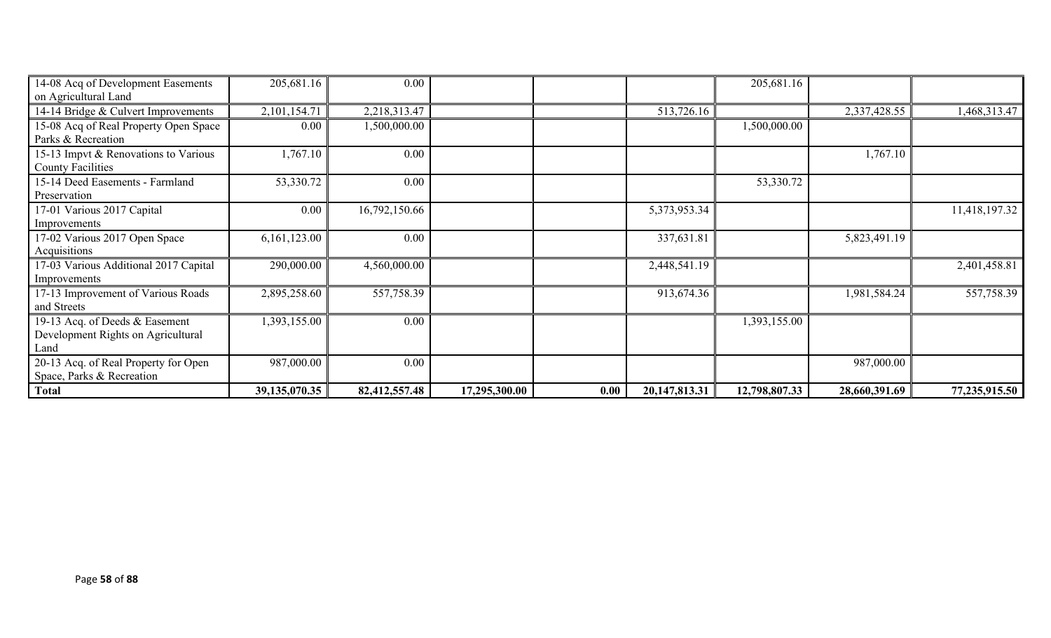| 14-08 Acq of Development Easements    | 205,681.16    | 0.00          |               |      |               | 205,681.16    |               |               |
|---------------------------------------|---------------|---------------|---------------|------|---------------|---------------|---------------|---------------|
| on Agricultural Land                  |               |               |               |      |               |               |               |               |
| 14-14 Bridge & Culvert Improvements   | 2,101,154.71  | 2,218,313.47  |               |      | 513,726.16    |               | 2,337,428.55  | 1,468,313.47  |
| 15-08 Acq of Real Property Open Space | 0.00          | 1,500,000.00  |               |      |               | 1,500,000.00  |               |               |
| Parks & Recreation                    |               |               |               |      |               |               |               |               |
| 15-13 Impvt & Renovations to Various  | 1,767.10      | 0.00          |               |      |               |               | 1,767.10      |               |
| <b>County Facilities</b>              |               |               |               |      |               |               |               |               |
| 15-14 Deed Easements - Farmland       | 53,330.72     | 0.00          |               |      |               | 53,330.72     |               |               |
| Preservation                          |               |               |               |      |               |               |               |               |
| 17-01 Various 2017 Capital            | 0.00          | 16,792,150.66 |               |      | 5,373,953.34  |               |               | 11,418,197.32 |
| Improvements                          |               |               |               |      |               |               |               |               |
| 17-02 Various 2017 Open Space         | 6,161,123.00  | 0.00          |               |      | 337,631.81    |               | 5,823,491.19  |               |
| Acquisitions                          |               |               |               |      |               |               |               |               |
| 17-03 Various Additional 2017 Capital | 290,000.00    | 4,560,000.00  |               |      | 2,448,541.19  |               |               | 2,401,458.81  |
| Improvements                          |               |               |               |      |               |               |               |               |
| 17-13 Improvement of Various Roads    | 2,895,258.60  | 557,758.39    |               |      | 913,674.36    |               | 1,981,584.24  | 557,758.39    |
| and Streets                           |               |               |               |      |               |               |               |               |
| 19-13 Acq. of Deeds & Easement        | 1,393,155.00  | 0.00          |               |      |               | 1,393,155.00  |               |               |
| Development Rights on Agricultural    |               |               |               |      |               |               |               |               |
| Land                                  |               |               |               |      |               |               |               |               |
| 20-13 Acq. of Real Property for Open  | 987,000.00    | 0.00          |               |      |               |               | 987,000.00    |               |
| Space, Parks & Recreation             |               |               |               |      |               |               |               |               |
| <b>Total</b>                          | 39,135,070.35 | 82,412,557.48 | 17,295,300.00 | 0.00 | 20,147,813.31 | 12,798,807.33 | 28,660,391.69 | 77,235,915.50 |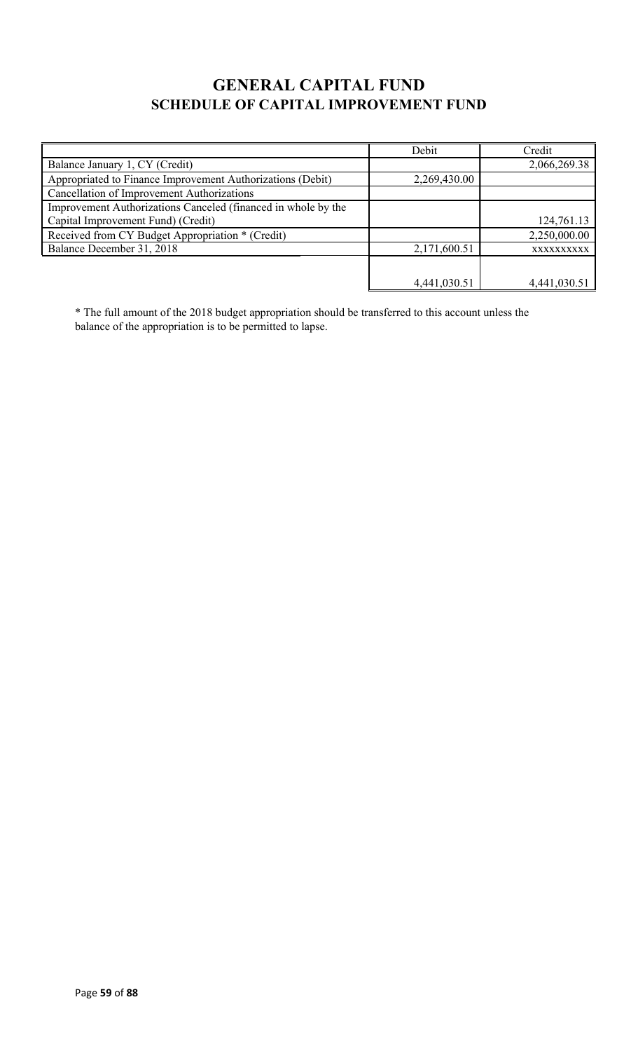# **GENERAL CAPITAL FUND SCHEDULE OF CAPITAL IMPROVEMENT FUND**

|                                                               | Debit        | Credit       |
|---------------------------------------------------------------|--------------|--------------|
| Balance January 1, CY (Credit)                                |              | 2,066,269.38 |
| Appropriated to Finance Improvement Authorizations (Debit)    | 2,269,430.00 |              |
| Cancellation of Improvement Authorizations                    |              |              |
| Improvement Authorizations Canceled (financed in whole by the |              |              |
| Capital Improvement Fund) (Credit)                            |              | 124,761.13   |
| Received from CY Budget Appropriation * (Credit)              |              | 2,250,000.00 |
| Balance December 31, 2018                                     | 2,171,600.51 | XXXXXXXXXX   |
|                                                               |              |              |
|                                                               | 4,441,030.51 | 4,441,030.51 |

\* The full amount of the 2018 budget appropriation should be transferred to this account unless the balance of the appropriation is to be permitted to lapse.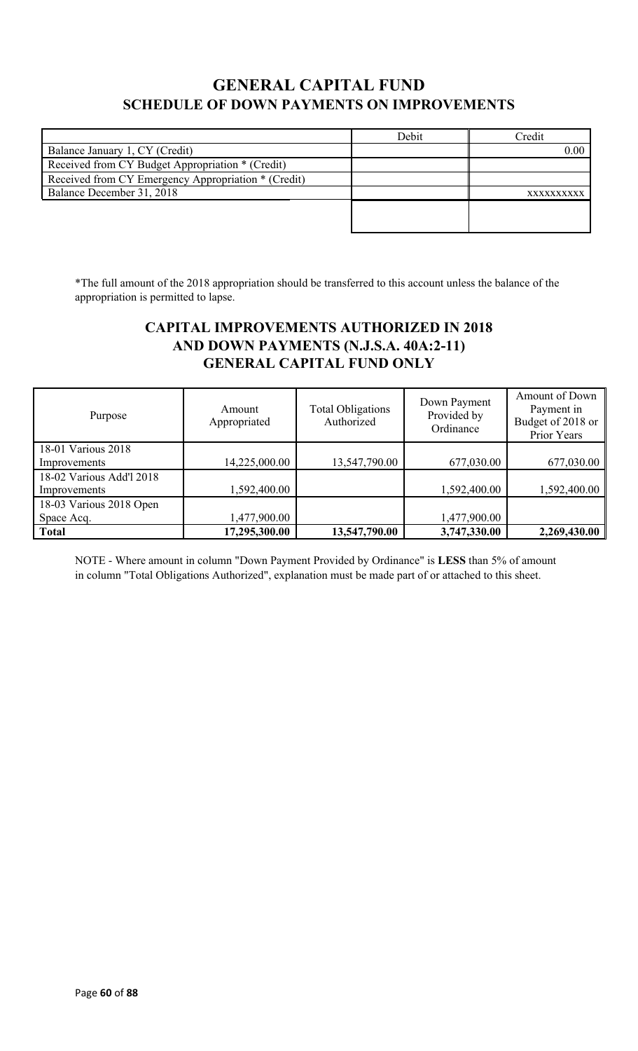## **GENERAL CAPITAL FUND SCHEDULE OF DOWN PAYMENTS ON IMPROVEMENTS**

|                                                     | Debit | Credit     |
|-----------------------------------------------------|-------|------------|
| Balance January 1, CY (Credit)                      |       | 0.00       |
| Received from CY Budget Appropriation * (Credit)    |       |            |
| Received from CY Emergency Appropriation * (Credit) |       |            |
| Balance December 31, 2018                           |       | XXXXXXXXXX |
|                                                     |       |            |
|                                                     |       |            |

\*The full amount of the 2018 appropriation should be transferred to this account unless the balance of the appropriation is permitted to lapse.

## **CAPITAL IMPROVEMENTS AUTHORIZED IN 2018 AND DOWN PAYMENTS (N.J.S.A. 40A:2-11) GENERAL CAPITAL FUND ONLY**

| Purpose                  | Amount<br>Appropriated | <b>Total Obligations</b><br>Authorized | Down Payment<br>Provided by<br>Ordinance | Amount of Down<br>Payment in<br>Budget of 2018 or<br>Prior Years |
|--------------------------|------------------------|----------------------------------------|------------------------------------------|------------------------------------------------------------------|
| 18-01 Various 2018       |                        |                                        |                                          |                                                                  |
| Improvements             | 14,225,000.00          | 13,547,790.00                          | 677,030.00                               | 677,030.00                                                       |
| 18-02 Various Add'l 2018 |                        |                                        |                                          |                                                                  |
| Improvements             | 1,592,400.00           |                                        | 1,592,400.00                             | 1,592,400.00                                                     |
| 18-03 Various 2018 Open  |                        |                                        |                                          |                                                                  |
| Space Acq.               | 1,477,900.00           |                                        | 1,477,900.00                             |                                                                  |
| <b>Total</b>             | 17,295,300.00          | 13,547,790.00                          | 3,747,330.00                             | 2,269,430.00                                                     |

NOTE - Where amount in column "Down Payment Provided by Ordinance" is **LESS** than 5% of amount in column "Total Obligations Authorized", explanation must be made part of or attached to this sheet.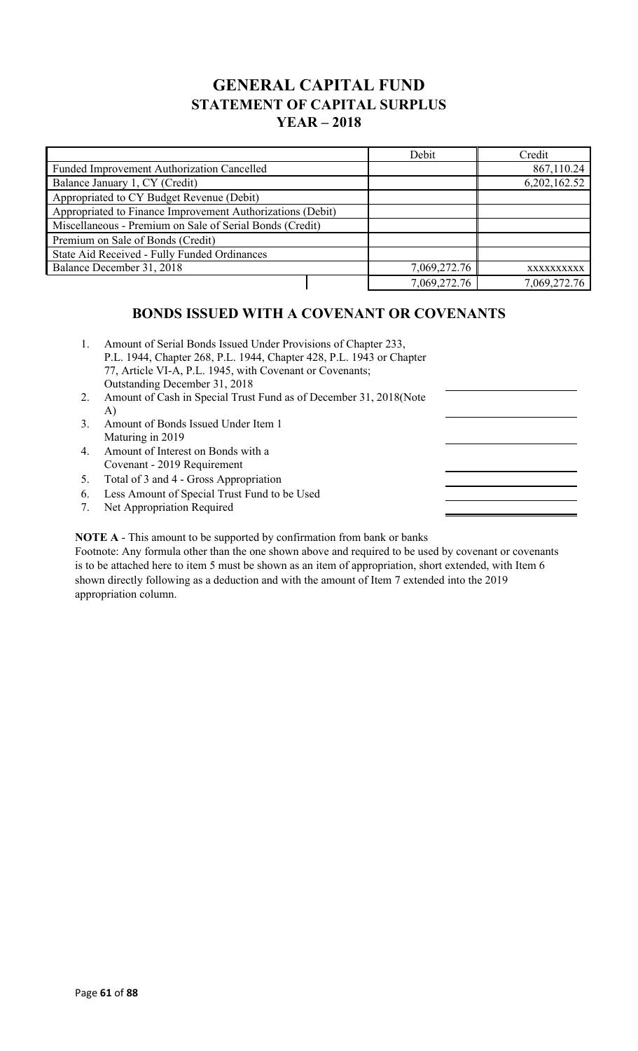## **GENERAL CAPITAL FUND STATEMENT OF CAPITAL SURPLUS YEAR – 2018**

|                                                            | Debit        | Credit       |
|------------------------------------------------------------|--------------|--------------|
| Funded Improvement Authorization Cancelled                 |              | 867,110.24   |
| Balance January 1, CY (Credit)                             |              | 6,202,162.52 |
| Appropriated to CY Budget Revenue (Debit)                  |              |              |
| Appropriated to Finance Improvement Authorizations (Debit) |              |              |
| Miscellaneous - Premium on Sale of Serial Bonds (Credit)   |              |              |
| Premium on Sale of Bonds (Credit)                          |              |              |
| State Aid Received - Fully Funded Ordinances               |              |              |
| Balance December 31, 2018                                  | 7,069,272.76 | XXXXXXXXXX   |
|                                                            | 7,069,272.76 | 7,069,272.76 |

## **BONDS ISSUED WITH A COVENANT OR COVENANTS**

| 1. | Amount of Serial Bonds Issued Under Provisions of Chapter 233,<br>P.L. 1944, Chapter 268, P.L. 1944, Chapter 428, P.L. 1943 or Chapter<br>77, Article VI-A, P.L. 1945, with Covenant or Covenants;<br>Outstanding December 31, 2018 |  |
|----|-------------------------------------------------------------------------------------------------------------------------------------------------------------------------------------------------------------------------------------|--|
| 2. | Amount of Cash in Special Trust Fund as of December 31, 2018 (Note                                                                                                                                                                  |  |
|    | A)                                                                                                                                                                                                                                  |  |
| 3. | Amount of Bonds Issued Under Item 1                                                                                                                                                                                                 |  |
|    | Maturing in 2019                                                                                                                                                                                                                    |  |
| 4. | Amount of Interest on Bonds with a                                                                                                                                                                                                  |  |
|    | Covenant - 2019 Requirement                                                                                                                                                                                                         |  |
| 5. | Total of 3 and 4 - Gross Appropriation                                                                                                                                                                                              |  |
| 6. | Less Amount of Special Trust Fund to be Used                                                                                                                                                                                        |  |
| 7. | Net Appropriation Required                                                                                                                                                                                                          |  |
|    |                                                                                                                                                                                                                                     |  |

**NOTE A** - This amount to be supported by confirmation from bank or banks

Footnote: Any formula other than the one shown above and required to be used by covenant or covenants is to be attached here to item 5 must be shown as an item of appropriation, short extended, with Item 6 shown directly following as a deduction and with the amount of Item 7 extended into the 2019 appropriation column.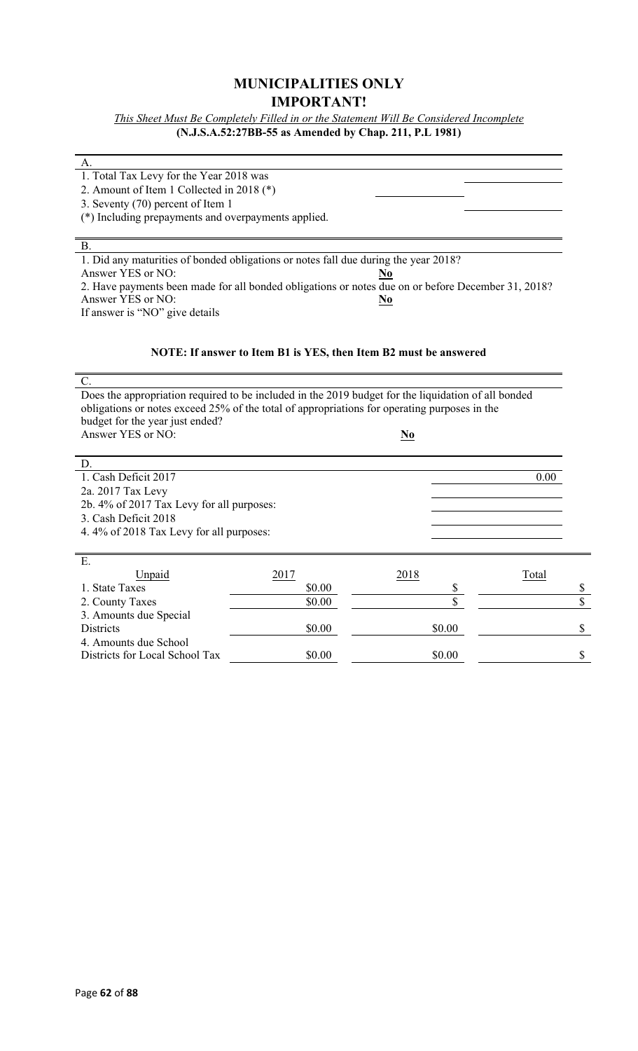## **MUNICIPALITIES ONLY IMPORTANT!**

*This Sheet Must Be Completely Filled in or the Statement Will Be Considered Incomplete* **(N.J.S.A.52:27BB-55 as Amended by Chap. 211, P.L 1981)**

#### A.

1. Total Tax Levy for the Year 2018 was

2. Amount of Item 1 Collected in 2018 (\*)

3. Seventy (70) percent of Item 1

(\*) Including prepayments and overpayments applied.

#### B. 1. Did any maturities of bonded obligations or notes fall due during the year 2018? Answer YES or NO: **No** 2. Have payments been made for all bonded obligations or notes due on or before December 31, 2018? Answer YES or NO: **No** If answer is "NO" give details

#### **NOTE: If answer to Item B1 is YES, then Item B2 must be answered**

| C.                                                                                                  |      |      |       |
|-----------------------------------------------------------------------------------------------------|------|------|-------|
| Does the appropriation required to be included in the 2019 budget for the liquidation of all bonded |      |      |       |
| obligations or notes exceed 25% of the total of appropriations for operating purposes in the        |      |      |       |
| budget for the year just ended?                                                                     |      |      |       |
| Answer YES or NO:                                                                                   |      | N0   |       |
|                                                                                                     |      |      |       |
| D.                                                                                                  |      |      |       |
| 1. Cash Deficit 2017                                                                                |      |      | 0.00  |
| 2a. 2017 Tax Levy                                                                                   |      |      |       |
| 2b. 4% of 2017 Tax Levy for all purposes:                                                           |      |      |       |
| 3. Cash Deficit 2018                                                                                |      |      |       |
| 4.4% of 2018 Tax Levy for all purposes:                                                             |      |      |       |
|                                                                                                     |      |      |       |
| E.                                                                                                  |      |      |       |
| Unpaid                                                                                              | 2017 | 2018 | Total |

| Unpaid                         |        | <u> 2018</u> | Total |
|--------------------------------|--------|--------------|-------|
| 1. State Taxes                 | \$0.00 |              |       |
| 2. County Taxes                | \$0.00 |              |       |
| 3. Amounts due Special         |        |              |       |
| <b>Districts</b>               | \$0.00 | \$0.00       |       |
| 4. Amounts due School          |        |              |       |
| Districts for Local School Tax | \$0.00 | \$0.00       |       |
|                                |        |              |       |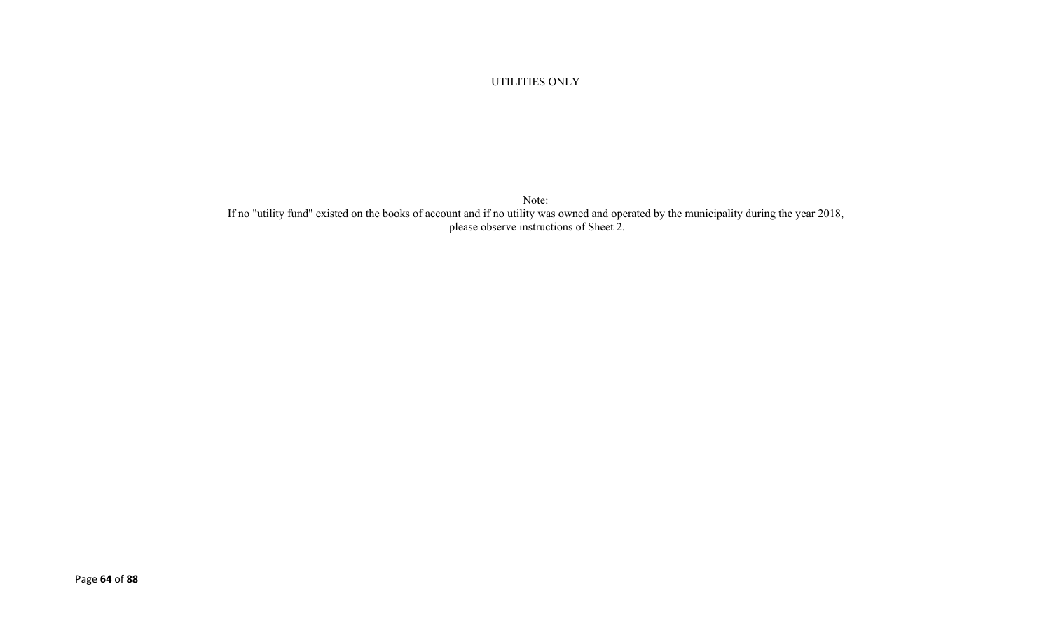#### UTILITIES ONLY

Note: If no "utility fund" existed on the books of account and if no utility was owned and operated by the municipality during the year 2018, please observe instructions of Sheet 2.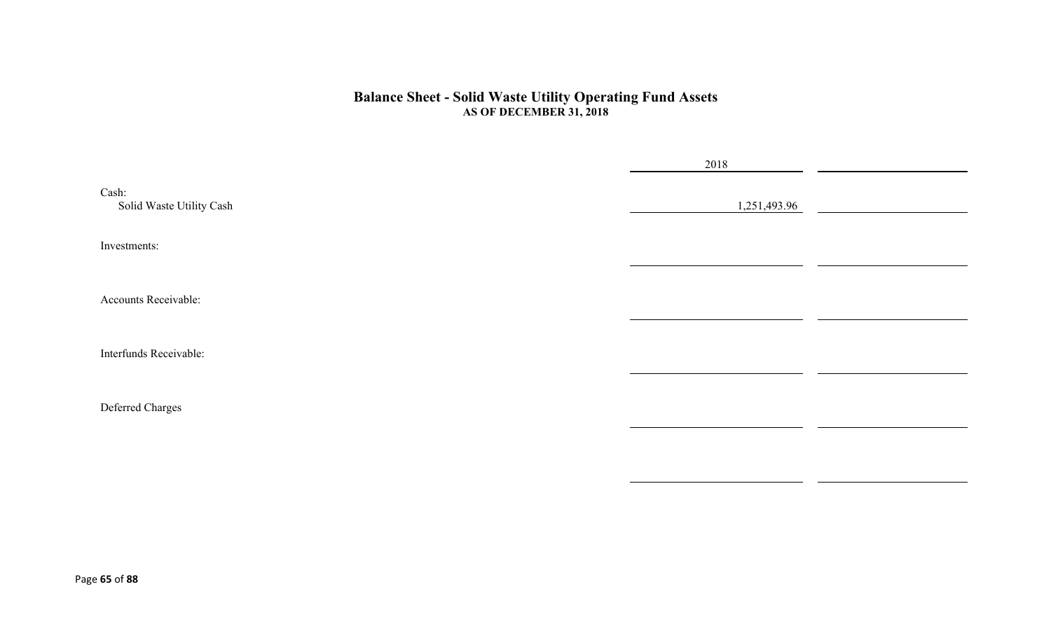#### **Balance Sheet - Solid Waste Utility Operating Fund Assets AS OF DECEMBER 31, 2018**

|                                   | 2018         |  |
|-----------------------------------|--------------|--|
| Cash:<br>Solid Waste Utility Cash | 1,251,493.96 |  |
| Investments:                      |              |  |
| Accounts Receivable:              |              |  |
| Interfunds Receivable:            |              |  |
| Deferred Charges                  |              |  |
|                                   |              |  |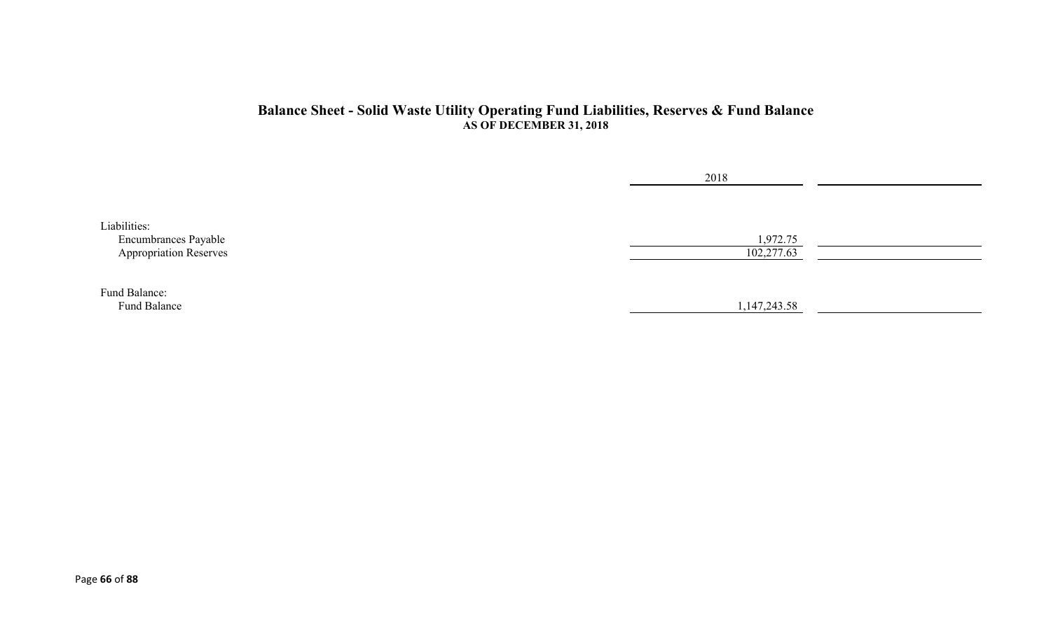#### **Balance Sheet - Solid Waste Utility Operating Fund Liabilities, Reserves & Fund Balance AS OF DECEMBER 31, 2018**

|                               | 2018         |  |
|-------------------------------|--------------|--|
|                               |              |  |
| Liabilities:                  |              |  |
| Encumbrances Payable          | 1,972.75     |  |
| <b>Appropriation Reserves</b> | 102,277.63   |  |
|                               |              |  |
| Fund Balance:                 |              |  |
| Fund Balance                  | 1,147,243.58 |  |
|                               |              |  |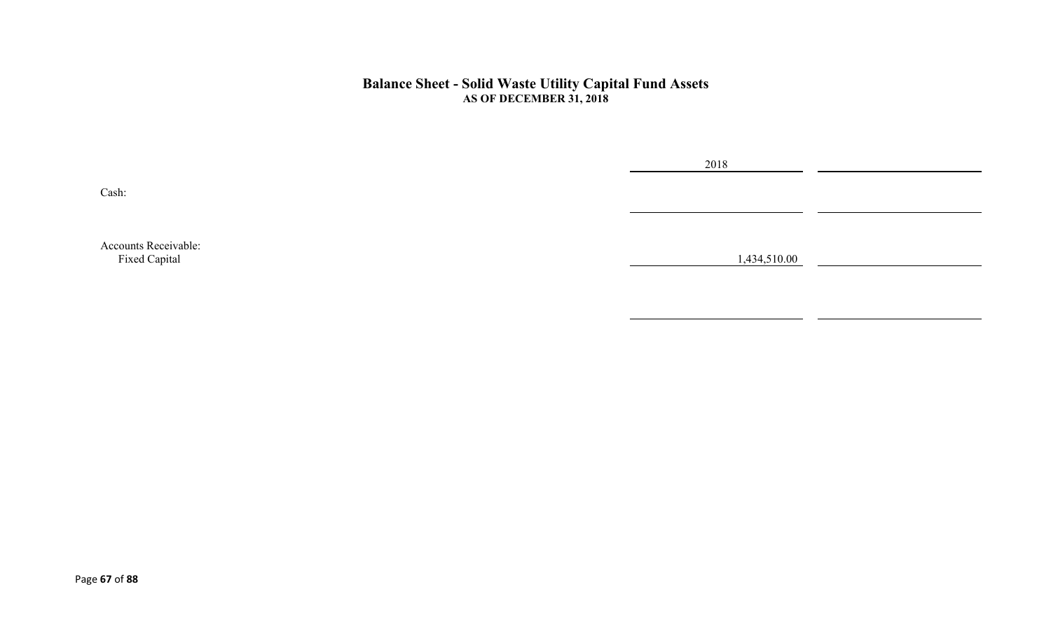#### **Balance Sheet - Solid Waste Utility Capital Fund Assets AS OF DECEMBER 31, 2018**

Cash:

2018

Accounts Receivable:<br>Fixed Capital Fixed Capital 1,434,510.00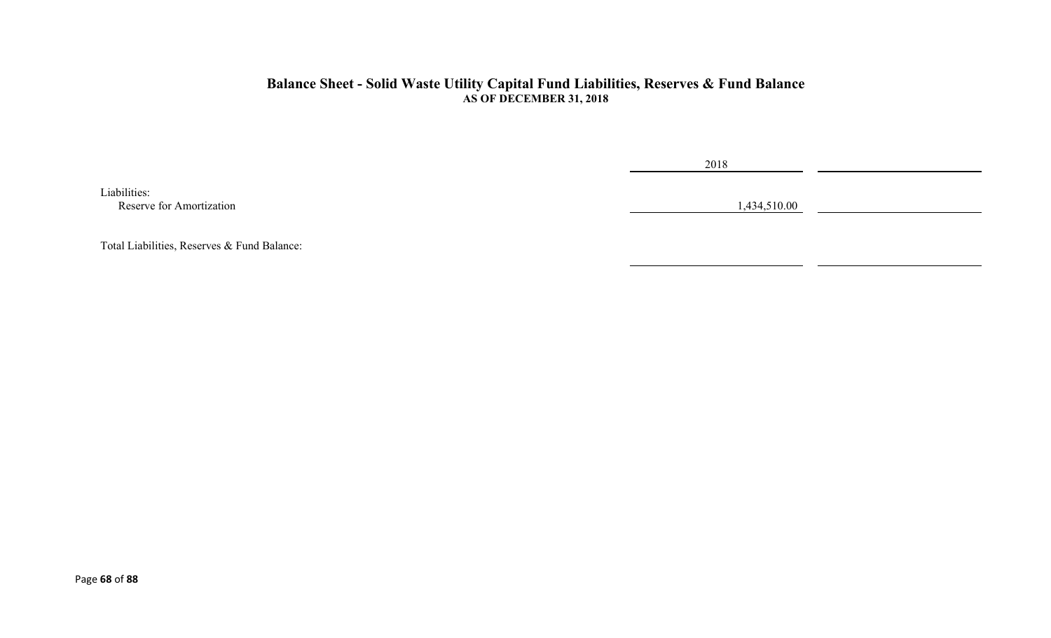#### **Balance Sheet - Solid Waste Utility Capital Fund Liabilities, Reserves & Fund Balance AS OF DECEMBER 31, 2018**

Liabilities: Reserve for Amortization 1,434,510.00

2018

Total Liabilities, Reserves & Fund Balance: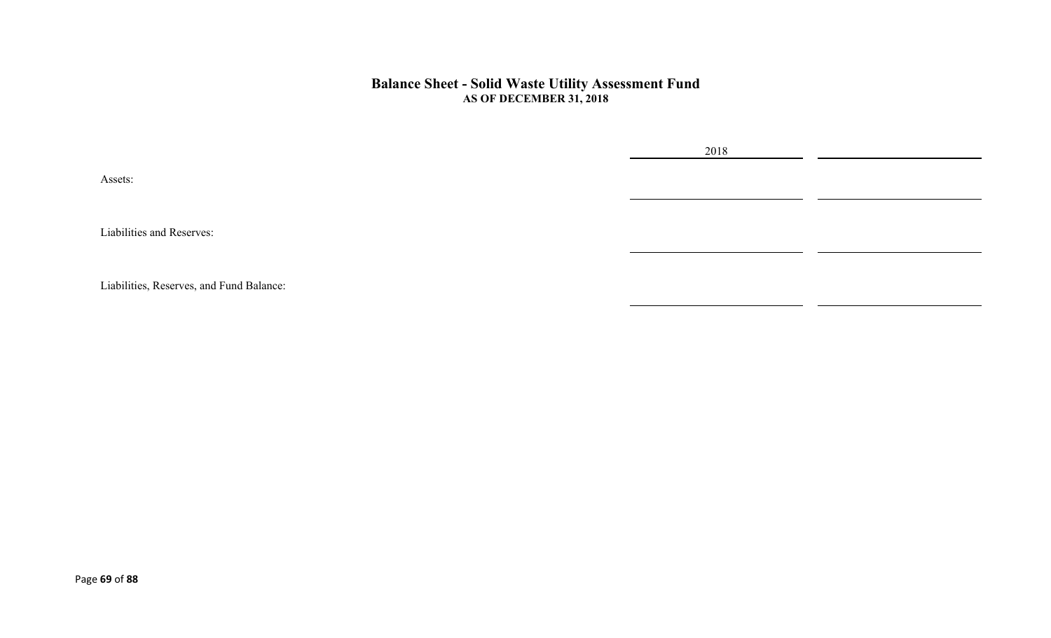#### **Balance Sheet - Solid Waste Utility Assessment Fund AS OF DECEMBER 31, 2018**

2018

Assets:

Liabilities and Reserves:

Liabilities, Reserves, and Fund Balance: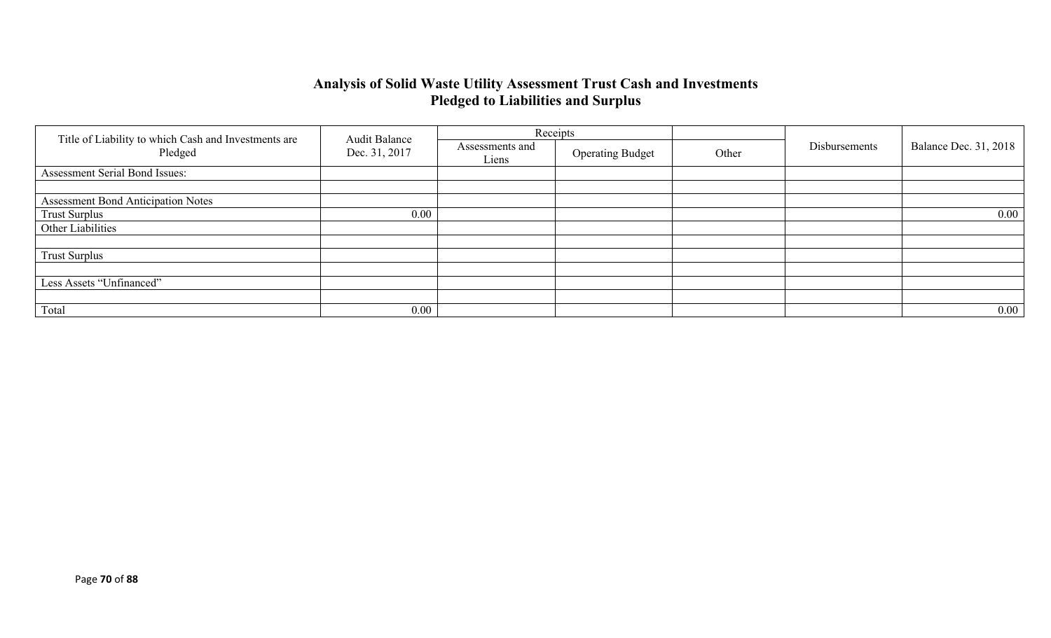# **Analysis of Solid Waste Utility Assessment Trust Cash and Investments Pledged to Liabilities and Surplus**

|                                                                 | <b>Audit Balance</b> |                          | Receipts                |       |               | <b>Balance Dec. 31, 2018</b> |
|-----------------------------------------------------------------|----------------------|--------------------------|-------------------------|-------|---------------|------------------------------|
| Title of Liability to which Cash and Investments are<br>Pledged | Dec. 31, 2017        | Assessments and<br>Liens | <b>Operating Budget</b> | Other | Disbursements |                              |
| Assessment Serial Bond Issues:                                  |                      |                          |                         |       |               |                              |
|                                                                 |                      |                          |                         |       |               |                              |
| <b>Assessment Bond Anticipation Notes</b>                       |                      |                          |                         |       |               |                              |
| <b>Trust Surplus</b>                                            | 0.00                 |                          |                         |       |               | $0.00\,$                     |
| Other Liabilities                                               |                      |                          |                         |       |               |                              |
|                                                                 |                      |                          |                         |       |               |                              |
| <b>Trust Surplus</b>                                            |                      |                          |                         |       |               |                              |
|                                                                 |                      |                          |                         |       |               |                              |
| Less Assets "Unfinanced"                                        |                      |                          |                         |       |               |                              |
|                                                                 |                      |                          |                         |       |               |                              |
| Total                                                           | 0.00                 |                          |                         |       |               | 0.00                         |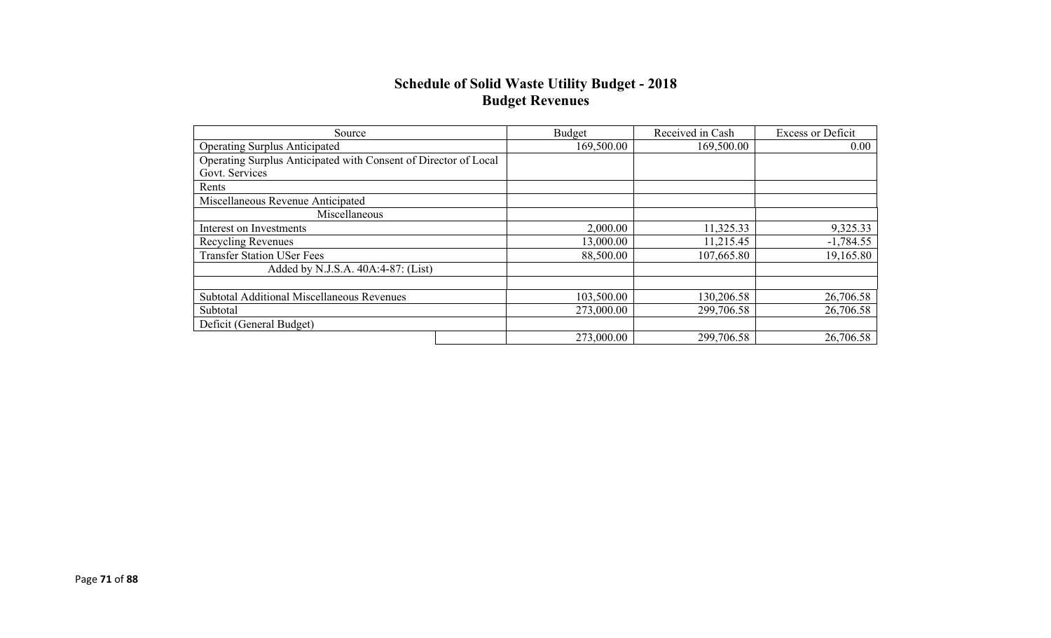### **Schedule of Solid Waste Utility Budget - 2018 Budget Revenues**

| Source                                                          | Budget     | Received in Cash | <b>Excess or Deficit</b> |
|-----------------------------------------------------------------|------------|------------------|--------------------------|
| <b>Operating Surplus Anticipated</b>                            | 169,500.00 | 169,500.00       | 0.00                     |
| Operating Surplus Anticipated with Consent of Director of Local |            |                  |                          |
| Govt. Services                                                  |            |                  |                          |
| Rents                                                           |            |                  |                          |
| Miscellaneous Revenue Anticipated                               |            |                  |                          |
| Miscellaneous                                                   |            |                  |                          |
| Interest on Investments                                         | 2,000.00   | 11,325.33        | 9,325.33                 |
| <b>Recycling Revenues</b>                                       | 13,000.00  | 11,215.45        | $-1,784.55$              |
| <b>Transfer Station USer Fees</b>                               | 88,500.00  | 107,665.80       | 19,165.80                |
| Added by N.J.S.A. 40A:4-87: (List)                              |            |                  |                          |
|                                                                 |            |                  |                          |
| Subtotal Additional Miscellaneous Revenues                      | 103,500.00 | 130,206.58       | 26,706.58                |
| Subtotal                                                        | 273,000.00 | 299,706.58       | 26,706.58                |
| Deficit (General Budget)                                        |            |                  |                          |
|                                                                 | 273,000.00 | 299,706.58       | 26,706.58                |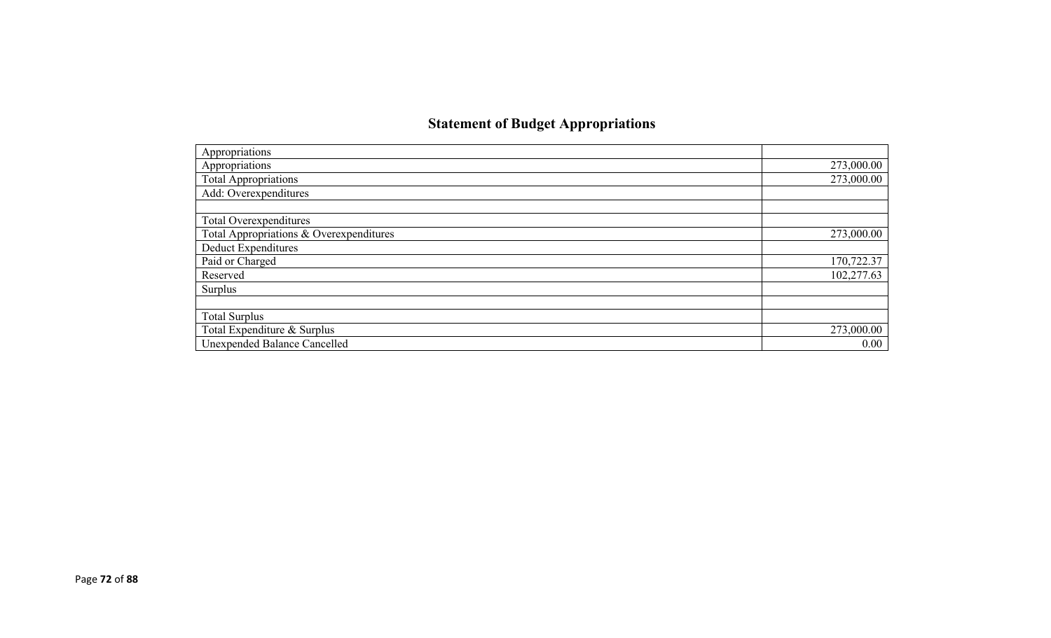# **Statement of Budget Appropriations**

| Appropriations                          |            |
|-----------------------------------------|------------|
|                                         |            |
| Appropriations                          | 273,000.00 |
| <b>Total Appropriations</b>             | 273,000.00 |
| Add: Overexpenditures                   |            |
|                                         |            |
| Total Overexpenditures                  |            |
| Total Appropriations & Overexpenditures | 273,000.00 |
| Deduct Expenditures                     |            |
| Paid or Charged                         | 170,722.37 |
| Reserved                                | 102,277.63 |
| Surplus                                 |            |
|                                         |            |
| <b>Total Surplus</b>                    |            |
| Total Expenditure & Surplus             | 273,000.00 |
| Unexpended Balance Cancelled            | 0.00       |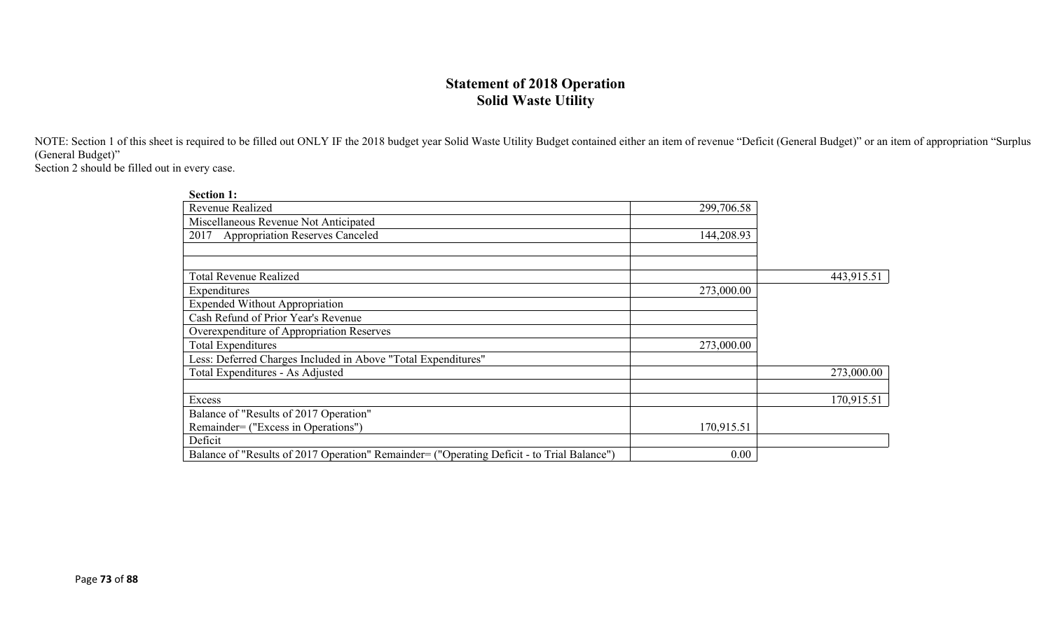### **Statement of 2018 Operation Solid Waste Utility**

NOTE: Section 1 of this sheet is required to be filled out ONLY IF the 2018 budget year Solid Waste Utility Budget contained either an item of revenue "Deficit (General Budget)" or an item of appropriation "Surplus (General Budget)"

Section 2 should be filled out in every case.

| <b>Section 1:</b>                                                                          |            |            |
|--------------------------------------------------------------------------------------------|------------|------------|
| Revenue Realized                                                                           | 299,706.58 |            |
| Miscellaneous Revenue Not Anticipated                                                      |            |            |
| <b>Appropriation Reserves Canceled</b><br>2017                                             | 144,208.93 |            |
|                                                                                            |            |            |
|                                                                                            |            |            |
| <b>Total Revenue Realized</b>                                                              |            | 443,915.51 |
| Expenditures                                                                               | 273,000.00 |            |
| <b>Expended Without Appropriation</b>                                                      |            |            |
| Cash Refund of Prior Year's Revenue                                                        |            |            |
| Overexpenditure of Appropriation Reserves                                                  |            |            |
| <b>Total Expenditures</b>                                                                  | 273,000.00 |            |
| Less: Deferred Charges Included in Above "Total Expenditures"                              |            |            |
| Total Expenditures - As Adjusted                                                           |            | 273,000.00 |
|                                                                                            |            |            |
| Excess                                                                                     |            | 170,915.51 |
| Balance of "Results of 2017 Operation"                                                     |            |            |
| Remainder= ("Excess in Operations")                                                        | 170,915.51 |            |
| Deficit                                                                                    |            |            |
| Balance of "Results of 2017 Operation" Remainder= ("Operating Deficit - to Trial Balance") | 0.00       |            |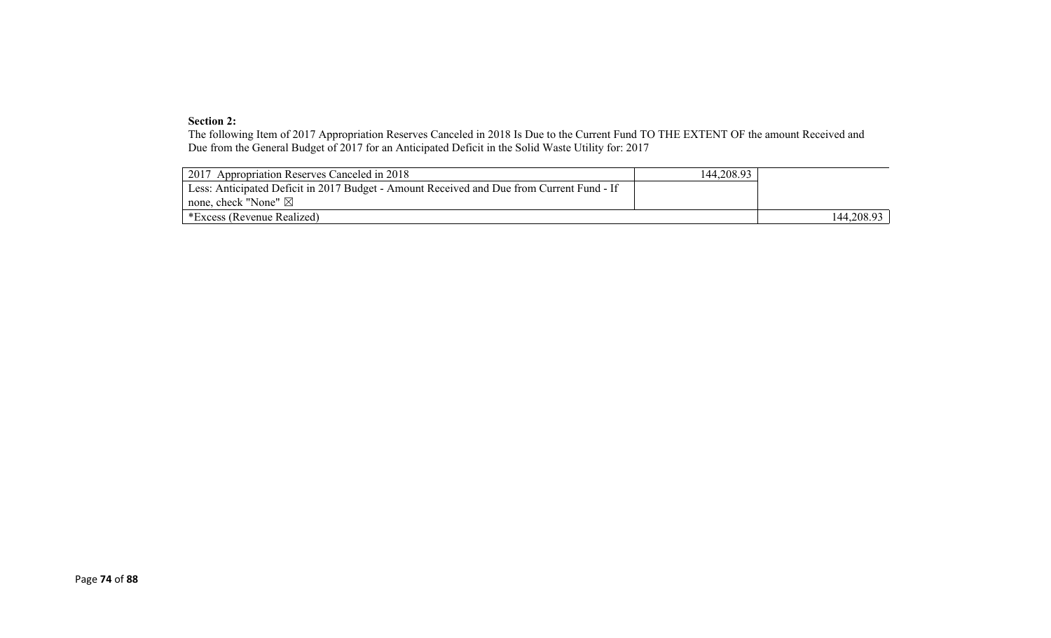#### **Section 2:**

The following Item of 2017 Appropriation Reserves Canceled in 2018 Is Due to the Current Fund TO THE EXTENT OF the amount Received and Due from the General Budget of 2017 for an Anticipated Deficit in the Solid Waste Utility for: 2017

| 2017 Appropriation Reserves Canceled in 2018                                              | 144,208.93 |            |
|-------------------------------------------------------------------------------------------|------------|------------|
| Less: Anticipated Deficit in 2017 Budget - Amount Received and Due from Current Fund - If |            |            |
| none, check "None" $\boxtimes$                                                            |            |            |
| *Excess (Revenue Realized)                                                                |            | 144,208.93 |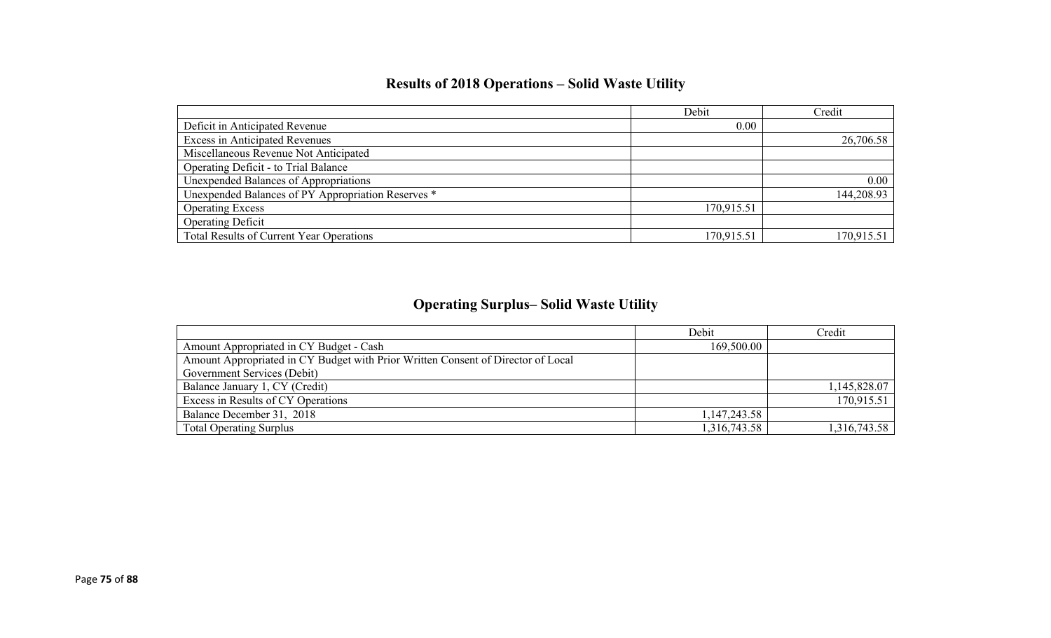# **Results of 2018 Operations – Solid Waste Utility**

|                                                    | Debit      | Credit     |
|----------------------------------------------------|------------|------------|
| Deficit in Anticipated Revenue                     | 0.00       |            |
| <b>Excess in Anticipated Revenues</b>              |            | 26,706.58  |
| Miscellaneous Revenue Not Anticipated              |            |            |
| Operating Deficit - to Trial Balance               |            |            |
| Unexpended Balances of Appropriations              |            | 0.00       |
| Unexpended Balances of PY Appropriation Reserves * |            | 144,208.93 |
| <b>Operating Excess</b>                            | 170,915.51 |            |
| <b>Operating Deficit</b>                           |            |            |
| Total Results of Current Year Operations           | 170,915.51 | 170,915.51 |

# **Operating Surplus– Solid Waste Utility**

|                                                                                  | Debit        | Credit       |
|----------------------------------------------------------------------------------|--------------|--------------|
| Amount Appropriated in CY Budget - Cash                                          | 169,500.00   |              |
| Amount Appropriated in CY Budget with Prior Written Consent of Director of Local |              |              |
| Government Services (Debit)                                                      |              |              |
| Balance January 1, CY (Credit)                                                   |              | 1,145,828.07 |
| Excess in Results of CY Operations                                               |              | 170,915.51   |
| Balance December 31, 2018                                                        | 1,147,243.58 |              |
| <b>Total Operating Surplus</b>                                                   | 1,316,743.58 | 1,316,743.58 |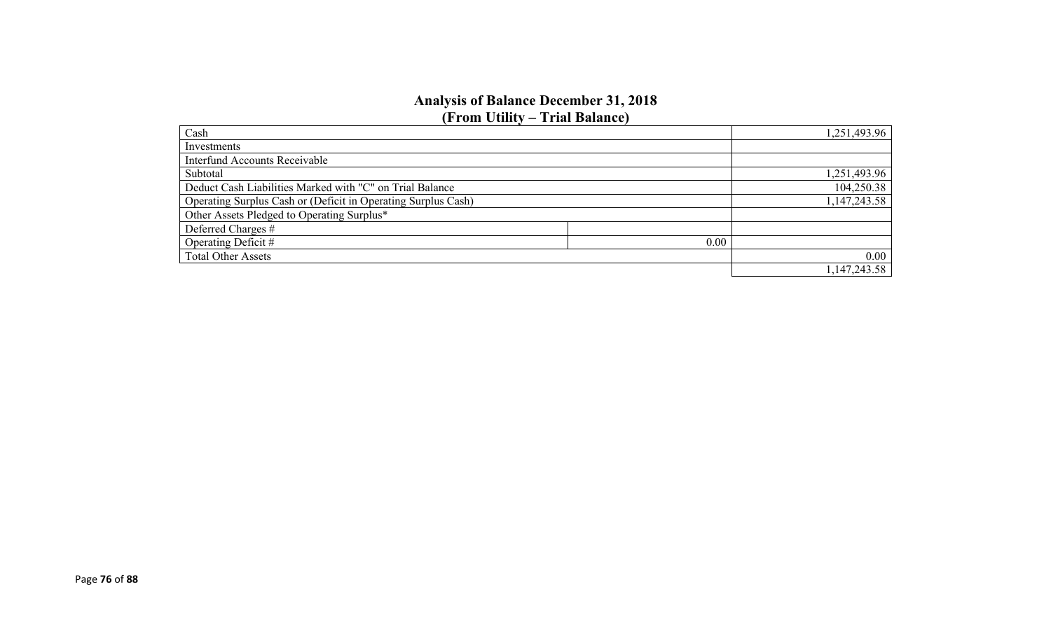#### **Analysis of Balance December 31, 2018 (From Utility – Trial Balance)**

| Cash                                                          | 1,251,493.96 |
|---------------------------------------------------------------|--------------|
| Investments                                                   |              |
| <b>Interfund Accounts Receivable</b>                          |              |
| Subtotal                                                      | 1,251,493.96 |
| Deduct Cash Liabilities Marked with "C" on Trial Balance      | 104,250.38   |
| Operating Surplus Cash or (Deficit in Operating Surplus Cash) | 1,147,243.58 |
| Other Assets Pledged to Operating Surplus*                    |              |
| Deferred Charges #                                            |              |
| Operating Deficit #<br>0.00                                   |              |
| <b>Total Other Assets</b>                                     | 0.00         |
|                                                               | 1,147,243.58 |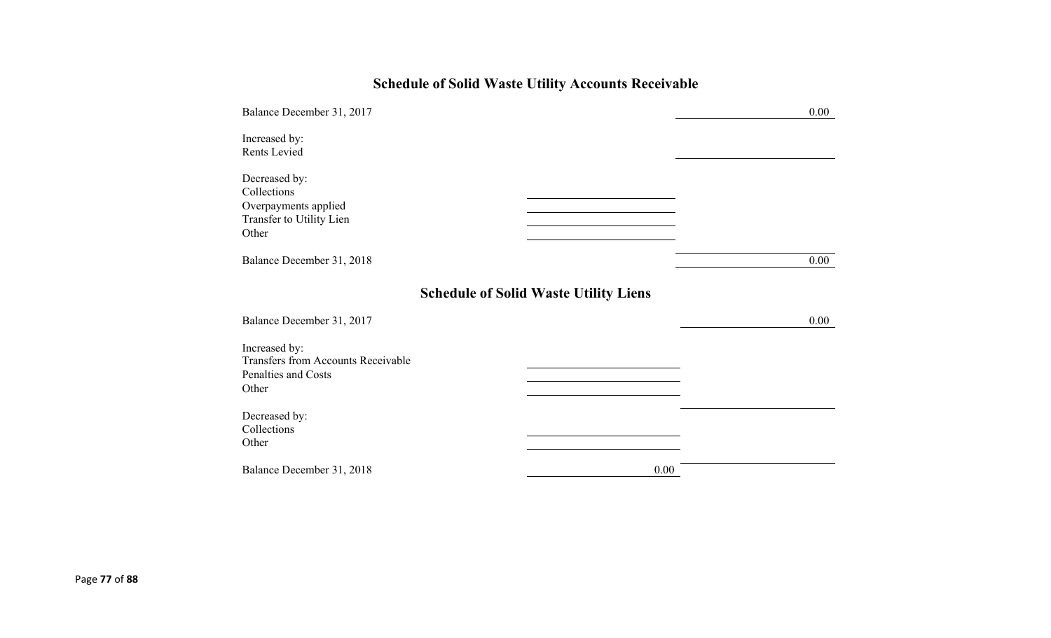# **Schedule of Solid Waste Utility Accounts Receivable**

| Balance December 31, 2017                                                                  | 0.00                                         |
|--------------------------------------------------------------------------------------------|----------------------------------------------|
| Increased by:<br>Rents Levied                                                              |                                              |
| Decreased by:<br>Collections<br>Overpayments applied<br>Transfer to Utility Lien<br>Other  |                                              |
| Balance December 31, 2018                                                                  | 0.00                                         |
|                                                                                            | <b>Schedule of Solid Waste Utility Liens</b> |
| Balance December 31, 2017                                                                  | $0.00\,$                                     |
| Increased by:<br><b>Transfers from Accounts Receivable</b><br>Penalties and Costs<br>Other |                                              |
| Decreased by:<br>Collections<br>Other                                                      |                                              |
| Balance December 31, 2018                                                                  | 0.00                                         |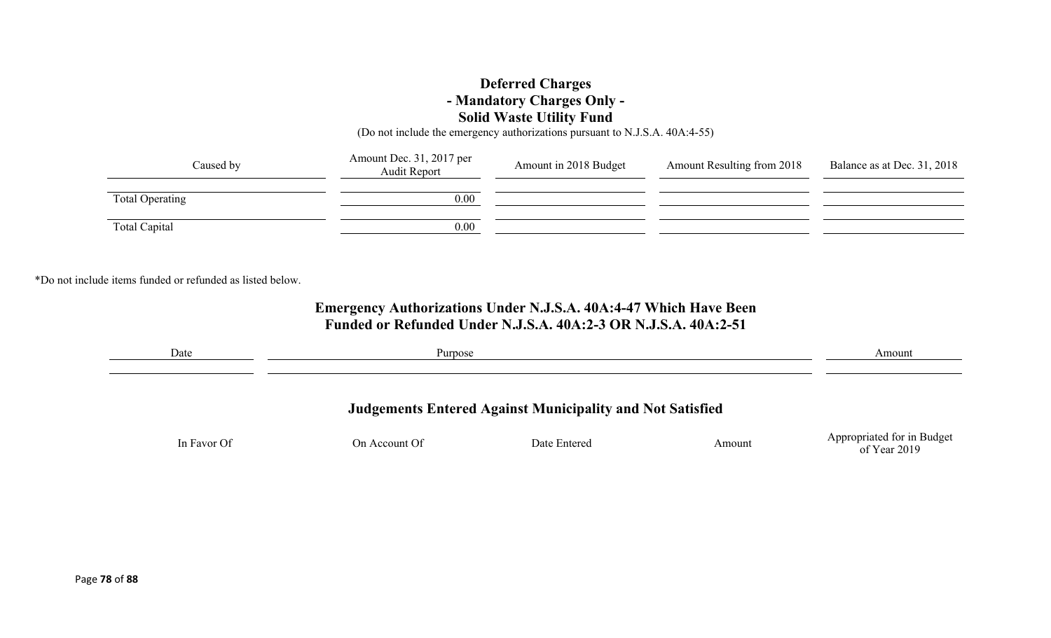### **Deferred Charges - Mandatory Charges Only - Solid Waste Utility Fund**

(Do not include the emergency authorizations pursuant to N.J.S.A. 40A:4-55)

| Caused by       | Amount Dec. 31, 2017 per<br>Audit Report | Amount in 2018 Budget | <b>Amount Resulting from 2018</b> | Balance as at Dec. 31, 2018 |
|-----------------|------------------------------------------|-----------------------|-----------------------------------|-----------------------------|
| Total Operating | 0.00                                     |                       |                                   |                             |
| Total Capital   | 0.00                                     |                       |                                   |                             |

\*Do not include items funded or refunded as listed below.

### **Emergency Authorizations Under N.J.S.A. 40A:4-47 Which Have Been Funded or Refunded Under N.J.S.A. 40A:2-3 OR N.J.S.A. 40A:2-51**

| Date        | Purpose       |                                                                  |        | Amount                                     |
|-------------|---------------|------------------------------------------------------------------|--------|--------------------------------------------|
|             |               | <b>Judgements Entered Against Municipality and Not Satisfied</b> |        |                                            |
| In Favor Of | On Account Of | Date Entered                                                     | Amount | Appropriated for in Budget<br>of Year 2019 |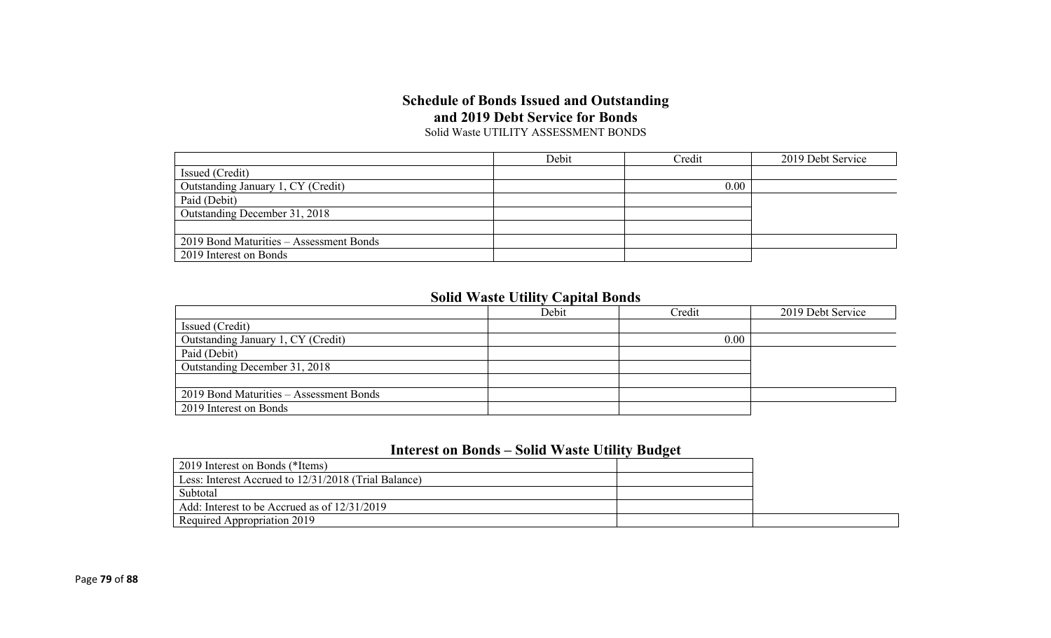#### **Schedule of Bonds Issued and Outstanding and 2019 Debt Service for Bonds** Solid Waste UTILITY ASSESSMENT BONDS

|                                         | Debit | Credit | 2019 Debt Service |
|-----------------------------------------|-------|--------|-------------------|
| Issued (Credit)                         |       |        |                   |
| Outstanding January 1, CY (Credit)      |       | 0.00   |                   |
| Paid (Debit)                            |       |        |                   |
| Outstanding December 31, 2018           |       |        |                   |
|                                         |       |        |                   |
| 2019 Bond Maturities - Assessment Bonds |       |        |                   |
| 2019 Interest on Bonds                  |       |        |                   |

## **Solid Waste Utility Capital Bonds**

|                                         | Debit | Credit | 2019 Debt Service |
|-----------------------------------------|-------|--------|-------------------|
| Issued (Credit)                         |       |        |                   |
| Outstanding January 1, CY (Credit)      |       | 0.00   |                   |
| Paid (Debit)                            |       |        |                   |
| Outstanding December 31, 2018           |       |        |                   |
|                                         |       |        |                   |
| 2019 Bond Maturities – Assessment Bonds |       |        |                   |
| 2019 Interest on Bonds                  |       |        |                   |

### **Interest on Bonds – Solid Waste Utility Budget**

| 2019 Interest on Bonds (*Items)                      |  |
|------------------------------------------------------|--|
| Less: Interest Accrued to 12/31/2018 (Trial Balance) |  |
| Subtotal                                             |  |
| Add: Interest to be Accrued as of 12/31/2019         |  |
| Required Appropriation 2019                          |  |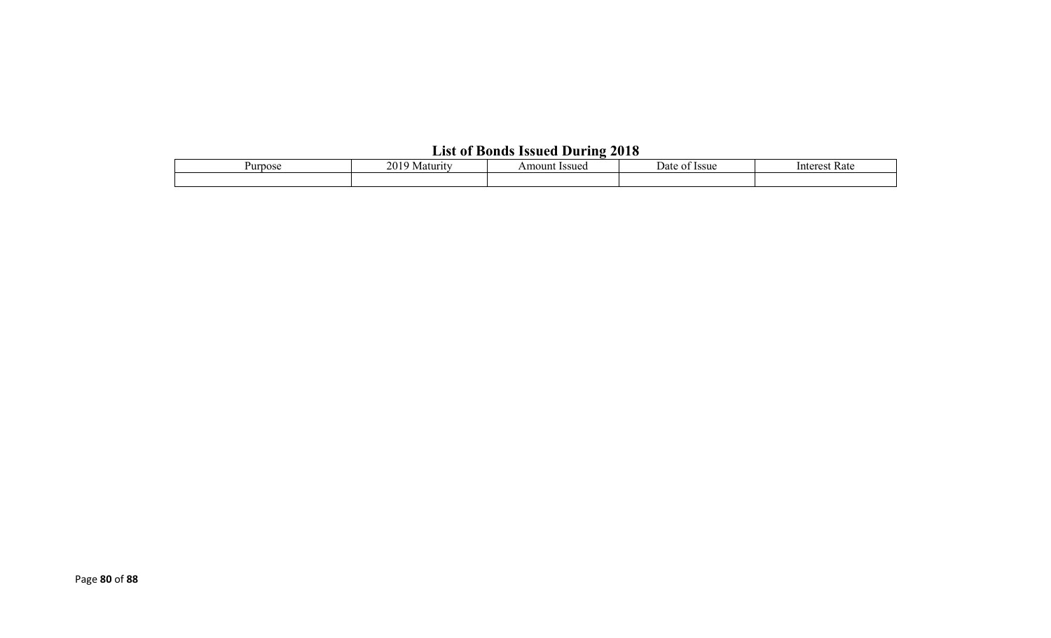# **List of Bonds Issued During 2018**

| ∽urnose | 20<br>Maturit | Issuec<br>Amoun | <b>Issue</b><br>Date | Kate<br>lnteres |
|---------|---------------|-----------------|----------------------|-----------------|
|         |               |                 |                      |                 |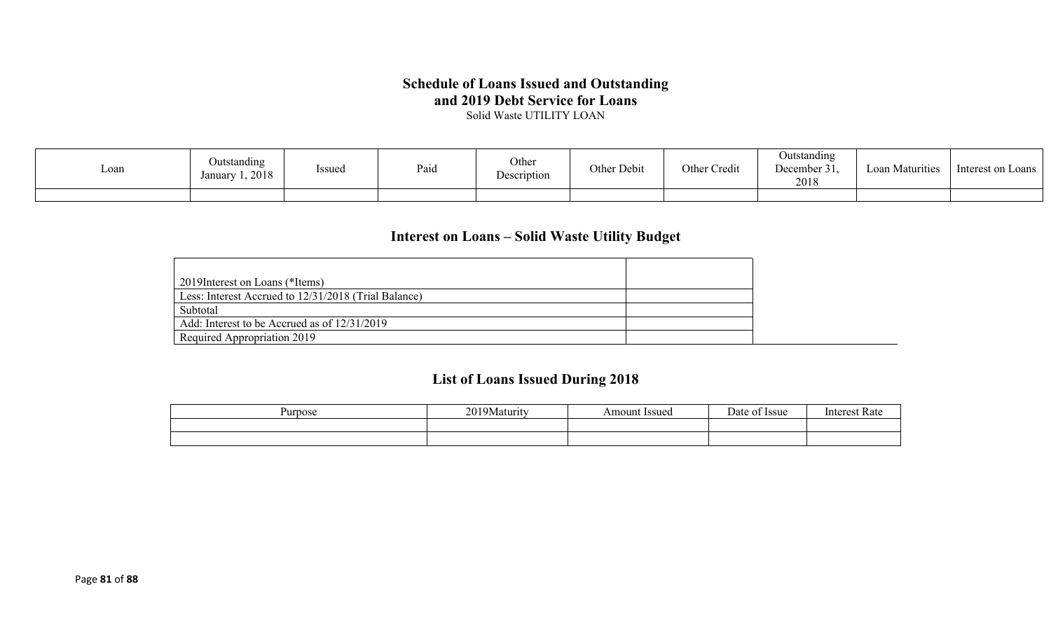## **Schedule of Loans Issued and Outstanding and 2019 Debt Service for Loans**

Solid Waste UTILITY LOAN

| Loan | Outstanding<br>1,2018<br>January | <b>Issued</b> | Paio | Other<br>Description | Other Debit | Other Credit | Outstanding<br>December 31,<br>2018 | Loan Maturities | Interest on Loans |
|------|----------------------------------|---------------|------|----------------------|-------------|--------------|-------------------------------------|-----------------|-------------------|
|      |                                  |               |      |                      |             |              |                                     |                 |                   |

## **Interest on Loans – Solid Waste Utility Budget**

| 2019 Interest on Loans (*Items)                      |  |
|------------------------------------------------------|--|
| Less: Interest Accrued to 12/31/2018 (Trial Balance) |  |
| Subtotal                                             |  |
| Add: Interest to be Accrued as of 12/31/2019         |  |
| Required Appropriation 2019                          |  |

## **List of Loans Issued During 2018**

| Purpose | ን ሰ 1<br>a 9 Maturut | Amount Issued | Date<br><b>Issue</b> | Kate |
|---------|----------------------|---------------|----------------------|------|
|         |                      |               |                      |      |
|         |                      |               |                      |      |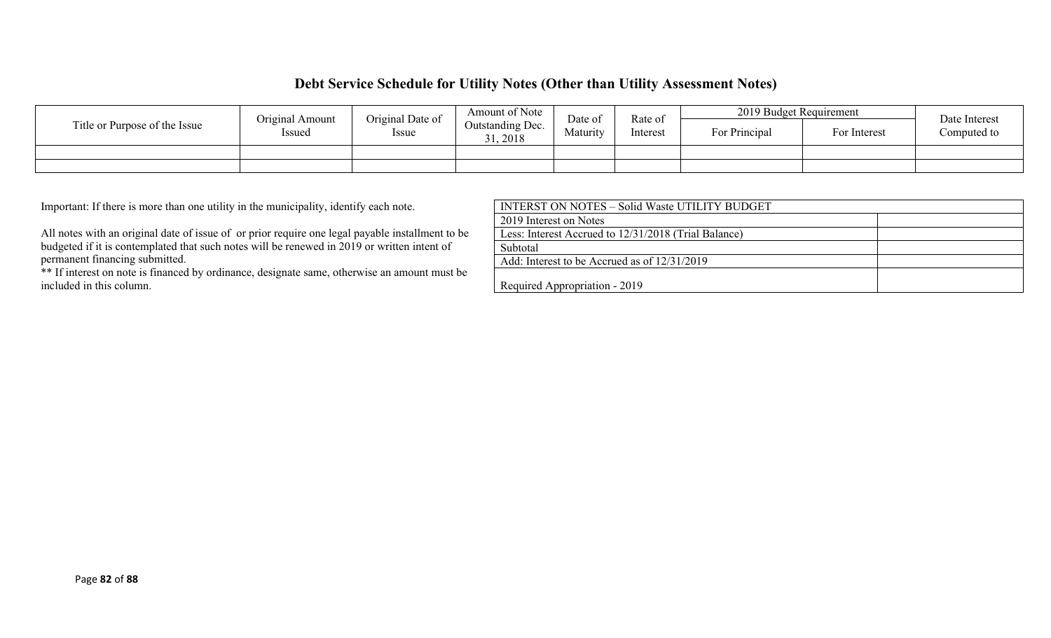### **Debt Service Schedule for Utility Notes (Other than Utility Assessment Notes)**

|                               | Original Date of<br>Original Amount |  | Amount of Note             | Rate of<br>Date of |          | 2019 Budget Requirement | Date Interest |             |
|-------------------------------|-------------------------------------|--|----------------------------|--------------------|----------|-------------------------|---------------|-------------|
| Title or Purpose of the Issue | Issued<br><i>Issue</i>              |  | Outstanding Dec.<br>, 2018 | Maturity           | Interest | For Principal           | For Interest  | Computed to |
|                               |                                     |  |                            |                    |          |                         |               |             |
|                               |                                     |  |                            |                    |          |                         |               |             |

Important: If there is more than one utility in the municipality, identify each note.

All notes with an original date of issue of or prior require one legal payable installment to be budgeted if it is contemplated that such notes will be renewed in 2019 or written intent of permanent financing submitted.

\*\* If interest on note is financed by ordinance, designate same, otherwise an amount must be included in this column.

| INTERST ON NOTES – Solid Waste UTILITY BUDGET        |  |
|------------------------------------------------------|--|
| 2019 Interest on Notes                               |  |
| Less: Interest Accrued to 12/31/2018 (Trial Balance) |  |
| Subtotal                                             |  |
| Add: Interest to be Accrued as of $12/31/2019$       |  |
| Required Appropriation - 2019                        |  |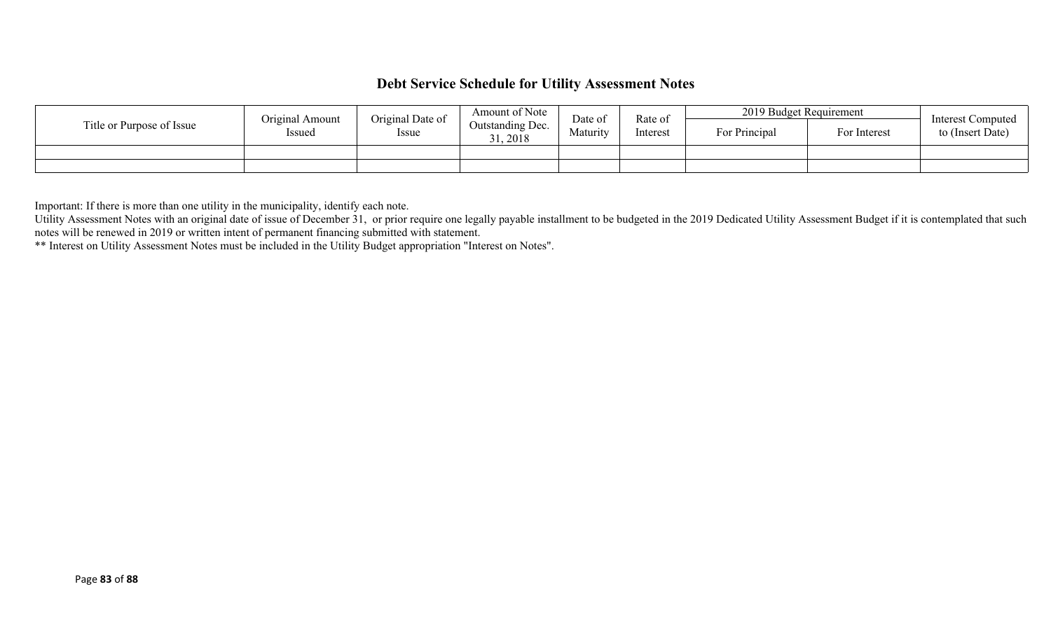## **Debt Service Schedule for Utility Assessment Notes**

|                           | Original Amount | Amount of Note<br>Original Date of |                              | Date of  | Rate of  | 2019 Budget Requirement |              | Interest Computed |
|---------------------------|-----------------|------------------------------------|------------------------------|----------|----------|-------------------------|--------------|-------------------|
| Title or Purpose of Issue | Issued          | Issue                              | Outstanding Dec.<br>31, 2018 | Maturity | Interest | For Principal           | For Interest | to (Insert Date)  |
|                           |                 |                                    |                              |          |          |                         |              |                   |
|                           |                 |                                    |                              |          |          |                         |              |                   |

Important: If there is more than one utility in the municipality, identify each note.

Utility Assessment Notes with an original date of issue of December 31, or prior require one legally payable installment to be budgeted in the 2019 Dedicated Utility Assessment Budget if it is contemplated that such notes will be renewed in 2019 or written intent of permanent financing submitted with statement.

\*\* Interest on Utility Assessment Notes must be included in the Utility Budget appropriation "Interest on Notes".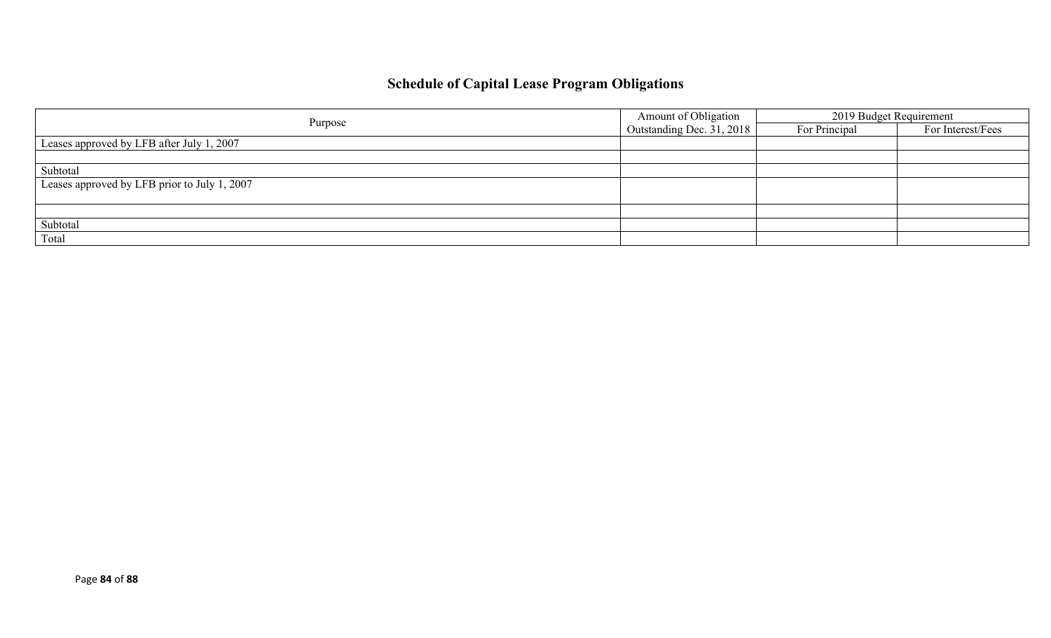# **Schedule of Capital Lease Program Obligations**

|                                              | Amount of Obligation      | 2019 Budget Requirement |                   |  |
|----------------------------------------------|---------------------------|-------------------------|-------------------|--|
| Purpose                                      | Outstanding Dec. 31, 2018 | For Principal           | For Interest/Fees |  |
| Leases approved by LFB after July 1, 2007    |                           |                         |                   |  |
|                                              |                           |                         |                   |  |
| Subtotal                                     |                           |                         |                   |  |
| Leases approved by LFB prior to July 1, 2007 |                           |                         |                   |  |
|                                              |                           |                         |                   |  |
|                                              |                           |                         |                   |  |
| Subtotal                                     |                           |                         |                   |  |
| Total                                        |                           |                         |                   |  |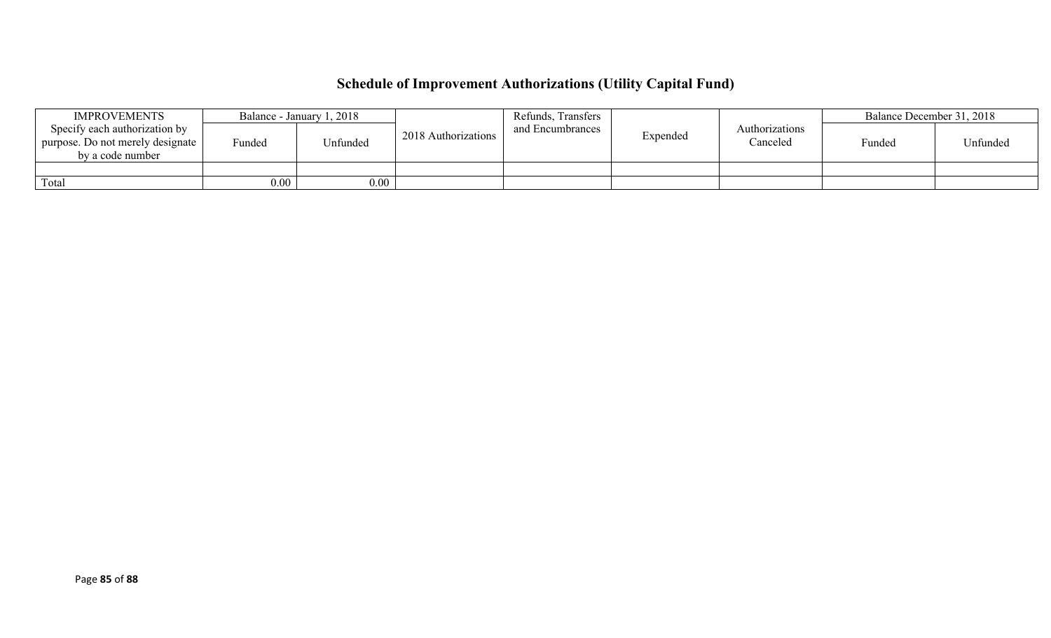# **Schedule of Improvement Authorizations (Utility Capital Fund)**

| <b>IMPROVEMENTS</b>                                                                   | Balance - January 1, 2018 |          |                     | Refunds, Transfers |          |                            |        | Balance December 31, 2018 |  |
|---------------------------------------------------------------------------------------|---------------------------|----------|---------------------|--------------------|----------|----------------------------|--------|---------------------------|--|
| Specify each authorization by<br>purpose. Do not merely designate<br>by a code number | Funded                    | Unfunded | 2018 Authorizations | and Encumbrances   | Expended | Authorizations<br>Canceled | Funded | Unfunded                  |  |
|                                                                                       |                           |          |                     |                    |          |                            |        |                           |  |
| Total                                                                                 | $0.00\,$                  | $0.00\,$ |                     |                    |          |                            |        |                           |  |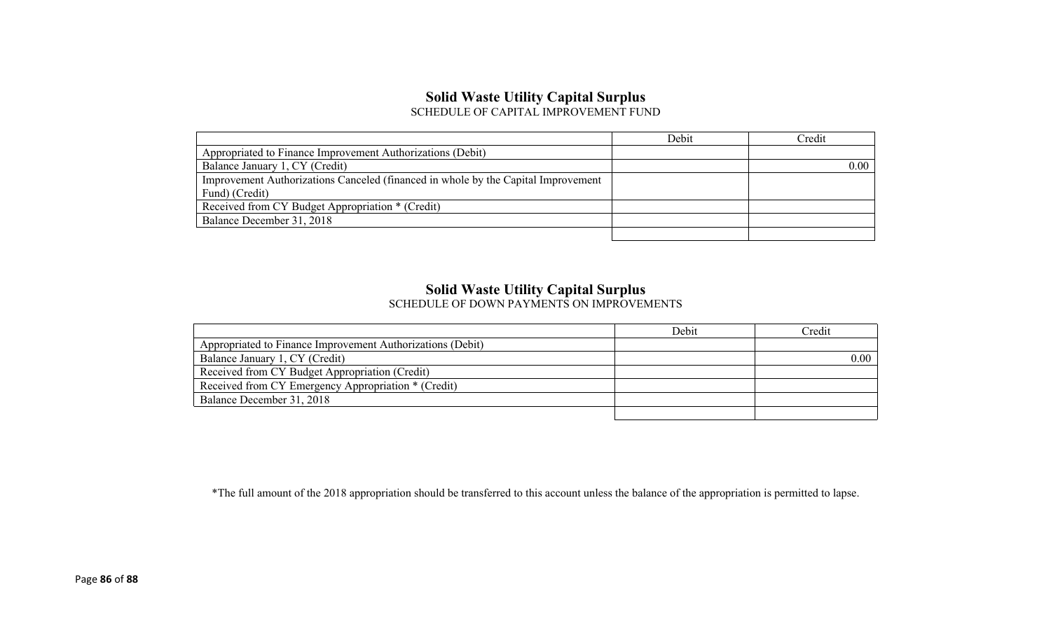## **Solid Waste Utility Capital Surplus**

SCHEDULE OF CAPITAL IMPROVEMENT FUND

|                                                                                   | Debit | Credit         |
|-----------------------------------------------------------------------------------|-------|----------------|
| Appropriated to Finance Improvement Authorizations (Debit)                        |       |                |
| Balance January 1, CY (Credit)                                                    |       | $0.00^{\circ}$ |
| Improvement Authorizations Canceled (financed in whole by the Capital Improvement |       |                |
| Fund) (Credit)                                                                    |       |                |
| Received from CY Budget Appropriation * (Credit)                                  |       |                |
| Balance December 31, 2018                                                         |       |                |
|                                                                                   |       |                |

#### **Solid Waste Utility Capital Surplus**

SCHEDULE OF DOWN PAYMENTS ON IMPROVEMENTS

|                                                            | Debit | Credit |
|------------------------------------------------------------|-------|--------|
| Appropriated to Finance Improvement Authorizations (Debit) |       |        |
| Balance January 1, CY (Credit)                             |       | 0.00   |
| Received from CY Budget Appropriation (Credit)             |       |        |
| Received from CY Emergency Appropriation * (Credit)        |       |        |
| Balance December 31, 2018                                  |       |        |
|                                                            |       |        |

\*The full amount of the 2018 appropriation should be transferred to this account unless the balance of the appropriation is permitted to lapse.